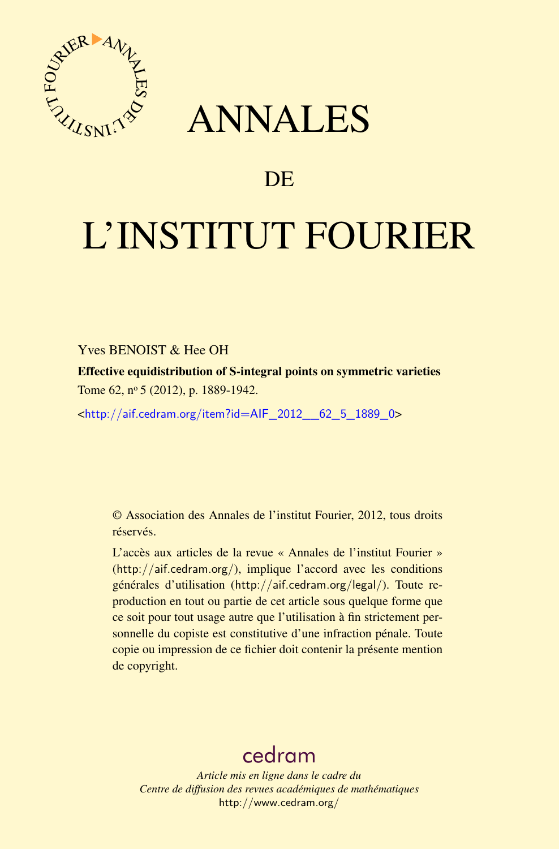<span id="page-0-0"></span>

# ANNALES

### **DE**

# L'INSTITUT FOURIER

#### Yves BENOIST & Hee OH

Effective equidistribution of S-integral points on symmetric varieties Tome 62, nº 5 (2012), p. 1889-1942.

<[http://aif.cedram.org/item?id=AIF\\_2012\\_\\_62\\_5\\_1889\\_0](http://aif.cedram.org/item?id=AIF_2012__62_5_1889_0)>

© Association des Annales de l'institut Fourier, 2012, tous droits réservés.

L'accès aux articles de la revue « Annales de l'institut Fourier » (<http://aif.cedram.org/>), implique l'accord avec les conditions générales d'utilisation (<http://aif.cedram.org/legal/>). Toute reproduction en tout ou partie de cet article sous quelque forme que ce soit pour tout usage autre que l'utilisation à fin strictement personnelle du copiste est constitutive d'une infraction pénale. Toute copie ou impression de ce fichier doit contenir la présente mention de copyright.

## [cedram](http://www.cedram.org/)

*Article mis en ligne dans le cadre du Centre de diffusion des revues académiques de mathématiques* <http://www.cedram.org/>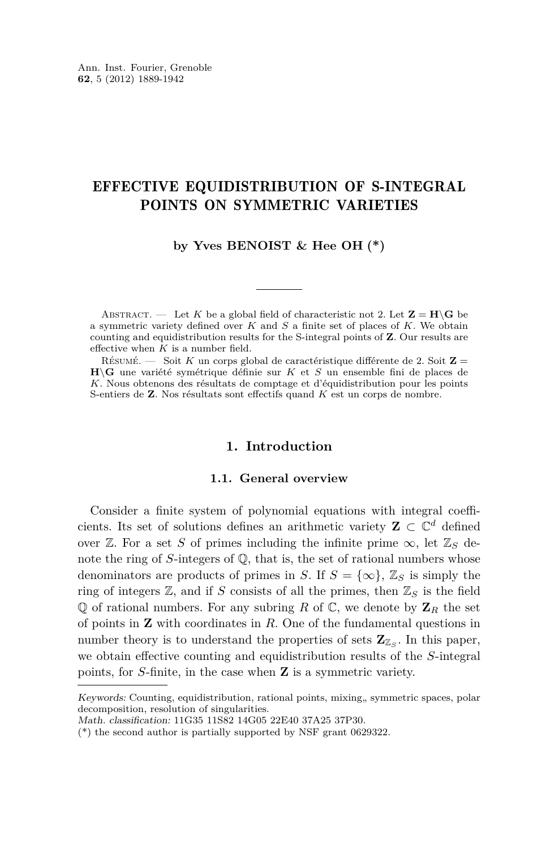### EFFECTIVE EQUIDISTRIBUTION OF S-INTEGRAL POINTS ON SYMMETRIC VARIETIES

**by Yves BENOIST & Hee OH (\*)**

ABSTRACT. — Let K be a global field of characteristic not 2. Let  $\mathbf{Z} = \mathbf{H} \backslash \mathbf{G}$  be a symmetric variety defined over *K* and *S* a finite set of places of *K*. We obtain counting and equidistribution results for the S-integral points of **Z**. Our results are effective when *K* is a number field.

Résumé. — Soit *K* un corps global de caractéristique différente de 2. Soit **Z** = **H**\**G** une variété symétrique définie sur *K* et *S* un ensemble fini de places de *K*. Nous obtenons des résultats de comptage et d'équidistribution pour les points S-entiers de **Z**. Nos résultats sont effectifs quand *K* est un corps de nombre.

#### **1. Introduction**

#### **1.1. General overview**

Consider a finite system of polynomial equations with integral coefficients. Its set of solutions defines an arithmetic variety  $\mathbf{Z} \subset \mathbb{C}^d$  defined over  $\mathbb{Z}$ . For a set *S* of primes including the infinite prime  $\infty$ , let  $\mathbb{Z}_S$  denote the ring of *S*-integers of Q, that is, the set of rational numbers whose denominators are products of primes in *S*. If  $S = \{\infty\}$ ,  $\mathbb{Z}_S$  is simply the ring of integers  $\mathbb{Z}$ , and if *S* consists of all the primes, then  $\mathbb{Z}_S$  is the field  $\mathbb Q$  of rational numbers. For any subring *R* of  $\mathbb C$ , we denote by  $\mathbb Z_R$  the set of points in **Z** with coordinates in *R*. One of the fundamental questions in number theory is to understand the properties of sets  $\mathbb{Z}_{\mathbb{Z}_S}$ . In this paper, we obtain effective counting and equidistribution results of the *S*-integral points, for *S*-finite, in the case when **Z** is a symmetric variety.

Keywords: Counting, equidistribution, rational points, mixing,, symmetric spaces, polar decomposition, resolution of singularities.

Math. classification: 11G35 11S82 14G05 22E40 37A25 37P30.

<sup>(\*)</sup> the second author is partially supported by NSF grant 0629322.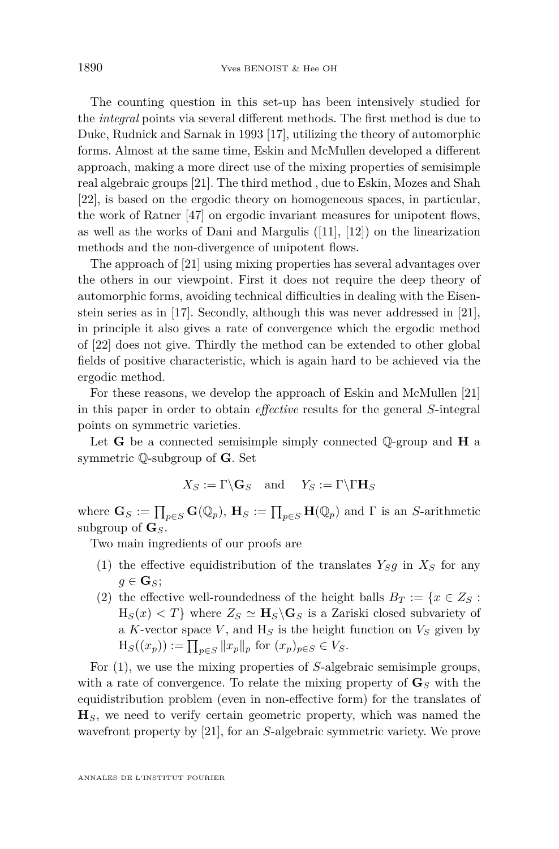The counting question in this set-up has been intensively studied for the *integral* points via several different methods. The first method is due to Duke, Rudnick and Sarnak in 1993 [\[17\]](#page-52-0), utilizing the theory of automorphic forms. Almost at the same time, Eskin and McMullen developed a different approach, making a more direct use of the mixing properties of semisimple real algebraic groups [\[21\]](#page-53-0). The third method , due to Eskin, Mozes and Shah [\[22\]](#page-53-0), is based on the ergodic theory on homogeneous spaces, in particular, the work of Ratner [\[47\]](#page-54-0) on ergodic invariant measures for unipotent flows, as well as the works of Dani and Margulis ([\[11\]](#page-52-0), [\[12\]](#page-52-0)) on the linearization methods and the non-divergence of unipotent flows.

The approach of [\[21\]](#page-53-0) using mixing properties has several advantages over the others in our viewpoint. First it does not require the deep theory of automorphic forms, avoiding technical difficulties in dealing with the Eisenstein series as in [\[17\]](#page-52-0). Secondly, although this was never addressed in [\[21\]](#page-53-0), in principle it also gives a rate of convergence which the ergodic method of [\[22\]](#page-53-0) does not give. Thirdly the method can be extended to other global fields of positive characteristic, which is again hard to be achieved via the ergodic method.

For these reasons, we develop the approach of Eskin and McMullen [\[21\]](#page-53-0) in this paper in order to obtain *effective* results for the general *S*-integral points on symmetric varieties.

Let **G** be a connected semisimple simply connected Q-group and **H** a symmetric Q-subgroup of **G**. Set

$$
X_S := \Gamma \backslash \mathbf{G}_S \quad \text{and} \quad Y_S := \Gamma \backslash \Gamma \mathbf{H}_S
$$

where  $\mathbf{G}_S := \prod_{p \in S} \mathbf{G}(\mathbb{Q}_p)$ ,  $\mathbf{H}_S := \prod_{p \in S} \mathbf{H}(\mathbb{Q}_p)$  and  $\Gamma$  is an *S*-arithmetic subgroup of **G***S*.

Two main ingredients of our proofs are

- (1) the effective equidistribution of the translates  $Y_S g$  in  $X_S$  for any  $g \in \mathbf{G}_S$ ;
- (2) the effective well-roundedness of the height balls  $B_T := \{x \in Z_S : S \}$  $H_S(x) < T$  where  $Z_S \simeq H_S \backslash G_S$  is a Zariski closed subvariety of a  $K$ -vector space  $V$ , and  $H_S$  is the height function on  $V_S$  given by  $H_S((x_p)) := \prod_{p \in S} ||x_p||_p$  for  $(x_p)_{p \in S} \in V_S$ .

For (1), we use the mixing properties of *S*-algebraic semisimple groups, with a rate of convergence. To relate the mixing property of  $\mathbf{G}_S$  with the equidistribution problem (even in non-effective form) for the translates of  $\mathbf{H}_S$ , we need to verify certain geometric property, which was named the wavefront property by [\[21\]](#page-53-0), for an *S*-algebraic symmetric variety. We prove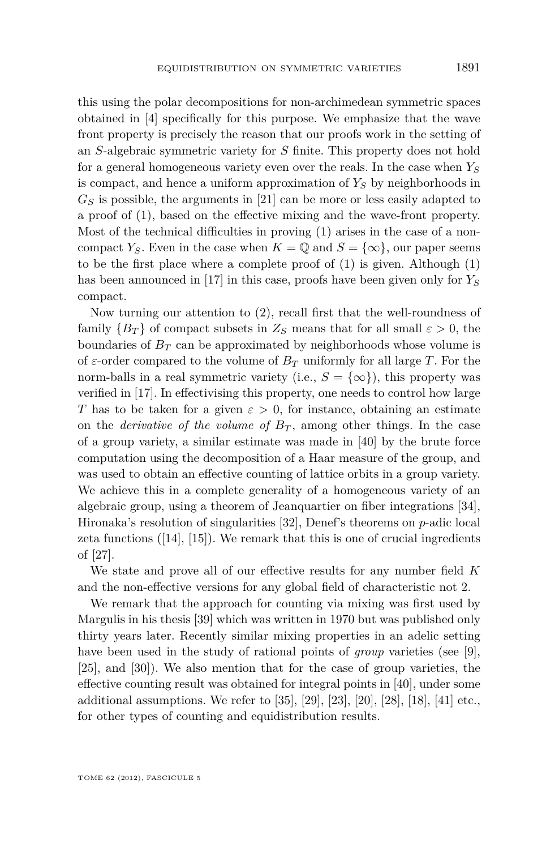this using the polar decompositions for non-archimedean symmetric spaces obtained in [\[4\]](#page-52-0) specifically for this purpose. We emphasize that the wave front property is precisely the reason that our proofs work in the setting of an *S*-algebraic symmetric variety for *S* finite. This property does not hold for a general homogeneous variety even over the reals. In the case when *Y<sup>S</sup>* is compact, and hence a uniform approximation of *Y<sup>S</sup>* by neighborhoods in *G<sup>S</sup>* is possible, the arguments in [\[21\]](#page-53-0) can be more or less easily adapted to a proof of (1), based on the effective mixing and the wave-front property. Most of the technical difficulties in proving (1) arises in the case of a noncompact *Y*<sub>*S*</sub>. Even in the case when  $K = \mathbb{Q}$  and  $S = \{\infty\}$ , our paper seems to be the first place where a complete proof of (1) is given. Although (1) has been announced in [\[17\]](#page-52-0) in this case, proofs have been given only for *Y<sup>S</sup>* compact.

Now turning our attention to (2), recall first that the well-roundness of family  ${B_T}$  of compact subsets in  $Z_S$  means that for all small  $\varepsilon > 0$ , the boundaries of  $B_T$  can be approximated by neighborhoods whose volume is of  $\varepsilon$ -order compared to the volume of  $B_T$  uniformly for all large *T*. For the norm-balls in a real symmetric variety (i.e.,  $S = \{\infty\}$ ), this property was verified in [\[17\]](#page-52-0). In effectivising this property, one needs to control how large *T* has to be taken for a given  $\varepsilon > 0$ , for instance, obtaining an estimate on the *derivative of the volume of*  $B_T$ , among other things. In the case of a group variety, a similar estimate was made in [\[40\]](#page-53-0) by the brute force computation using the decomposition of a Haar measure of the group, and was used to obtain an effective counting of lattice orbits in a group variety. We achieve this in a complete generality of a homogeneous variety of an algebraic group, using a theorem of Jeanquartier on fiber integrations [\[34\]](#page-53-0), Hironaka's resolution of singularities [\[32\]](#page-53-0), Denef's theorems on *p*-adic local zeta functions  $([14], [15])$  $([14], [15])$  $([14], [15])$  $([14], [15])$  $([14], [15])$ . We remark that this is one of crucial ingredients of [\[27\]](#page-53-0).

We state and prove all of our effective results for any number field *K* and the non-effective versions for any global field of characteristic not 2.

We remark that the approach for counting via mixing was first used by Margulis in his thesis [\[39\]](#page-53-0) which was written in 1970 but was published only thirty years later. Recently similar mixing properties in an adelic setting have been used in the study of rational points of *group* varieties (see [\[9\]](#page-52-0), [\[25\]](#page-53-0), and [\[30\]](#page-53-0)). We also mention that for the case of group varieties, the effective counting result was obtained for integral points in [\[40\]](#page-53-0), under some additional assumptions. We refer to [\[35\]](#page-53-0), [\[29\]](#page-53-0), [\[23\]](#page-53-0), [\[20\]](#page-52-0), [\[28\]](#page-53-0), [\[18\]](#page-52-0), [\[41\]](#page-53-0) etc., for other types of counting and equidistribution results.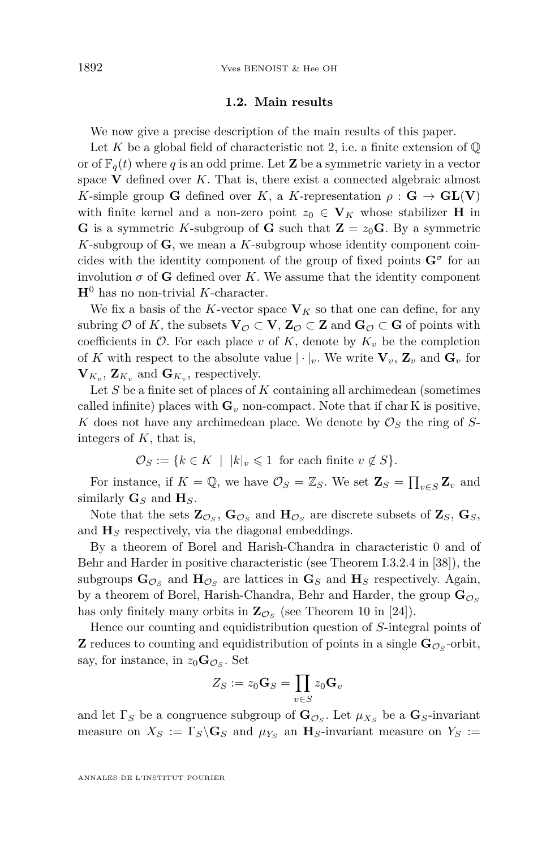#### **1.2. Main results**

We now give a precise description of the main results of this paper.

Let  $K$  be a global field of characteristic not 2, i.e. a finite extension of  $\mathbb Q$ or of  $\mathbb{F}_q(t)$  where *q* is an odd prime. Let **Z** be a symmetric variety in a vector space  $V$  defined over  $K$ . That is, there exist a connected algebraic almost *K*-simple group **G** defined over *K*, a *K*-representation  $\rho : \mathbf{G} \to \mathbf{GL}(\mathbf{V})$ with finite kernel and a non-zero point  $z_0 \in V_K$  whose stabilizer **H** in **G** is a symmetric *K*-subgroup of **G** such that  $\mathbf{Z} = z_0 \mathbf{G}$ . By a symmetric *K*-subgroup of **G**, we mean a *K*-subgroup whose identity component coincides with the identity component of the group of fixed points  $G^{\sigma}$  for an involution  $\sigma$  of **G** defined over *K*. We assume that the identity component  $H^0$  has no non-trivial *K*-character.

We fix a basis of the *K*-vector space  $V_K$  so that one can define, for any subring  $\mathcal{O}$  of K, the subsets  $\mathbf{V}_{\mathcal{O}} \subset \mathbf{V}$ ,  $\mathbf{Z}_{\mathcal{O}} \subset \mathbf{Z}$  and  $\mathbf{G}_{\mathcal{O}} \subset \mathbf{G}$  of points with coefficients in  $\mathcal{O}$ . For each place *v* of *K*, denote by  $K_v$  be the completion of *K* with respect to the absolute value  $|\cdot|_v$ . We write  $\mathbf{V}_v$ ,  $\mathbf{Z}_v$  and  $\mathbf{G}_v$  for  $\mathbf{V}_{K_v}$ ,  $\mathbf{Z}_{K_v}$  and  $\mathbf{G}_{K_v}$ , respectively.

Let *S* be a finite set of places of *K* containing all archimedean (sometimes called infinite) places with  $\mathbf{G}_v$  non-compact. Note that if char K is positive, *K* does not have any archimedean place. We denote by  $\mathcal{O}_S$  the ring of *S*integers of *K*, that is,

$$
\mathcal{O}_S := \{ k \in K \mid |k|_v \leq 1 \text{ for each finite } v \notin S \}.
$$

For instance, if  $K = \mathbb{Q}$ , we have  $\mathcal{O}_S = \mathbb{Z}_S$ . We set  $\mathbf{Z}_S = \prod_{v \in S} \mathbf{Z}_v$  and similarly  $\mathbf{G}_S$  and  $\mathbf{H}_S$ .

Note that the sets  $\mathbf{Z}_{\mathcal{O}_S}$ ,  $\mathbf{G}_{\mathcal{O}_S}$  and  $\mathbf{H}_{\mathcal{O}_S}$  are discrete subsets of  $\mathbf{Z}_S$ ,  $\mathbf{G}_S$ , and  $H<sub>S</sub>$  respectively, via the diagonal embeddings.

By a theorem of Borel and Harish-Chandra in characteristic 0 and of Behr and Harder in positive characteristic (see Theorem I.3.2.4 in [\[38\]](#page-53-0)), the subgroups  $\mathbf{G}_{\mathcal{O}_S}$  and  $\mathbf{H}_{\mathcal{O}_S}$  are lattices in  $\mathbf{G}_S$  and  $\mathbf{H}_S$  respectively. Again, by a theorem of Borel, Harish-Chandra, Behr and Harder, the group  $\mathbf{G}_{\mathcal{O}_{\mathcal{S}}}$ has only finitely many orbits in  $\mathbb{Z}_{\mathcal{O}_S}$  (see Theorem 10 in [\[24\]](#page-53-0)).

Hence our counting and equidistribution question of *S*-integral points of **Z** reduces to counting and equidistribution of points in a single  $\mathbf{G}_{\mathcal{O}_S}$ -orbit, say, for instance, in  $z_0 \mathbf{G}_{\mathcal{O}_S}$ . Set

$$
Z_S:=z_0\mathbf{G}_S=\prod_{v\in S}z_0\mathbf{G}_v
$$

and let  $\Gamma_S$  be a congruence subgroup of  $\mathbf{G}_{\mathcal{O}_S}$ . Let  $\mu_{X_S}$  be a  $\mathbf{G}_S$ -invariant measure on  $X_S := \Gamma_S \backslash \mathbf{G}_S$  and  $\mu_{Y_S}$  an  $\mathbf{H}_S$ -invariant measure on  $Y_S :=$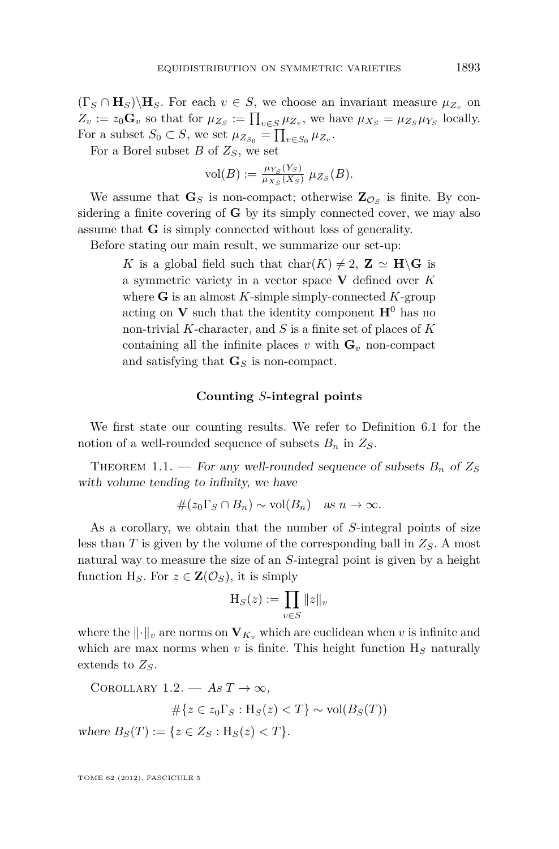<span id="page-5-0"></span> $(\Gamma_S \cap \mathbf{H}_S) \setminus \mathbf{H}_S$ . For each  $v \in S$ , we choose an invariant measure  $\mu_{Z_v}$  on  $Z_v := z_0 \mathbf{G}_v$  so that for  $\mu_{Z_S} := \prod_{v \in S} \mu_{Z_v}$ , we have  $\mu_{X_S} = \mu_{Z_S} \mu_{Y_S}$  locally. For a subset  $S_0 \subset S$ , we set  $\mu_{Z_{S_0}} = \prod_{v \in S_0} \mu_{Z_v}$ .

For a Borel subset *B* of *ZS*, we set

$$
\text{vol}(B) := \frac{\mu_{Y_S}(Y_S)}{\mu_{X_S}(X_S)} \mu_{Z_S}(B).
$$

We assume that  $\mathbf{G}_S$  is non-compact; otherwise  $\mathbf{Z}_{\mathcal{O}_S}$  is finite. By considering a finite covering of **G** by its simply connected cover, we may also assume that **G** is simply connected without loss of generality.

Before stating our main result, we summarize our set-up:

*K* is a global field such that  $char(K) \neq 2$ ,  $\mathbb{Z} \simeq \mathbb{H}\backslash\mathbb{G}$  is a symmetric variety in a vector space **V** defined over *K* where **G** is an almost *K*-simple simply-connected *K*-group acting on **V** such that the identity component  $\mathbf{H}^0$  has no non-trivial *K*-character, and *S* is a finite set of places of *K* containing all the infinite places  $v$  with  $\mathbf{G}_v$  non-compact and satisfying that **G***<sup>S</sup>* is non-compact.

#### **Counting** *S***-integral points**

We first state our counting results. We refer to Definition [6.1](#page-18-0) for the notion of a well-rounded sequence of subsets  $B_n$  in  $Z_s$ .

THEOREM 1.1. — For any well-rounded sequence of subsets  $B_n$  of  $Z_S$ with volume tending to infinity, we have

$$
\#(z_0\Gamma_S\cap B_n)\sim \text{vol}(B_n)\quad \text{as }n\to\infty.
$$

As a corollary, we obtain that the number of *S*-integral points of size less than *T* is given by the volume of the corresponding ball in *ZS*. A most natural way to measure the size of an *S*-integral point is given by a height function H<sub>S</sub>. For  $z \in \mathbf{Z}(\mathcal{O}_S)$ , it is simply

$$
\mathcal{H}_S(z) := \prod_{v \in S} ||z||_v
$$

where the  $\|\cdot\|_v$  are norms on  $\mathbf{V}_{K_v}$  which are euclidean when v is infinite and which are max norms when  $v$  is finite. This height function  $H<sub>S</sub>$  naturally extends to *ZS*.

COROLLARY 1.2. — As  $T \to \infty$ , #{*z* ∈ *z*0Γ*<sup>S</sup>* : H*S*(*z*) *< T*} ∼ vol(*BS*(*T*))

$$
\#\{z \in z_0 \Gamma_S : \text{H}_S(z) < T\} \sim \text{vol}(B_S(T))
$$

where  $B_S(T) := \{ z \in Z_S : H_S(z) < T \}.$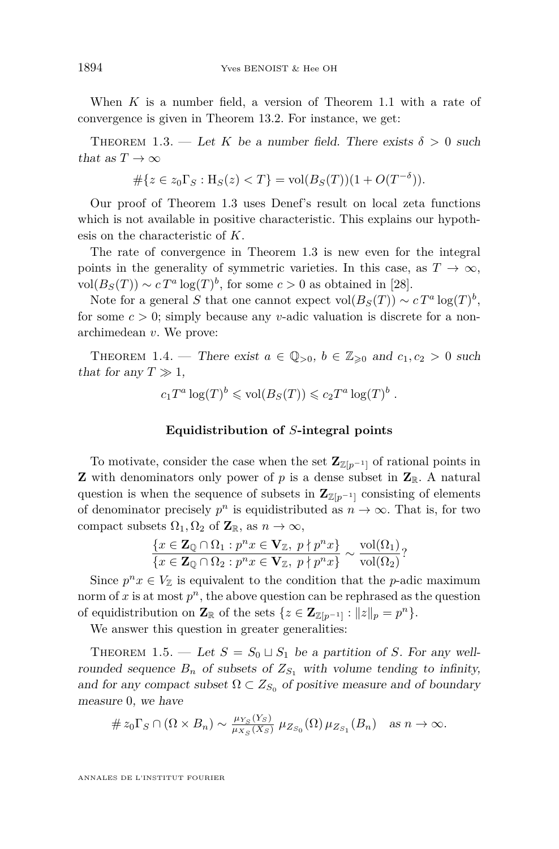<span id="page-6-0"></span>When *K* is a number field, a version of Theorem [1.1](#page-5-0) with a rate of convergence is given in Theorem [13.2.](#page-43-0) For instance, we get:

THEOREM 1.3. — Let *K* be a number field. There exists  $\delta > 0$  such that as  $T \to \infty$ 

$$
#\{z \in z_0 \Gamma_S : \text{H}_S(z) < T\} = \text{vol}(B_S(T))(1 + O(T^{-\delta})).
$$

Our proof of Theorem 1.3 uses Denef's result on local zeta functions which is not available in positive characteristic. This explains our hypothesis on the characteristic of *K*.

The rate of convergence in Theorem 1.3 is new even for the integral points in the generality of symmetric varieties. In this case, as  $T \to \infty$ ,  $vol(B_S(T)) \sim cT^a \log(T)^b$ , for some  $c > 0$  as obtained in [\[28\]](#page-53-0).

Note for a general *S* that one cannot expect  $vol(B_S(T)) \sim cT^a log(T)^b$ , for some  $c > 0$ ; simply because any *v*-adic valuation is discrete for a nonarchimedean *v*. We prove:

THEOREM 1.4. — There exist  $a \in \mathbb{Q}_{>0}$ ,  $b \in \mathbb{Z}_{\geq 0}$  and  $c_1, c_2 > 0$  such that for any  $T \gg 1$ ,

$$
c_1T^a \log(T)^b \leq \text{vol}(B_S(T)) \leqslant c_2T^a \log(T)^b
$$
.

#### **Equidistribution of** *S***-integral points**

To motivate, consider the case when the set  $\mathbb{Z}_{\mathbb{Z}[p^{-1}]}$  of rational points in **Z** with denominators only power of p is a dense subset in  $\mathbf{Z}_{\mathbb{R}}$ . A natural question is when the sequence of subsets in  $\mathbb{Z}_{\mathbb{Z}[p^{-1}]}$  consisting of elements of denominator precisely  $p^n$  is equidistributed as  $n \to \infty$ . That is, for two compact subsets  $\Omega_1, \Omega_2$  of  $\mathbb{Z}_\mathbb{R}$ , as  $n \to \infty$ ,

$$
\frac{\{x \in \mathbf{Z}_{\mathbb{Q}} \cap \Omega_1 : p^n x \in \mathbf{V}_{\mathbb{Z}}, \ p \nmid p^n x\}}{\{x \in \mathbf{Z}_{\mathbb{Q}} \cap \Omega_2 : p^n x \in \mathbf{V}_{\mathbb{Z}}, \ p \nmid p^n x\}} \sim \frac{\mathrm{vol}(\Omega_1)}{\mathrm{vol}(\Omega_2)}?
$$

Since  $p^n x \in V_{\mathbb{Z}}$  is equivalent to the condition that the *p*-adic maximum norm of  $x$  is at most  $p<sup>n</sup>$ , the above question can be rephrased as the question of equidistribution on  $\mathbf{Z}_{\mathbb{R}}$  of the sets  $\{z \in \mathbf{Z}_{\mathbb{Z}[p^{-1}]} : ||z||_p = p^n\}.$ 

We answer this question in greater generalities:

THEOREM 1.5. — Let  $S = S_0 \sqcup S_1$  be a partition of *S*. For any wellrounded sequence  $B_n$  of subsets of  $Z_{S_1}$  with volume tending to infinity, and for any compact subset  $\Omega \subset Z_{S_0}$  of positive measure and of boundary measure 0, we have

$$
\# z_0 \Gamma_S \cap (\Omega \times B_n) \sim \frac{\mu_{Y_S}(Y_S)}{\mu_{X_S}(X_S)} \mu_{Z_{S_0}}(\Omega) \mu_{Z_{S_1}}(B_n) \quad \text{as } n \to \infty.
$$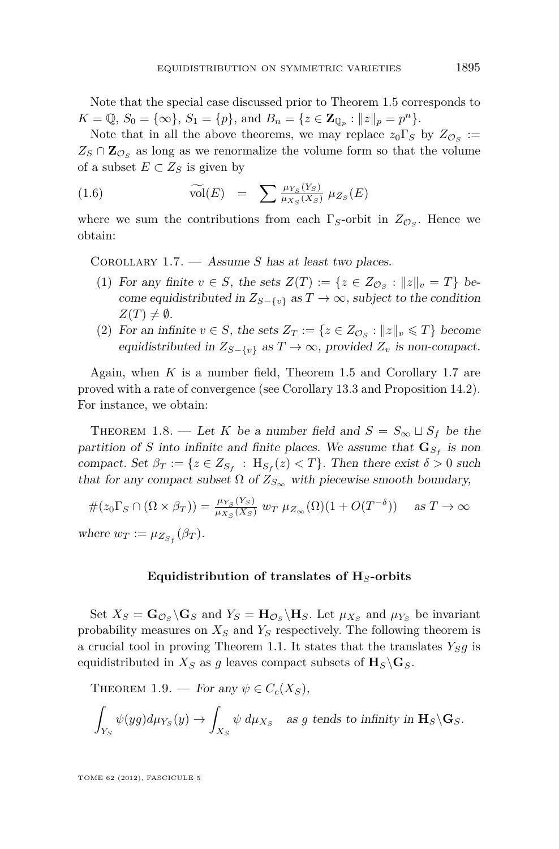<span id="page-7-0"></span>Note that the special case discussed prior to Theorem [1.5](#page-6-0) corresponds to  $K = \mathbb{Q}, S_0 = \{\infty\}, S_1 = \{p\}, \text{ and } B_n = \{z \in \mathbb{Z}_{\mathbb{Q}_p} : ||z||_p = p^n\}.$ 

Note that in all the above theorems, we may replace  $z_0 \Gamma_S$  by  $Z_{\mathcal{O}_S} :=$  $Z_S \cap \mathbb{Z}_{\mathcal{O}_S}$  as long as we renormalize the volume form so that the volume of a subset  $E \subset Z_S$  is given by

(1.6) 
$$
\widetilde{\text{vol}}(E) = \sum \frac{\mu_{Y_S}(Y_S)}{\mu_{X_S}(X_S)} \mu_{Z_S}(E)
$$

where we sum the contributions from each  $\Gamma_S$ -orbit in  $Z_{\mathcal{O}_S}$ . Hence we obtain:

Corollary 1.7. — Assume *S* has at least two places.

- (1) For any finite  $v \in S$ , the sets  $Z(T) := \{z \in Z_{\mathcal{O}_S} : ||z||_v = T\}$  become equidistributed in  $Z_{S-\{v\}}$  as  $T\to\infty$ , subject to the condition  $Z(T) \neq \emptyset$ .
- (2) For an infinite  $v \in S$ , the sets  $Z_T := \{z \in Z_{\mathcal{O}_S} : ||z||_v \leq T\}$  become equidistributed in  $Z_{S-\lbrace v \rbrace}$  as  $T \to \infty$ , provided  $Z_v$  is non-compact.

Again, when *K* is a number field, Theorem [1.5](#page-6-0) and Corollary 1.7 are proved with a rate of convergence (see Corollary [13.3](#page-44-0) and Proposition [14.2\)](#page-0-0). For instance, we obtain:

THEOREM 1.8. — Let *K* be a number field and  $S = S_{\infty} \sqcup S_f$  be the partition of *S* into infinite and finite places. We assume that  $\mathbf{G}_{S_f}$  is non compact. Set  $\beta_T := \{z \in Z_{S_f} : H_{S_f}(z) < T\}$ . Then there exist  $\delta > 0$  such that for any compact subset  $\Omega$  of  $Z_{S_{\infty}}$  with piecewise smooth boundary,

$$
\#(z_0 \Gamma_S \cap (\Omega \times \beta_T)) = \frac{\mu_{Y_S}(Y_S)}{\mu_{X_S}(X_S)} \ w_T \ \mu_{Z_{\infty}}(\Omega) (1 + O(T^{-\delta})) \quad \text{as } T \to \infty
$$
  
where  $w_T := \mu_{Z_{S_f}}(\beta_T)$ .

#### **Equidistribution of translates of H***S***-orbits**

Set  $X_S = \mathbf{G}_{\mathcal{O}_S} \backslash \mathbf{G}_S$  and  $Y_S = \mathbf{H}_{\mathcal{O}_S} \backslash \mathbf{H}_S$ . Let  $\mu_{X_S}$  and  $\mu_{Y_S}$  be invariant probability measures on *X<sup>S</sup>* and *Y<sup>S</sup>* respectively. The following theorem is a crucial tool in proving Theorem [1.1.](#page-5-0) It states that the translates  $Y_{\mathcal{S}}g$  is equidistributed in  $X_S$  as g leaves compact subsets of  $\mathbf{H}_S \backslash \mathbf{G}_S$ .

THEOREM 1.9. — For any  $\psi \in C_c(X_S)$ ,

$$
\int_{Y_S} \psi(yg) d\mu_{Y_S}(y) \to \int_{X_S} \psi \ d\mu_{X_S} \quad \text{as } g \text{ tends to infinity in } \mathbf{H}_S \backslash \mathbf{G}_S.
$$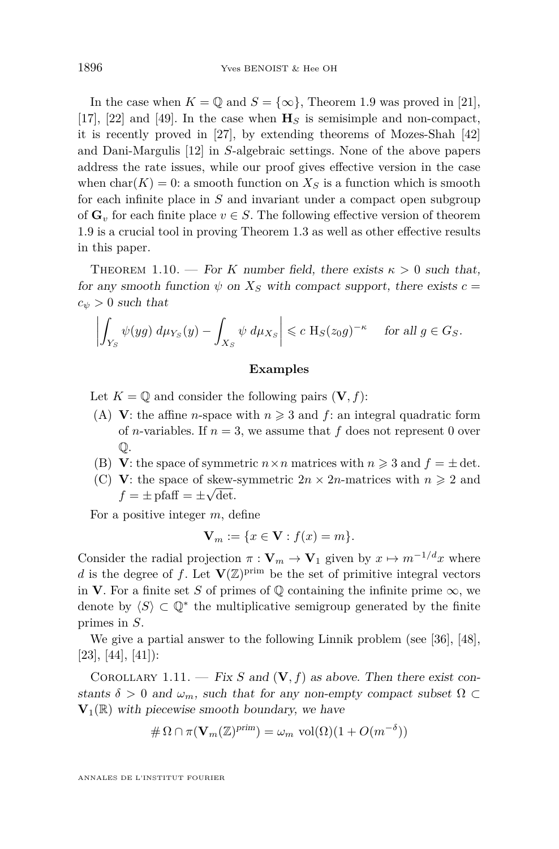<span id="page-8-0"></span>In the case when  $K = \mathbb{Q}$  and  $S = \{\infty\}$ , Theorem [1.9](#page-7-0) was proved in [\[21\]](#page-53-0), [\[17\]](#page-52-0), [\[22\]](#page-53-0) and [\[49\]](#page-54-0). In the case when  $\mathbf{H}_S$  is semisimple and non-compact, it is recently proved in [\[27\]](#page-53-0), by extending theorems of Mozes-Shah [\[42\]](#page-53-0) and Dani-Margulis [\[12\]](#page-52-0) in *S*-algebraic settings. None of the above papers address the rate issues, while our proof gives effective version in the case when  $char(K) = 0$ : a smooth function on  $X<sub>S</sub>$  is a function which is smooth for each infinite place in *S* and invariant under a compact open subgroup of  $\mathbf{G}_v$  for each finite place  $v \in S$ . The following effective version of theorem [1.9](#page-7-0) is a crucial tool in proving Theorem [1.3](#page-6-0) as well as other effective results in this paper.

THEOREM 1.10. — For *K* number field, there exists  $\kappa > 0$  such that, for any smooth function  $\psi$  on  $X<sub>S</sub>$  with compact support, there exists  $c =$  $c_{\psi} > 0$  such that

$$
\left| \int_{Y_S} \psi(yg) \, d\mu_{Y_S}(y) - \int_{X_S} \psi \, d\mu_{X_S} \right| \leqslant c \, \mathcal{H}_S(z_0 g)^{-\kappa} \quad \text{ for all } g \in G_S.
$$

#### **Examples**

Let  $K = \mathbb{Q}$  and consider the following pairs  $(V, f)$ :

- (A) **V**: the affine *n*-space with  $n \geq 3$  and *f*: an integral quadratic form of *n*-variables. If  $n = 3$ , we assume that  $f$  does not represent 0 over Q.
- (B) **V**: the space of symmetric  $n \times n$  matrices with  $n \geq 3$  and  $f = \pm \det$ .
- (C) **V**: the space of skew-symmetric  $2n \times 2n$ -matrices with  $n \geq 2$  and  $f = \pm \text{pfaff} = \pm \sqrt{\text{det}}.$

For a positive integer *m*, define

$$
\mathbf{V}_m := \{ x \in \mathbf{V} : f(x) = m \}.
$$

Consider the radial projection  $\pi : \mathbf{V}_m \to \mathbf{V}_1$  given by  $x \mapsto m^{-1/d}x$  where *d* is the degree of *f*. Let  $\mathbf{V}(\mathbb{Z})^{\text{prim}}$  be the set of primitive integral vectors in **V**. For a finite set *S* of primes of  $\mathbb{Q}$  containing the infinite prime  $\infty$ , we denote by  $\langle S \rangle \subset \mathbb{Q}^*$  the multiplicative semigroup generated by the finite primes in *S*.

We give a partial answer to the following Linnik problem (see [\[36\]](#page-53-0), [\[48\]](#page-54-0),  $[23], [44], [41]$  $[23], [44], [41]$  $[23], [44], [41]$  $[23], [44], [41]$  $[23], [44], [41]$ :

COROLLARY 1.11. — Fix S and  $(V, f)$  as above. Then there exist constants  $\delta > 0$  and  $\omega_m$ , such that for any non-empty compact subset  $\Omega \subset$  $\mathbf{V}_1(\mathbb{R})$  with piecewise smooth boundary, we have

$$
\#\Omega \cap \pi(\mathbf{V}_m(\mathbb{Z})^{\text{prim}}) = \omega_m \text{ vol}(\Omega)(1 + O(m^{-\delta}))
$$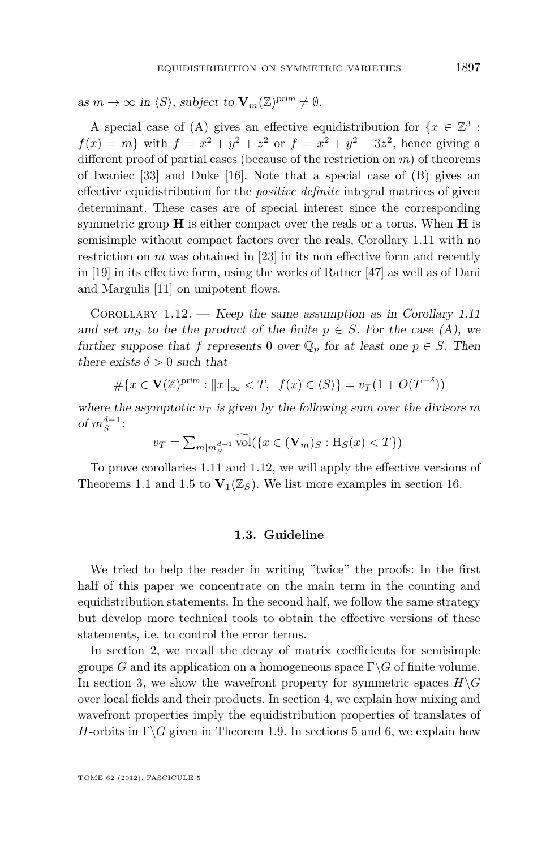<span id="page-9-0"></span>as  $m \to \infty$  in  $\langle S \rangle$ , subject to  $\mathbf{V}_m(\mathbb{Z})^{\text{prim}} \neq \emptyset$ .

A special case of (A) gives an effective equidistribution for  $\{x \in \mathbb{Z}^3 :$  $f(x) = m$ } with  $f = x^2 + y^2 + z^2$  or  $f = x^2 + y^2 - 3z^2$ , hence giving a different proof of partial cases (because of the restriction on *m*) of theorems of Iwaniec [\[33\]](#page-53-0) and Duke [\[16\]](#page-52-0). Note that a special case of (B) gives an effective equidistribution for the *positive definite* integral matrices of given determinant. These cases are of special interest since the corresponding symmetric group **H** is either compact over the reals or a torus. When **H** is semisimple without compact factors over the reals, Corollary [1.11](#page-8-0) with no restriction on *m* was obtained in [\[23\]](#page-53-0) in its non effective form and recently in [\[19\]](#page-52-0) in its effective form, using the works of Ratner [\[47\]](#page-54-0) as well as of Dani and Margulis [\[11\]](#page-52-0) on unipotent flows.

COROLLARY  $1.12.$  - Keep the same assumption as in Corollary [1.11](#page-8-0) and set  $m<sub>S</sub>$  to be the product of the finite  $p \in S$ . For the case (A), we further suppose that *f* represents 0 over  $\mathbb{Q}_p$  for at least one  $p \in S$ . Then there exists  $\delta > 0$  such that

$$
\#\{x \in \mathbf{V}(\mathbb{Z})^{\text{prim}} : \|x\|_{\infty} < T, \ f(x) \in \langle S \rangle\} = v_T(1 + O(T^{-\delta}))
$$

where the asymptotic  $v_T$  is given by the following sum over the divisors m of  $m_S^{d-1}$ :

$$
v_T = \sum_{m|m_S^{d-1}} \widetilde{\text{vol}}(\{x \in (\mathbf{V}_m)_S : \mathbf{H}_S(x) < T\})
$$

To prove corollaries [1.11](#page-8-0) and 1.12, we will apply the effective versions of Theorems [1.1](#page-5-0) and [1.5](#page-6-0) to  $\mathbf{V}_1(\mathbb{Z}_S)$ . We list more examples in section [16.](#page-49-0)

#### **1.3. Guideline**

We tried to help the reader in writing "twice" the proofs: In the first half of this paper we concentrate on the main term in the counting and equidistribution statements. In the second half, we follow the same strategy but develop more technical tools to obtain the effective versions of these statements, i.e. to control the error terms.

In section [2,](#page-10-0) we recall the decay of matrix coefficients for semisimple groups *G* and its application on a homogeneous space  $\Gamma \backslash G$  of finite volume. In section [3,](#page-11-0) we show the wavefront property for symmetric spaces  $H\backslash G$ over local fields and their products. In section [4,](#page-14-0) we explain how mixing and wavefront properties imply the equidistribution properties of translates of *H*-orbits in  $\Gamma \backslash G$  given in Theorem [1.9.](#page-7-0) In sections [5](#page-17-0) and [6,](#page-18-0) we explain how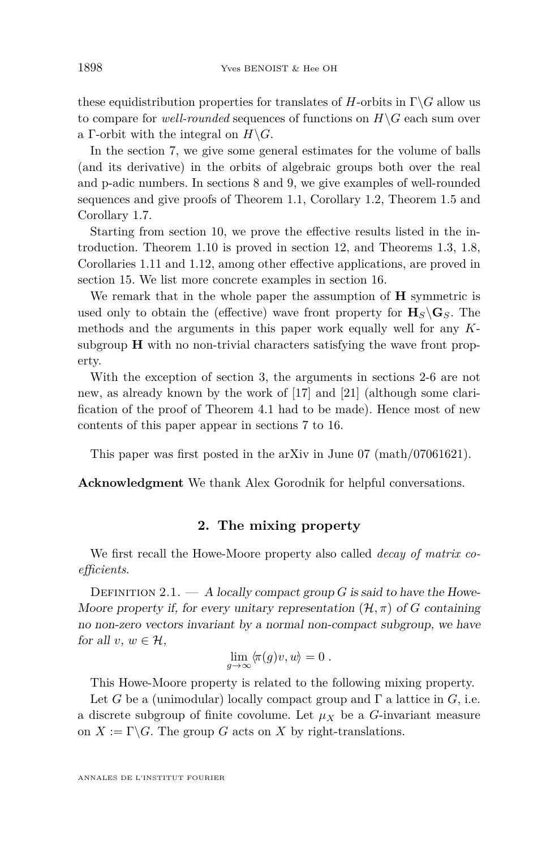these equidistribution properties for translates of  $H$ -orbits in  $\Gamma \backslash G$  allow us to compare for *well-rounded* sequences of functions on  $H\ G$  each sum over a Γ-orbit with the integral on  $H\backslash G$ .

In the section [7,](#page-20-0) we give some general estimates for the volume of balls (and its derivative) in the orbits of algebraic groups both over the real and p-adic numbers. In sections [8](#page-26-0) and [9,](#page-32-0) we give examples of well-rounded sequences and give proofs of Theorem [1.1,](#page-5-0) Corollary [1.2,](#page-5-0) Theorem [1.5](#page-6-0) and Corollary [1.7.](#page-7-0)

Starting from section [10,](#page-34-0) we prove the effective results listed in the introduction. Theorem [1.10](#page-8-0) is proved in section [12,](#page-40-0) and Theorems [1.3,](#page-6-0) [1.8,](#page-7-0) Corollaries [1.11](#page-8-0) and [1.12,](#page-9-0) among other effective applications, are proved in section [15.](#page-46-0) We list more concrete examples in section [16.](#page-49-0)

We remark that in the whole paper the assumption of **H** symmetric is used only to obtain the (effective) wave front property for  $\mathbf{H}_S\backslash\mathbf{G}_S$ . The methods and the arguments in this paper work equally well for any *K*subgroup **H** with no non-trivial characters satisfying the wave front property.

With the exception of section [3,](#page-11-0) the arguments in sections 2[-6](#page-18-0) are not new, as already known by the work of [\[17\]](#page-52-0) and [\[21\]](#page-53-0) (although some clarification of the proof of Theorem [4.1](#page-14-0) had to be made). Hence most of new contents of this paper appear in sections [7](#page-20-0) to [16.](#page-49-0)

This paper was first posted in the arXiv in June 07 (math/07061621).

**Acknowledgment** We thank Alex Gorodnik for helpful conversations.

#### **2. The mixing property**

We first recall the Howe-Moore property also called *decay of matrix coefficients*.

DEFINITION 2.1.  $- A$  locally compact group *G* is said to have the Howe-Moore property if, for every unitary representation  $(\mathcal{H}, \pi)$  of *G* containing no non-zero vectors invariant by a normal non-compact subgroup, we have for all  $v, w \in \mathcal{H}$ ,

$$
\lim_{g\to\infty}\langle\!\pi(g)v,w\rangle=0\;.
$$

This Howe-Moore property is related to the following mixing property.

Let *G* be a (unimodular) locally compact group and  $\Gamma$  a lattice in *G*, i.e. a discrete subgroup of finite covolume. Let  $\mu_X$  be a *G*-invariant measure on  $X := \Gamma \backslash G$ . The group *G* acts on *X* by right-translations.

<span id="page-10-0"></span>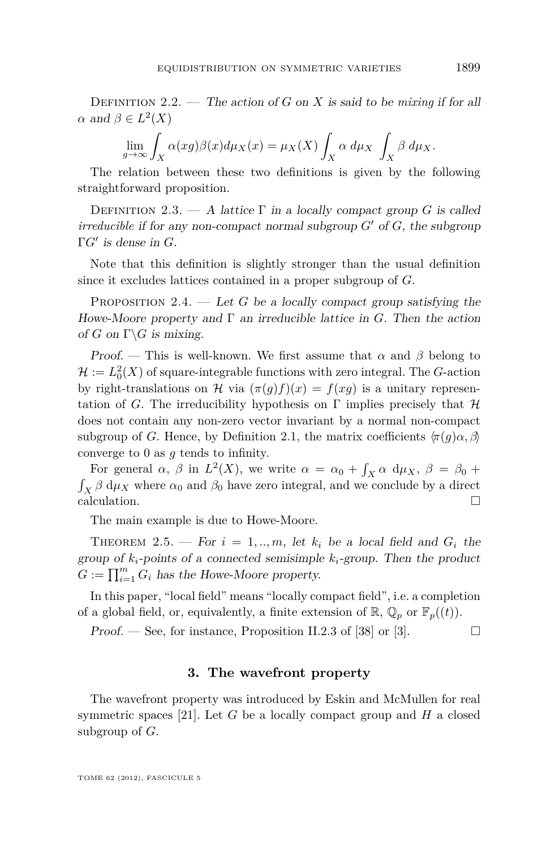<span id="page-11-0"></span>DEFINITION 2.2. — The action of *G* on *X* is said to be *mixing* if for all *α* and  $β ∈ L<sup>2</sup>(X)$ 

$$
\lim_{g \to \infty} \int_X \alpha(xg)\beta(x)d\mu_X(x) = \mu_X(X)\int_X \alpha d\mu_X \int_X \beta d\mu_X.
$$

The relation between these two definitions is given by the following straightforward proposition.

DEFINITION 2.3. — A lattice  $\Gamma$  in a locally compact group *G* is called *irreducible* if for any non-compact normal subgroup  $G'$  of  $G$ , the subgroup Γ*G*<sup>0</sup> is dense in *G*.

Note that this definition is slightly stronger than the usual definition since it excludes lattices contained in a proper subgroup of *G*.

PROPOSITION 2.4.  $\qquad$  Let *G* be a locally compact group satisfying the Howe-Moore property and  $\Gamma$  an irreducible lattice in *G*. Then the action of *G* on  $\Gamma \backslash G$  is mixing.

Proof. — This is well-known. We first assume that  $\alpha$  and  $\beta$  belong to  $\mathcal{H} := L_0^2(X)$  of square-integrable functions with zero integral. The *G*-action by right-translations on H via  $(\pi(g)f)(x) = f(xg)$  is a unitary representation of *G*. The irreducibility hypothesis on  $\Gamma$  implies precisely that  $\mathcal H$ does not contain any non-zero vector invariant by a normal non-compact subgroup of *G*. Hence, by Definition [2.1,](#page-10-0) the matrix coefficients  $\langle \pi(q)\alpha, \beta \rangle$ converge to 0 as *g* tends to infinity.

For general  $\alpha$ ,  $\beta$  in  $L^2(X)$ , we write  $\alpha = \alpha_0 + \int_X \alpha \, d\mu_X$ ,  $\beta = \beta_0 + \int_X \alpha \, d\mu_X$  $\int_X \beta \, d\mu_X$  where  $\alpha_0$  and  $\beta_0$  have zero integral, and we conclude by a direct calculation.  $\Box$ 

The main example is due to Howe-Moore.

THEOREM 2.5. — For  $i = 1, ..., m$ , let  $k_i$  be a local field and  $G_i$  the group of  $k_i$ -points of a connected semisimple  $k_i$ -group. Then the product  $G := \prod_{i=1}^{m} G_i$  has the Howe-Moore property.

In this paper, "local field" means "locally compact field", i.e. a completion of a global field, or, equivalently, a finite extension of  $\mathbb{R}, \mathbb{Q}_p$  or  $\mathbb{F}_p((t))$ .

Proof. — See, for instance, Proposition II.2.3 of [\[38\]](#page-53-0) or [\[3\]](#page-52-0).  $\Box$ 

#### **3. The wavefront property**

The wavefront property was introduced by Eskin and McMullen for real symmetric spaces [\[21\]](#page-53-0). Let  $G$  be a locally compact group and  $H$  a closed subgroup of *G*.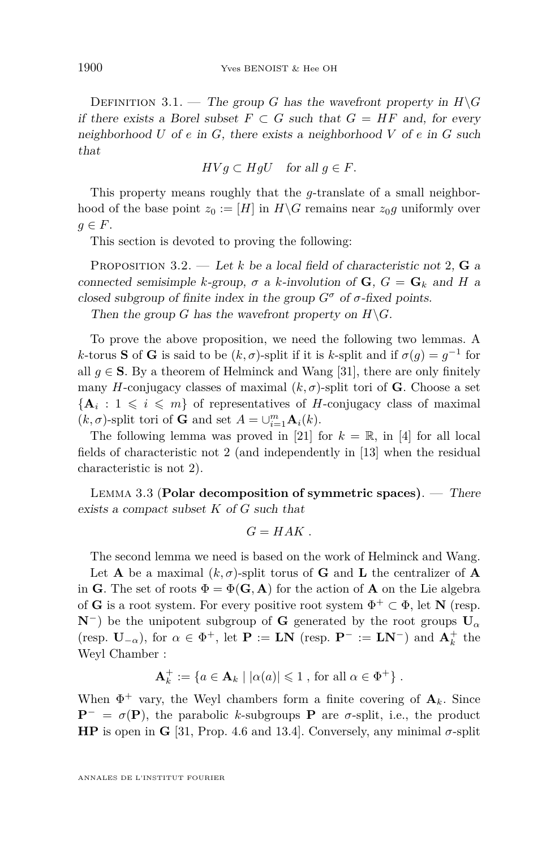<span id="page-12-0"></span>DEFINITION 3.1. — The group *G* has the wavefront property in  $H\ G$ if there exists a Borel subset  $F \subset G$  such that  $G = HF$  and, for every neighborhood *U* of *e* in *G*, there exists a neighborhood *V* of *e* in *G* such that

$$
HVg\subset HgU \quad \text{for all } g\in F.
$$

This property means roughly that the *g*-translate of a small neighborhood of the base point  $z_0 := [H]$  in  $H \backslash G$  remains near  $z_0 g$  uniformly over  $q \in F$ .

This section is devoted to proving the following:

PROPOSITION 3.2. — Let *k* be a local field of characteristic not 2, **G** a connected semisimple *k*-group,  $\sigma$  a *k*-involution of **G**,  $G = G_k$  and *H* a closed subgroup of finite index in the group  $G^{\sigma}$  of  $\sigma$ -fixed points.

Then the group *G* has the wavefront property on  $H\backslash G$ .

To prove the above proposition, we need the following two lemmas. A *k*-torus **S** of **G** is said to be  $(k, \sigma)$ -split if it is *k*-split and if  $\sigma(g) = g^{-1}$  for all  $g \in S$ . By a theorem of Helminck and Wang [\[31\]](#page-53-0), there are only finitely many *H*-conjugacy classes of maximal  $(k, \sigma)$ -split tori of **G**. Choose a set  ${A_i : 1 \leq i \leq m}$  of representatives of *H*-conjugacy class of maximal  $(k, \sigma)$ -split tori of **G** and set  $A = \bigcup_{i=1}^{m} \mathbf{A}_i(k)$ .

The following lemma was proved in [\[21\]](#page-53-0) for  $k = \mathbb{R}$ , in [\[4\]](#page-52-0) for all local fields of characteristic not 2 (and independently in [\[13\]](#page-52-0) when the residual characteristic is not 2).

Lemma 3.3 (**Polar decomposition of symmetric spaces)**. — There exists a compact subset *K* of *G* such that

$$
G=HAK.
$$

The second lemma we need is based on the work of Helminck and Wang.

Let **A** be a maximal  $(k, \sigma)$ -split torus of **G** and **L** the centralizer of **A** in **G**. The set of roots  $\Phi = \Phi(\mathbf{G}, \mathbf{A})$  for the action of **A** on the Lie algebra of **G** is a root system. For every positive root system  $\Phi^+ \subset \Phi$ , let **N** (resp.  $N^-$ ) be the unipotent subgroup of **G** generated by the root groups  $U_\alpha$ (resp.  $\mathbf{U}_{-\alpha}$ ), for  $\alpha \in \Phi^+$ , let  $\mathbf{P} := \mathbf{LN}$  (resp.  $\mathbf{P}^- := \mathbf{LN}^-$ ) and  $\mathbf{A}_k^+$  the Weyl Chamber :

$$
\mathbf{A}_k^+ := \{ a \in \mathbf{A}_k \mid |\alpha(a)| \leq 1 , \text{ for all } \alpha \in \Phi^+ \} .
$$

When  $\Phi^+$  vary, the Weyl chambers form a finite covering of  $\mathbf{A}_k$ . Since  $\mathbf{P}^- = \sigma(\mathbf{P})$ , the parabolic *k*-subgroups **P** are *σ*-split, i.e., the product **HP** is open in **G** [\[31,](#page-53-0) Prop. 4.6 and 13.4]. Conversely, any minimal  $\sigma$ -split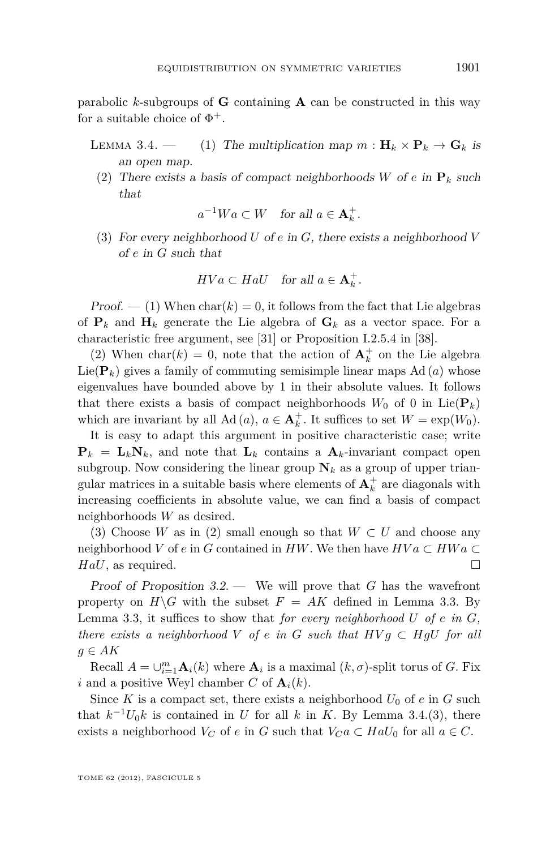parabolic *k*-subgroups of **G** containing **A** can be constructed in this way for a suitable choice of  $\Phi^+$ .

- LEMMA 3.4. (1) The multiplication map  $m : \mathbf{H}_k \times \mathbf{P}_k \to \mathbf{G}_k$  is an open map.
	- (2) There exists a basis of compact neighborhoods *W* of *e* in  $\mathbf{P}_k$  such that

$$
a^{-1}Wa \subset W \quad \text{for all } a \in \mathbf{A}_k^+.
$$

(3) For every neighborhood *U* of *e* in *G*, there exists a neighborhood *V* of *e* in *G* such that

$$
HVa\subset HalU \quad \text{for all } a\in \mathbf{A}_k^+.
$$

 $Proof. - (1)$  When  $char(k) = 0$ , it follows from the fact that Lie algebras of  $P_k$  and  $H_k$  generate the Lie algebra of  $G_k$  as a vector space. For a characteristic free argument, see [\[31\]](#page-53-0) or Proposition I.2.5.4 in [\[38\]](#page-53-0).

(2) When  $char(k) = 0$ , note that the action of  $A_k^+$  on the Lie algebra Lie( $\mathbf{P}_k$ ) gives a family of commuting semisimple linear maps Ad  $(a)$  whose eigenvalues have bounded above by 1 in their absolute values. It follows that there exists a basis of compact neighborhoods  $W_0$  of 0 in Lie( $\mathbf{P}_k$ ) which are invariant by all  $\text{Ad}(a)$ ,  $a \in \mathbf{A}_k^+$ . It suffices to set  $W = \exp(W_0)$ .

It is easy to adapt this argument in positive characteristic case; write  $P_k = L_k N_k$ , and note that  $L_k$  contains a  $A_k$ -invariant compact open subgroup. Now considering the linear group  $N_k$  as a group of upper triangular matrices in a suitable basis where elements of  $A_k^+$  are diagonals with increasing coefficients in absolute value, we can find a basis of compact neighborhoods *W* as desired.

(3) Choose *W* as in (2) small enough so that  $W \subset U$  and choose any neighborhood *V* of *e* in *G* contained in *HW*. We then have  $HVa \subset HWa$ *HaU*, as required. □

Proof of Proposition [3.2.](#page-12-0) — We will prove that *G* has the wavefront property on  $H\backslash G$  with the subset  $F = AK$  defined in Lemma [3.3.](#page-12-0) By Lemma [3.3,](#page-12-0) it suffices to show that *for every neighborhood U of e in G, there exists a neighborhood V of e in G such that*  $HVg \subset HgU$  *for all g* ∈ *AK*

Recall  $A = \bigcup_{i=1}^{m} \mathbf{A}_i(k)$  where  $\mathbf{A}_i$  is a maximal  $(k, \sigma)$ -split torus of *G*. Fix *i* and a positive Weyl chamber *C* of  $A_i(k)$ .

Since *K* is a compact set, there exists a neighborhood  $U_0$  of  $e$  in  $G$  such that  $k^{-1}U_0k$  is contained in *U* for all *k* in *K*. By Lemma [3.4.](#page-0-0)(3), there exists a neighborhood  $V_C$  of *e* in *G* such that  $V_C a \subset H a U_0$  for all  $a \in C$ .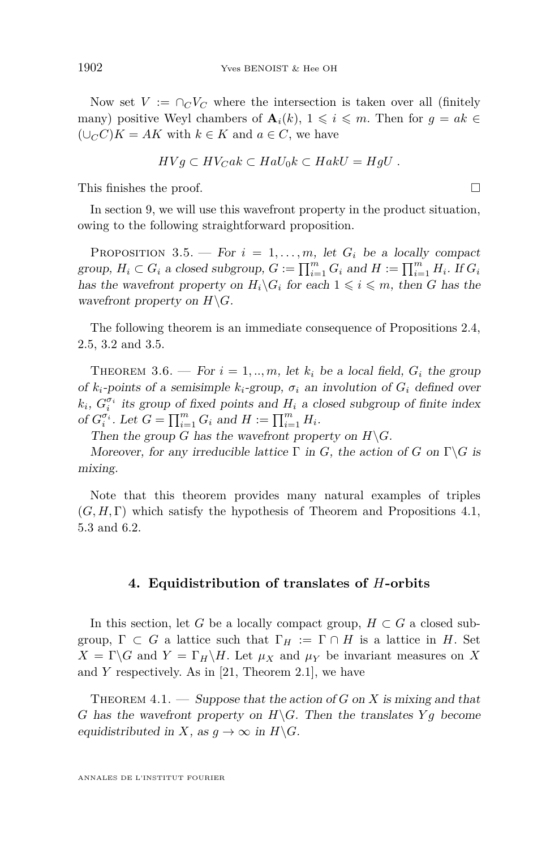<span id="page-14-0"></span>Now set  $V := \bigcap_{C} V_C$  where the intersection is taken over all (finitely many) positive Weyl chambers of  $\mathbf{A}_i(k)$ ,  $1 \leqslant i \leqslant m$ . Then for  $g = ak \in$  $(∪<sub>C</sub>C)K = AK$  with  $k \in K$  and  $a \in C$ , we have

$$
HVg\subset HV_Cak\subset HalU_0k\subset HakU=HgU.
$$

This finishes the proof.  $\hfill \square$ 

In section [9,](#page-32-0) we will use this wavefront property in the product situation, owing to the following straightforward proposition.

PROPOSITION 3.5. — For  $i = 1, \ldots, m$ , let  $G_i$  be a locally compact group,  $H_i \subset G_i$  a closed subgroup,  $G := \prod_{i=1}^m G_i$  and  $H := \prod_{i=1}^m H_i$ . If  $G_i$ has the wavefront property on  $H_i\backslash G_i$  for each  $1 \leq i \leq m$ , then *G* has the wavefront property on  $H \backslash G$ .

The following theorem is an immediate consequence of Propositions [2.4,](#page-11-0) [2.5,](#page-11-0) [3.2](#page-12-0) and 3.5.

THEOREM 3.6. — For  $i = 1, ..., m$ , let  $k_i$  be a local field,  $G_i$  the group of  $k_i$ -points of a semisimple  $k_i$ -group,  $\sigma_i$  an involution of  $G_i$  defined over  $k_i$ ,  $G_i^{\sigma_i}$  its group of fixed points and  $H_i$  a closed subgroup of finite index of  $G_i^{\sigma_i}$ . Let  $G = \prod_{i=1}^m G_i$  and  $H := \prod_{i=1}^m H_i$ .

Then the group *G* has the wavefront property on  $H\backslash G$ .

Moreover, for any irreducible lattice  $\Gamma$  in *G*, the action of *G* on  $\Gamma \backslash G$  is mixing.

Note that this theorem provides many natural examples of triples  $(G, H, \Gamma)$  which satisfy the hypothesis of Theorem and Propositions 4.1, [5.3](#page-17-0) and [6.2.](#page-19-0)

#### **4. Equidistribution of translates of** *H***-orbits**

In this section, let *G* be a locally compact group,  $H \subset G$  a closed subgroup,  $\Gamma \subset G$  a lattice such that  $\Gamma_H := \Gamma \cap H$  is a lattice in *H*. Set  $X = \Gamma \backslash G$  and  $Y = \Gamma_H \backslash H$ . Let  $\mu_X$  and  $\mu_Y$  be invariant measures on X and *Y* respectively. As in [\[21,](#page-53-0) Theorem 2.1], we have

THEOREM  $4.1.$  — Suppose that the action of *G* on *X* is mixing and that *G* has the wavefront property on  $H\backslash G$ . Then the translates  $Yg$  become equidistributed in *X*, as  $g \to \infty$  in  $H \backslash G$ .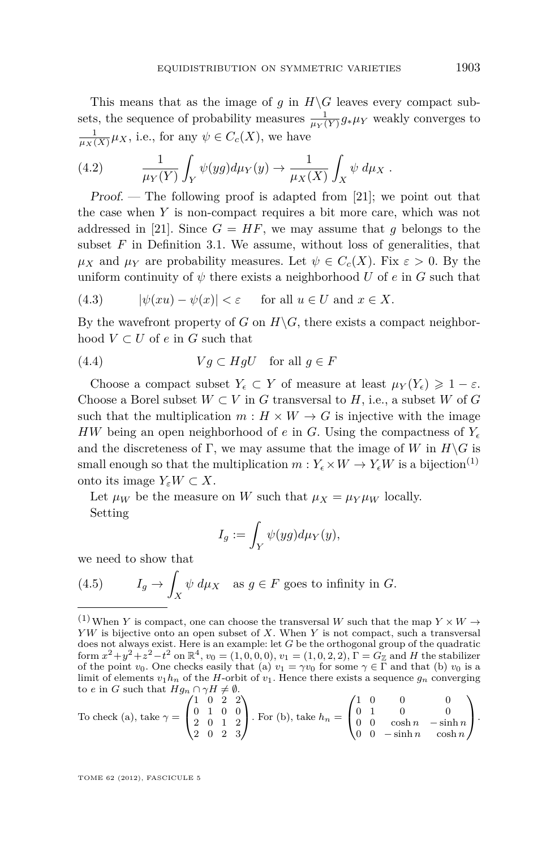<span id="page-15-0"></span>This means that as the image of *g* in  $H\ G$  leaves every compact subsets, the sequence of probability measures  $\frac{1}{\mu_Y(Y)} g_* \mu_Y$  weakly converges to  $\frac{1}{\mu_X(X)}\mu_X$ , i.e., for any  $\psi \in C_c(X)$ , we have

(4.2) 
$$
\frac{1}{\mu_Y(Y)} \int_Y \psi(yg) d\mu_Y(y) \to \frac{1}{\mu_X(X)} \int_X \psi d\mu_X.
$$

Proof. — The following proof is adapted from [\[21\]](#page-53-0); we point out that the case when *Y* is non-compact requires a bit more care, which was not addressed in [\[21\]](#page-53-0). Since  $G = HF$ , we may assume that *g* belongs to the subset  $F$  in Definition [3.1.](#page-12-0) We assume, without loss of generalities, that  $\mu_X$  and  $\mu_Y$  are probability measures. Let  $\psi \in C_c(X)$ . Fix  $\varepsilon > 0$ . By the uniform continuity of  $\psi$  there exists a neighborhood U of e in G such that

(4.3) 
$$
|\psi(xu) - \psi(x)| < \varepsilon \quad \text{for all } u \in U \text{ and } x \in X.
$$

By the wavefront property of *G* on  $H\backslash G$ , there exists a compact neighborhood  $V \subset U$  of  $e$  in  $G$  such that

(4.4) 
$$
Vg \subset HgU \quad \text{for all } g \in F
$$

Choose a compact subset  $Y_{\epsilon} \subset Y$  of measure at least  $\mu_Y(Y_{\epsilon}) \geq 1 - \varepsilon$ . Choose a Borel subset  $W \subset V$  in *G* transversal to *H*, i.e., a subset *W* of *G* such that the multiplication  $m : H \times W \to G$  is injective with the image *HW* being an open neighborhood of *e* in *G*. Using the compactness of  $Y_{\epsilon}$ and the discreteness of  $\Gamma$ , we may assume that the image of *W* in  $H\backslash G$  is small enough so that the multiplication  $m: Y_{\epsilon} \times W \to Y_{\epsilon}W$  is a bijection<sup>(1)</sup> onto its image  $Y_{\varepsilon}W \subset X$ .

Let  $\mu_W$  be the measure on *W* such that  $\mu_X = \mu_Y \mu_W$  locally. Setting

$$
I_g:=\int_Y \psi(yg)d\mu_Y(y),
$$

we need to show that

(4.5) 
$$
I_g \to \int_X \psi \, d\mu_X \quad \text{as } g \in F \text{ goes to infinity in } G.
$$

To check (a), take 
$$
\gamma = \begin{pmatrix} 1 & 0 & 2 & 2 \\ 0 & 1 & 0 & 0 \\ 2 & 0 & 1 & 2 \\ 2 & 0 & 2 & 3 \end{pmatrix}
$$
. For (b), take  $h_n = \begin{pmatrix} 1 & 0 & 0 & 0 \\ 0 & 1 & 0 & 0 \\ 0 & 0 & \cosh n & -\sinh n \\ 0 & 0 & -\sinh n & \cosh n \end{pmatrix}$ .

<sup>&</sup>lt;sup>(1)</sup>When *Y* is compact, one can choose the transversal *W* such that the map  $Y \times W \rightarrow$ *Y W* is bijective onto an open subset of *X*. When *Y* is not compact, such a transversal does not always exist. Here is an example: let *G* be the orthogonal group of the quadratic form  $x^2 + y^2 + z^2 - t^2$  on  $\mathbb{R}^4$ ,  $v_0 = (1, 0, 0, 0), v_1 = (1, 0, 2, 2), \overline{\Gamma} = \overline{G_{\mathbb{Z}}}$  and *H* the stabilizer of the point *v*<sub>0</sub>. One checks easily that (a)  $v_1 = \gamma v_0$  for some  $\gamma \in \Gamma$  and that (b) *v*<sub>0</sub> is a limit of elements  $v_1h_n$  of the *H*-orbit of  $v_1$ . Hence there exists a sequence  $g_n$  converging to *e* in *G* such that  $Hg_n \cap \gamma H \neq \emptyset$ .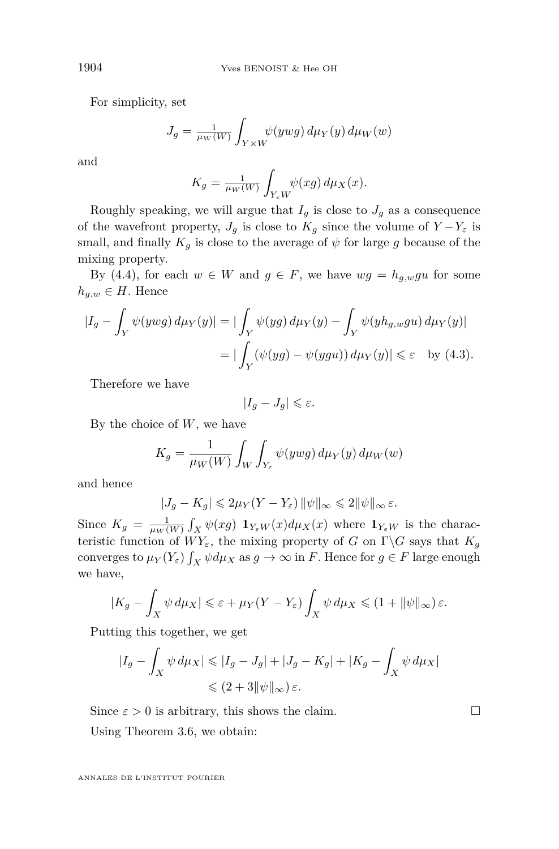For simplicity, set

$$
J_g = \frac{1}{\mu_W(W)} \int_{Y \times W} \psi(ywg) \, d\mu_Y(y) \, d\mu_W(w)
$$

and

$$
K_g = \frac{1}{\mu_W(W)} \int_{Y_{\varepsilon}W} \psi(xg) \, d\mu_X(x).
$$

Roughly speaking, we will argue that  $I_g$  is close to  $J_g$  as a consequence of the wavefront property,  $J_g$  is close to  $K_g$  since the volume of  $Y - Y_\varepsilon$  is small, and finally  $K_g$  is close to the average of  $\psi$  for large g because of the mixing property.

By [\(4.4\)](#page-15-0), for each  $w \in W$  and  $g \in F$ , we have  $wg = h_{q,w}gu$  for some  $h_{g,w} \in H$ . Hence

$$
\begin{aligned} |I_g - \int_Y \psi(ywg) \, d\mu_Y(y)| &= |\int_Y \psi(yg) \, d\mu_Y(y) - \int_Y \psi(yh_{g,w}gu) \, d\mu_Y(y)| \\ &= |\int_Y (\psi(yg) - \psi(ygu)) \, d\mu_Y(y)| \leq \varepsilon \quad \text{by (4.3)}. \end{aligned}
$$

Therefore we have

$$
|I_g-J_g|\leqslant \varepsilon.
$$

By the choice of *W*, we have

$$
K_g = \frac{1}{\mu_W(W)} \int_W \int_{Y_\varepsilon} \psi(ywg) \, d\mu_Y(y) \, d\mu_W(w)
$$

and hence

$$
|J_g - K_g| \leq 2\mu_Y(Y - Y_\varepsilon) \|\psi\|_\infty \leq 2\|\psi\|_\infty \varepsilon.
$$

Since  $K_g = \frac{1}{\mu_W(W)} \int_X \psi(xg) \mathbf{1}_{Y_\varepsilon W}(x) d\mu_X(x)$  where  $\mathbf{1}_{Y_\varepsilon W}$  is the characteristic function of  $WY_{\varepsilon}$ , the mixing property of *G* on  $\Gamma \backslash G$  says that  $K_g$ converges to  $\mu_Y(Y_\varepsilon)\int_X \psi d\mu_X$  as  $g \to \infty$  in *F*. Hence for  $g \in F$  large enough we have,

$$
|K_g - \int_X \psi \, d\mu_X| \leq \varepsilon + \mu_Y(Y - Y_\varepsilon) \int_X \psi \, d\mu_X \leq (1 + \|\psi\|_\infty) \, \varepsilon.
$$

Putting this together, we get

$$
|I_g - \int_X \psi \, d\mu_X| \leq |I_g - J_g| + |J_g - K_g| + |K_g - \int_X \psi \, d\mu_X|
$$
  

$$
\leq (2 + 3||\psi||_{\infty}) \, \varepsilon.
$$

Since  $\varepsilon > 0$  is arbitrary, this shows the claim.

Using Theorem [3.6,](#page-14-0) we obtain: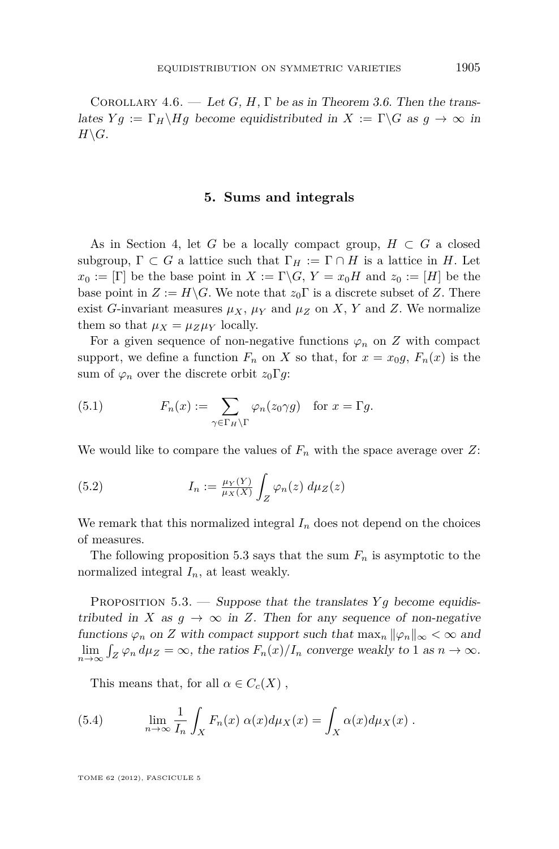<span id="page-17-0"></span>COROLLARY 4.6. — Let *G*, *H*,  $\Gamma$  be as in Theorem [3.6.](#page-14-0) Then the translates  $Yg := \Gamma_H \backslash Hg$  become equidistributed in  $X := \Gamma \backslash G$  as  $g \to \infty$  in  $H\backslash G$ .

#### **5. Sums and integrals**

As in Section [4,](#page-14-0) let *G* be a locally compact group,  $H \subset G$  a closed subgroup,  $\Gamma \subset G$  a lattice such that  $\Gamma_H := \Gamma \cap H$  is a lattice in *H*. Let  $x_0 := [\Gamma]$  be the base point in  $X := \Gamma \backslash G$ ,  $Y = x_0 H$  and  $z_0 := [H]$  be the base point in  $Z := H \backslash G$ . We note that  $z_0 \Gamma$  is a discrete subset of *Z*. There exist *G*-invariant measures  $\mu_X$ ,  $\mu_Y$  and  $\mu_Z$  on X, Y and Z. We normalize them so that  $\mu_X = \mu_Z \mu_Y$  locally.

For a given sequence of non-negative functions  $\varphi_n$  on *Z* with compact support, we define a function  $F_n$  on X so that, for  $x = x_0g$ ,  $F_n(x)$  is the sum of  $\varphi_n$  over the discrete orbit  $z_0 \Gamma g$ :

(5.1) 
$$
F_n(x) := \sum_{\gamma \in \Gamma_H \backslash \Gamma} \varphi_n(z_0 \gamma g) \text{ for } x = \Gamma g.
$$

We would like to compare the values of  $F_n$  with the space average over  $Z$ :

(5.2) 
$$
I_n := \frac{\mu_Y(Y)}{\mu_X(X)} \int_Z \varphi_n(z) \, d\mu_Z(z)
$$

We remark that this normalized integral  $I_n$  does not depend on the choices of measures.

The following proposition 5.3 says that the sum  $F_n$  is asymptotic to the normalized integral *In*, at least weakly.

PROPOSITION 5.3. — Suppose that the translates *Y<sub>9</sub>* become equidistributed in *X* as  $g \to \infty$  in *Z*. Then for any sequence of non-negative functions  $\varphi_n$  on *Z* with compact support such that  $\max_n ||\varphi_n||_{\infty} < \infty$  and  $\lim_{n\to\infty} \int_Z \varphi_n d\mu_Z = \infty$ , the ratios  $F_n(x)/I_n$  converge weakly to 1 as  $n \to \infty$ .

This means that, for all  $\alpha \in C_c(X)$ ,

(5.4) 
$$
\lim_{n \to \infty} \frac{1}{I_n} \int_X F_n(x) \alpha(x) d\mu_X(x) = \int_X \alpha(x) d\mu_X(x) .
$$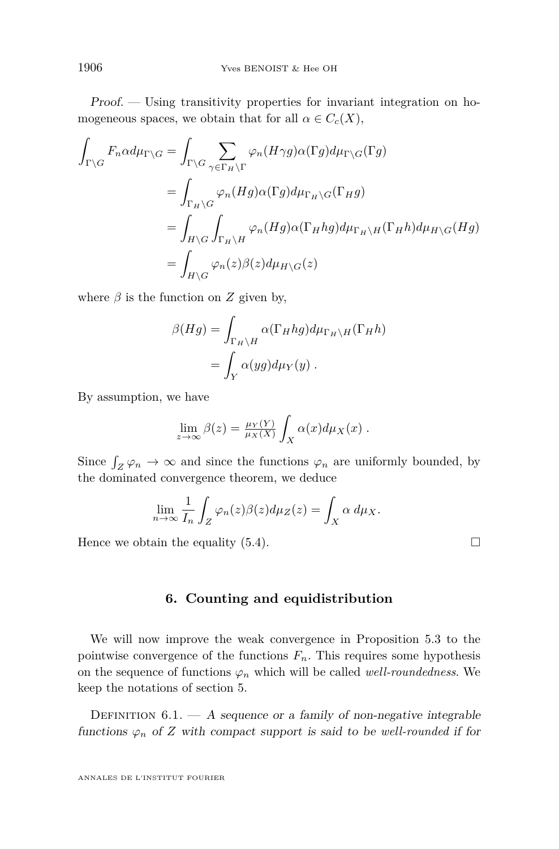<span id="page-18-0"></span>Proof. — Using transitivity properties for invariant integration on homogeneous spaces, we obtain that for all  $\alpha \in C_c(X)$ ,

$$
\int_{\Gamma\backslash G} F_n \alpha d\mu_{\Gamma\backslash G} = \int_{\Gamma\backslash G} \sum_{\gamma \in \Gamma_H \backslash \Gamma} \varphi_n(H\gamma g) \alpha(\Gamma g) d\mu_{\Gamma\backslash G}(\Gamma g)
$$
\n
$$
= \int_{\Gamma_H \backslash G} \varphi_n(Hg) \alpha(\Gamma g) d\mu_{\Gamma_H \backslash G}(\Gamma_H g)
$$
\n
$$
= \int_{H \backslash G} \int_{\Gamma_H \backslash H} \varphi_n(Hg) \alpha(\Gamma_H hg) d\mu_{\Gamma_H \backslash H}(\Gamma_H h) d\mu_{H \backslash G}(Hg)
$$
\n
$$
= \int_{H \backslash G} \varphi_n(z) \beta(z) d\mu_{H \backslash G}(z)
$$

where  $\beta$  is the function on  $Z$  given by,

$$
\beta(Hg) = \int_{\Gamma_H \backslash H} \alpha(\Gamma_H hg) d\mu_{\Gamma_H \backslash H}(\Gamma_H h)
$$
  
= 
$$
\int_Y \alpha(gg) d\mu_Y(g) .
$$

By assumption, we have

$$
\lim_{z \to \infty} \beta(z) = \frac{\mu_Y(Y)}{\mu_X(X)} \int_X \alpha(x) d\mu_X(x) .
$$

Since  $\int_Z \varphi_n \to \infty$  and since the functions  $\varphi_n$  are uniformly bounded, by the dominated convergence theorem, we deduce

$$
\lim_{n \to \infty} \frac{1}{I_n} \int_Z \varphi_n(z) \beta(z) d\mu_Z(z) = \int_X \alpha \, d\mu_X.
$$

Hence we obtain the equality  $(5.4)$ .

**6. Counting and equidistribution**

We will now improve the weak convergence in Proposition [5.3](#page-17-0) to the pointwise convergence of the functions  $F_n$ . This requires some hypothesis on the sequence of functions  $\varphi_n$  which will be called *well-roundedness*. We keep the notations of section [5.](#page-17-0)

DEFINITION  $6.1. - A$  sequence or a family of non-negative integrable functions  $\varphi_n$  of *Z* with compact support is said to be well-rounded if for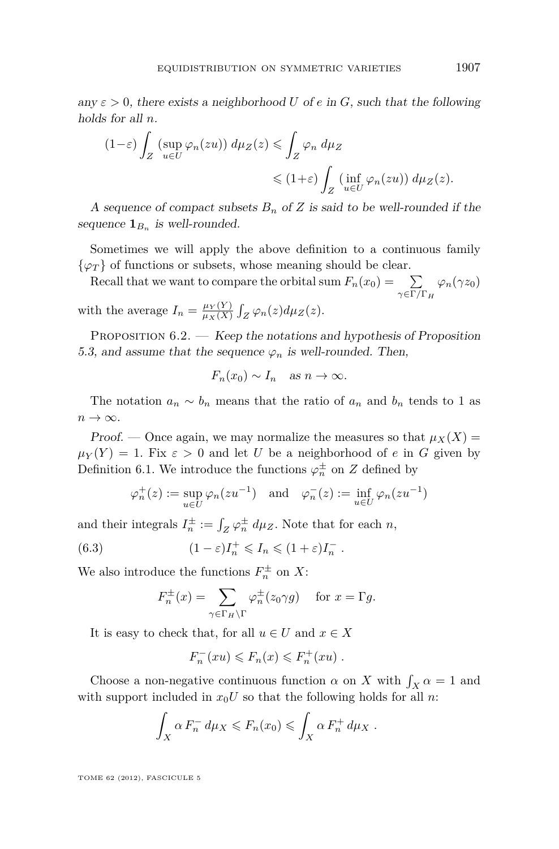<span id="page-19-0"></span>any  $\varepsilon > 0$ , there exists a neighborhood *U* of *e* in *G*, such that the following holds for all *n*.

$$
(1-\varepsilon)\int_Z \left(\sup_{u\in U} \varphi_n(zu)\right) d\mu_Z(z) \leq \int_Z \varphi_n d\mu_Z
$$
  
\$\leqslant (1+\varepsilon)\int\_Z \left(\inf\_{u\in U} \varphi\_n(zu)\right) d\mu\_Z(z)\$.

A sequence of compact subsets  $B_n$  of  $Z$  is said to be well-rounded if the sequence  $\mathbf{1}_{B_n}$  is well-rounded.

Sometimes we will apply the above definition to a continuous family  $\{\varphi_T\}$  of functions or subsets, whose meaning should be clear.

Recall that we want to compare the orbital sum  $F_n(x_0) = \sum$ *γ*∈Γ*/*Γ*<sup>H</sup>*  $\varphi_n(\gamma z_0)$ with the average  $I_n = \frac{\mu_Y(Y)}{\mu_Y(X)}$  $\frac{\mu_Y(Y)}{\mu_X(X)}$   $\int_Z \varphi_n(z) d\mu_Z(z)$ .

PROPOSITION  $6.2.$  - Keep the notations and hypothesis of Proposition [5.3,](#page-17-0) and assume that the sequence  $\varphi_n$  is well-rounded. Then,

$$
F_n(x_0) \sim I_n
$$
 as  $n \to \infty$ .

The notation  $a_n \sim b_n$  means that the ratio of  $a_n$  and  $b_n$  tends to 1 as  $n \to \infty$ .

Proof. — Once again, we may normalize the measures so that  $\mu_X(X)$  =  $\mu_Y(Y) = 1$ . Fix  $\varepsilon > 0$  and let *U* be a neighborhood of *e* in *G* given by Definition [6.1.](#page-18-0) We introduce the functions  $\varphi_n^{\pm}$  on *Z* defined by

$$
\varphi_n^+(z) := \sup_{u \in U} \varphi_n(zu^{-1})
$$
 and  $\varphi_n^-(z) := \inf_{u \in U} \varphi_n(zu^{-1})$ 

and their integrals  $I_n^{\pm} := \int_Z \varphi_n^{\pm} d\mu_Z$ . Note that for each *n*,

(6.3) 
$$
(1 - \varepsilon)I_n^+ \leq I_n \leq (1 + \varepsilon)I_n^-.
$$

We also introduce the functions  $F_n^{\pm}$  on X:

$$
F_n^{\pm}(x) = \sum_{\gamma \in \Gamma_H \backslash \Gamma} \varphi_n^{\pm}(z_0 \gamma g) \quad \text{ for } x = \Gamma g.
$$

It is easy to check that, for all  $u \in U$  and  $x \in X$ 

$$
F_n^-(xu) \leqslant F_n(x) \leqslant F_n^+(xu) .
$$

Choose a non-negative continuous function  $\alpha$  on *X* with  $\int_X \alpha = 1$  and with support included in  $x_0U$  so that the following holds for all *n*:

$$
\int_X \alpha F_n^- d\mu_X \leqslant F_n(x_0) \leqslant \int_X \alpha F_n^+ d\mu_X.
$$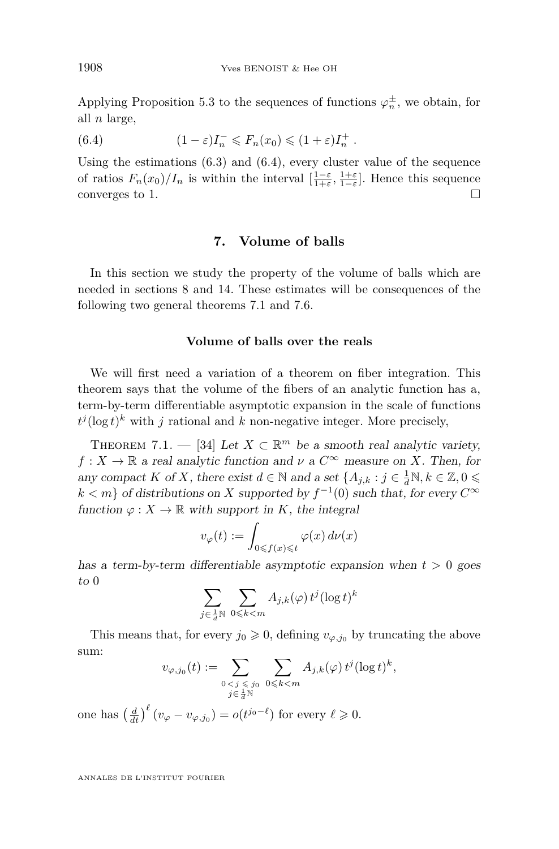<span id="page-20-0"></span>Applying Proposition [5.3](#page-17-0) to the sequences of functions  $\varphi_n^{\pm}$ , we obtain, for all *n* large,

(6.4) 
$$
(1 - \varepsilon)I_n^- \leqslant F_n(x_0) \leqslant (1 + \varepsilon)I_n^+.
$$

Using the estimations  $(6.3)$  and  $(6.4)$ , every cluster value of the sequence of ratios  $F_n(x_0)/I_n$  is within the interval  $\left[\frac{1-\varepsilon}{1+\varepsilon}, \frac{1+\varepsilon}{1-\varepsilon}\right]$ . Hence this sequence converges to 1.

#### **7. Volume of balls**

In this section we study the property of the volume of balls which are needed in sections [8](#page-26-0) and [14.](#page-45-0) These estimates will be consequences of the following two general theorems 7.1 and [7.6.](#page-24-0)

#### **Volume of balls over the reals**

We will first need a variation of a theorem on fiber integration. This theorem says that the volume of the fibers of an analytic function has a, term-by-term differentiable asymptotic expansion in the scale of functions  $t^{j}(\log t)^{k}$  with *j* rational and *k* non-negative integer. More precisely,

THEOREM 7.1. — [\[34\]](#page-53-0) Let  $X \subset \mathbb{R}^m$  be a smooth real analytic variety,  $f: X \to \mathbb{R}$  a real analytic function and  $\nu$  a  $C^{\infty}$  measure on *X*. Then, for any compact *K* of *X*, there exist  $d \in \mathbb{N}$  and a set  $\{A_{j,k} : j \in \frac{1}{d}\mathbb{N}, k \in \mathbb{Z}, 0 \leq$  $k < m$ } of distributions on *X* supported by  $f^{-1}(0)$  such that, for every  $C^{\infty}$ function  $\varphi: X \to \mathbb{R}$  with support in *K*, the integral

$$
v_{\varphi}(t) := \int_{0 \leqslant f(x) \leqslant t} \varphi(x) \, d\nu(x)
$$

has a term-by-term differentiable asymptotic expansion when  $t > 0$  goes to 0

$$
\sum_{j\in\frac{1}{d}\mathbb{N}}\ \sum_{0\leqslant k
$$

This means that, for every  $j_0 \geq 0$ , defining  $v_{\varphi, j_0}$  by truncating the above sum:

$$
v_{\varphi,j_0}(t) := \sum_{\substack{0 < j \leq j_0 \\ j \in \frac{1}{d} \mathbb{N}}} \sum_{\substack{0 \leq k < m \\ k < m}} A_{j,k}(\varphi) t^j (\log t)^k,
$$
\n
$$
\left(\frac{d}{dt}\right)^{\ell} (v - v + 1) = o(t^{j_0 - \ell}) \text{ for every } \ell > 0.
$$

one has  $\left(\frac{d}{dt}\right)^{\ell} (v_{\varphi} - v_{\varphi, j_0}) = o(t^{j_0 - \ell})$  for every  $\ell \geqslant 0$ .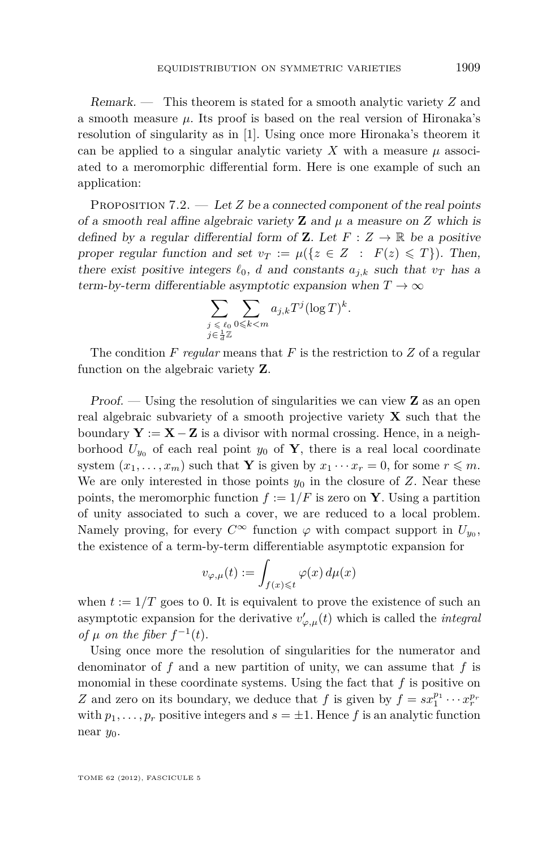<span id="page-21-0"></span>Remark. — This theorem is stated for a smooth analytic variety *Z* and a smooth measure  $\mu$ . Its proof is based on the real version of Hironaka's resolution of singularity as in [\[1\]](#page-52-0). Using once more Hironaka's theorem it can be applied to a singular analytic variety  $X$  with a measure  $\mu$  associated to a meromorphic differential form. Here is one example of such an application:

PROPOSITION 7.2. — Let *Z* be a connected component of the real points of a smooth real affine algebraic variety **Z** and  $\mu$  a measure on *Z* which is defined by a regular differential form of **Z**. Let  $F: Z \to \mathbb{R}$  be a positive proper regular function and set  $v_T := \mu({z \in Z : F(z) \leq T})$ . Then, there exist positive integers  $\ell_0$ , *d* and constants  $a_{i,k}$  such that  $v_T$  has a term-by-term differentiable asymptotic expansion when  $T \to \infty$ 

$$
\sum_{\substack{j \leq \ell_0 \\ j \in \frac{1}{d}\mathbb{Z}}} \sum_{0 \leqslant k < m} a_{j,k} T^j (\log T)^k.
$$

The condition *F regular* means that *F* is the restriction to *Z* of a regular function on the algebraic variety **Z**.

Proof. — Using the resolution of singularities we can view **Z** as an open real algebraic subvariety of a smooth projective variety **X** such that the boundary  $Y := X - Z$  is a divisor with normal crossing. Hence, in a neighborhood  $U_{y_0}$  of each real point  $y_0$  of **Y**, there is a real local coordinate system  $(x_1, \ldots, x_m)$  such that **Y** is given by  $x_1 \cdots x_r = 0$ , for some  $r \leq m$ . We are only interested in those points  $y_0$  in the closure of  $Z$ . Near these points, the meromorphic function  $f := 1/F$  is zero on **Y**. Using a partition of unity associated to such a cover, we are reduced to a local problem. Namely proving, for every  $C^{\infty}$  function  $\varphi$  with compact support in  $U_{y_0}$ , the existence of a term-by-term differentiable asymptotic expansion for

$$
v_{\varphi,\mu}(t) := \int_{f(x)\leqslant t} \varphi(x) \, d\mu(x)
$$

when  $t := 1/T$  goes to 0. It is equivalent to prove the existence of such an asymptotic expansion for the derivative  $v'_{\varphi,\mu}(t)$  which is called the *integral of*  $\mu$  *on the fiber*  $f^{-1}(t)$ .

Using once more the resolution of singularities for the numerator and denominator of *f* and a new partition of unity, we can assume that *f* is monomial in these coordinate systems. Using the fact that *f* is positive on *Z* and zero on its boundary, we deduce that *f* is given by  $f = sx_1^{p_1} \cdots x_r^{p_r}$ with  $p_1, \ldots, p_r$  positive integers and  $s = \pm 1$ . Hence f is an analytic function near *y*0.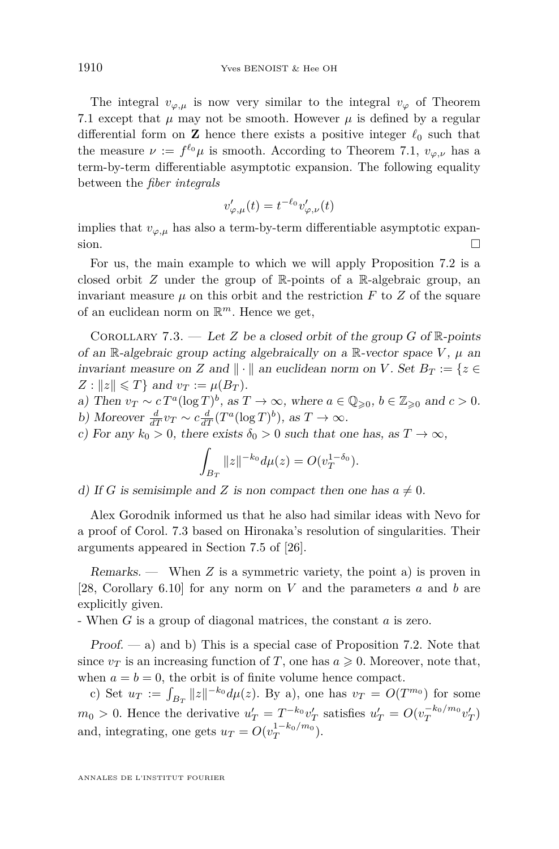<span id="page-22-0"></span>The integral  $v_{\varphi,\mu}$  is now very similar to the integral  $v_{\varphi}$  of Theorem [7.1](#page-20-0) except that  $\mu$  may not be smooth. However  $\mu$  is defined by a regular differential form on **Z** hence there exists a positive integer  $\ell_0$  such that the measure  $\nu := f^{\ell_0} \mu$  is smooth. According to Theorem [7.1,](#page-20-0)  $v_{\varphi,\nu}$  has a term-by-term differentiable asymptotic expansion. The following equality between the *fiber integrals*

$$
v'_{\varphi,\mu}(t) = t^{-\ell_0} v'_{\varphi,\nu}(t)
$$

implies that  $v_{\varphi,\mu}$  has also a term-by-term differentiable asymptotic expansion.  $\Box$ 

For us, the main example to which we will apply Proposition [7.2](#page-21-0) is a closed orbit *Z* under the group of R-points of a R-algebraic group, an invariant measure  $\mu$  on this orbit and the restriction  $F$  to  $Z$  of the square of an euclidean norm on R *<sup>m</sup>*. Hence we get,

COROLLARY 7.3. — Let *Z* be a closed orbit of the group *G* of  $\mathbb{R}$ -points of an R-algebraic group acting algebraically on a R-vector space  $V$ ,  $\mu$  an invariant measure on *Z* and  $\|\cdot\|$  an euclidean norm on *V*. Set  $B_T := \{z \in$  $Z: ||z|| \leq T$  and  $v_T := \mu(B_T)$ .

a) Then  $v_T \sim c T^a (\log T)^b$ , as  $T \to \infty$ , where  $a \in \mathbb{Q}_{\geqslant 0}$ ,  $b \in \mathbb{Z}_{\geqslant 0}$  and  $c > 0$ . b) Moreover  $\frac{d}{dT} v_T \sim c \frac{d}{dT} (T^a (\log T)^b)$ , as  $T \to \infty$ .

c) For any  $k_0 > 0$ , there exists  $\delta_0 > 0$  such that one has, as  $T \to \infty$ ,

$$
\int_{B_T} ||z||^{-k_0} d\mu(z) = O(v_T^{1-\delta_0}).
$$

d) If *G* is semisimple and *Z* is non compact then one has  $a \neq 0$ .

Alex Gorodnik informed us that he also had similar ideas with Nevo for a proof of Corol. 7.3 based on Hironaka's resolution of singularities. Their arguments appeared in Section 7.5 of [\[26\]](#page-53-0).

Remarks. — When *Z* is a symmetric variety, the point a) is proven in [\[28,](#page-53-0) Corollary 6.10] for any norm on *V* and the parameters *a* and *b* are explicitly given.

- When *G* is a group of diagonal matrices, the constant *a* is zero.

 $Proof. - a)$  and b) This is a special case of Proposition [7.2.](#page-21-0) Note that since  $v_T$  is an increasing function of *T*, one has  $a \geq 0$ . Moreover, note that, when  $a = b = 0$ , the orbit is of finite volume hence compact.

c) Set  $u_T := \int_{B_T} ||z||^{-k_0} d\mu(z)$ . By a), one has  $v_T = O(T^{m_0})$  for some  $m_0 > 0$ . Hence the derivative  $u'_T = T^{-k_0} v'_T$  satisfies  $u'_T = O(v_T^{-k_0/m_0} v'_T)$ and, integrating, one gets  $u_T = O(v_T^{1-k_0/m_0})$ .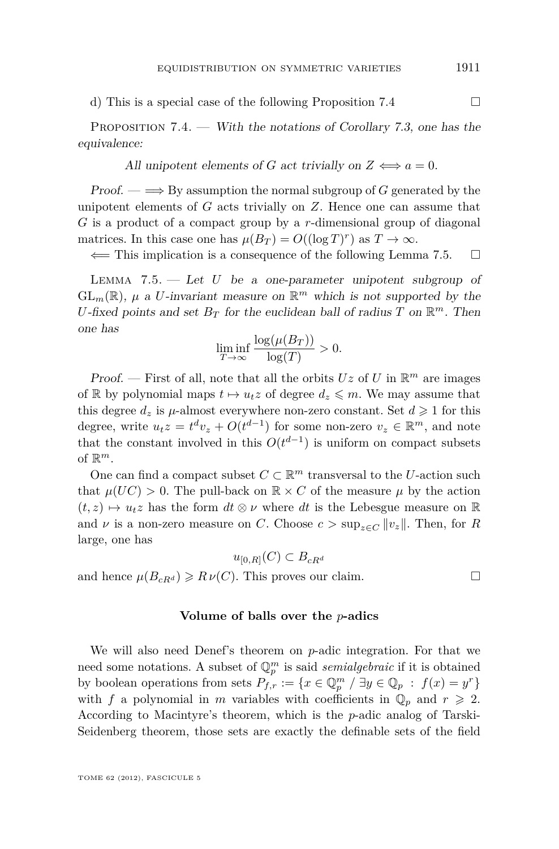<span id="page-23-0"></span>d) This is a special case of the following Proposition 7.4  $\Box$ 

PROPOSITION 7.4. — With the notations of Corollary [7.3,](#page-22-0) one has the equivalence:

All unipotent elements of *G* act trivially on  $Z \iff a = 0$ .

 $Proof. \longrightarrow$  By assumption the normal subgroup of *G* generated by the unipotent elements of *G* acts trivially on *Z*. Hence one can assume that *G* is a product of a compact group by a *r*-dimensional group of diagonal matrices. In this case one has  $\mu(B_T) = O((\log T)^r)$  as  $T \to \infty$ .

 $\Leftarrow$  This implication is a consequence of the following Lemma 7.5.  $\Box$ 

Lemma 7.5. — Let *U* be a one-parameter unipotent subgroup of  $GL_m(\mathbb{R})$ ,  $\mu$  a *U*-invariant measure on  $\mathbb{R}^m$  which is not supported by the *U*-fixed points and set  $B_T$  for the euclidean ball of radius *T* on  $\mathbb{R}^m$ . Then one has

$$
\liminf_{T \to \infty} \frac{\log(\mu(B_T))}{\log(T)} > 0.
$$

Proof. – First of all, note that all the orbits  $Uz$  of  $U$  in  $\mathbb{R}^m$  are images of R by polynomial maps  $t \mapsto u_t z$  of degree  $d_z \leq m$ . We may assume that this degree  $d_z$  is  $\mu$ -almost everywhere non-zero constant. Set  $d \geq 1$  for this degree, write  $u_t z = t^d v_z + O(t^{d-1})$  for some non-zero  $v_z \in \mathbb{R}^m$ , and note that the constant involved in this  $O(t^{d-1})$  is uniform on compact subsets of  $\mathbb{R}^m$ .

One can find a compact subset  $C \subset \mathbb{R}^m$  transversal to the *U*-action such that  $\mu(UC) > 0$ . The pull-back on  $\mathbb{R} \times C$  of the measure  $\mu$  by the action  $(t, z) \mapsto u_t z$  has the form  $dt \otimes \nu$  where  $dt$  is the Lebesgue measure on R and *ν* is a non-zero measure on *C*. Choose  $c > \sup_{z \in C} ||v_z||$ . Then, for *R* large, one has

$$
u_{[0,R]}(C) \subset B_{cR^d}
$$

and hence  $\mu(B_{cR}d) \ge R \nu(C)$ . This proves our claim.

#### **Volume of balls over the** *p***-adics**

We will also need Denef's theorem on *p*-adic integration. For that we need some notations. A subset of  $\mathbb{Q}_p^m$  is said *semialgebraic* if it is obtained by boolean operations from sets  $P_{f,r}$  := { $x \in \mathbb{Q}_p^m$  /  $\exists y \in \mathbb{Q}_p$  :  $f(x) = y^r$ } with *f* a polynomial in *m* variables with coefficients in  $\mathbb{Q}_p$  and  $r \geq 2$ . According to Macintyre's theorem, which is the *p*-adic analog of Tarski-Seidenberg theorem, those sets are exactly the definable sets of the field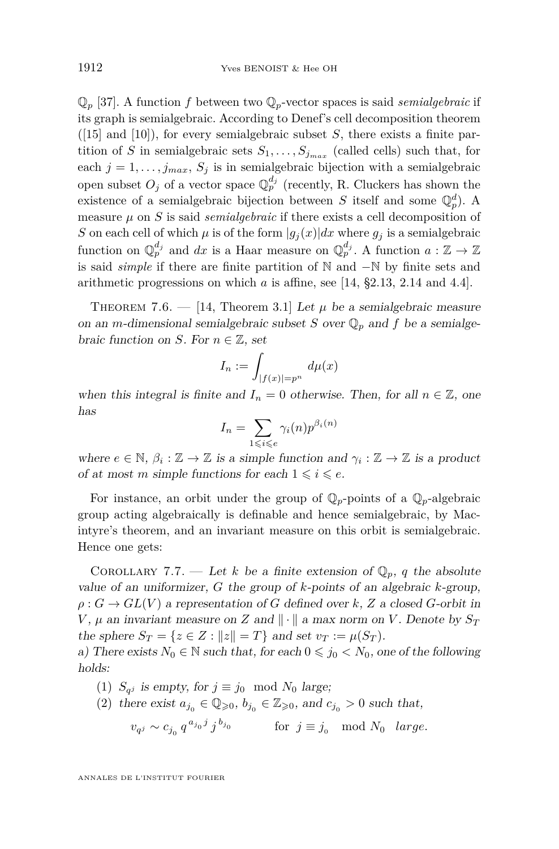<span id="page-24-0"></span> $\mathbb{Q}_p$  [\[37\]](#page-53-0). A function *f* between two  $\mathbb{Q}_p$ -vector spaces is said *semialgebraic* if its graph is semialgebraic. According to Denef's cell decomposition theorem  $([15]$  $([15]$  and  $[10]$ ), for every semialgebraic subset *S*, there exists a finite partition of *S* in semialgebraic sets  $S_1, \ldots, S_{j_{max}}$  (called cells) such that, for each  $j = 1, \ldots, j_{max}, S_j$  is in semialgebraic bijection with a semialgebraic open subset  $O_j$  of a vector space  $\mathbb{Q}_p^{d_j}$  (recently, R. Cluckers has shown the existence of a semialgebraic bijection between *S* itself and some  $\mathbb{Q}_p^d$ . A measure  $\mu$  on  $S$  is said *semialgebraic* if there exists a cell decomposition of *S* on each cell of which  $\mu$  is of the form  $|g_j(x)|dx$  where  $g_j$  is a semialgebraic function on  $\mathbb{Q}_p^{d_j}$  and  $dx$  is a Haar measure on  $\mathbb{Q}_p^{d_j}$ . A function  $a: \mathbb{Z} \to \mathbb{Z}$ is said *simple* if there are finite partition of N and −N by finite sets and arithmetic progressions on which *a* is affine, see [\[14,](#page-52-0) §2.13, 2.14 and 4.4].

THEOREM 7.6.  $-$  [\[14,](#page-52-0) Theorem 3.1] Let  $\mu$  be a semialgebraic measure on an *m*-dimensional semialgebraic subset *S* over  $\mathbb{Q}_p$  and *f* be a semialgebraic function on *S*. For  $n \in \mathbb{Z}$ , set

$$
I_n := \int_{|f(x)| = p^n} d\mu(x)
$$

when this integral is finite and  $I_n = 0$  otherwise. Then, for all  $n \in \mathbb{Z}$ , one has

$$
I_n = \sum_{1 \leqslant i \leqslant e} \gamma_i(n) p^{\beta_i(n)}
$$

where  $e \in \mathbb{N}$ ,  $\beta_i : \mathbb{Z} \to \mathbb{Z}$  is a simple function and  $\gamma_i : \mathbb{Z} \to \mathbb{Z}$  is a product of at most *m* simple functions for each  $1 \leq i \leq e$ .

For instance, an orbit under the group of  $\mathbb{Q}_p$ -points of a  $\mathbb{Q}_p$ -algebraic group acting algebraically is definable and hence semialgebraic, by Macintyre's theorem, and an invariant measure on this orbit is semialgebraic. Hence one gets:

COROLLARY 7.7. — Let *k* be a finite extension of  $\mathbb{Q}_p$ , *q* the absolute value of an uniformizer, *G* the group of *k*-points of an algebraic *k*-group,  $\rho: G \to GL(V)$  a representation of *G* defined over *k*, *Z* a closed *G*-orbit in *V*,  $\mu$  an invariant measure on *Z* and  $\|\cdot\|$  a max norm on *V*. Denote by  $S_T$ the sphere  $S_T = \{z \in Z : ||z|| = T\}$  and set  $v_T := \mu(S_T)$ .

a) There exists  $N_0 \in \mathbb{N}$  such that, for each  $0 \leq j_0 < N_0$ , one of the following holds:

- (1)  $S_{qj}$  is empty, for  $j \equiv j_0 \mod N_0$  large;
- (2) there exist  $a_{j_0} \in \mathbb{Q}_{\geqslant 0}, b_{j_0} \in \mathbb{Z}_{\geqslant 0}$ , and  $c_{j_0} > 0$  such that,

$$
v_{q^j} \sim c_{j_0} q^{a_{j_0}j} j^{b_{j_0}} \qquad \text{for } j \equiv j_0 \mod N_0 \quad large.
$$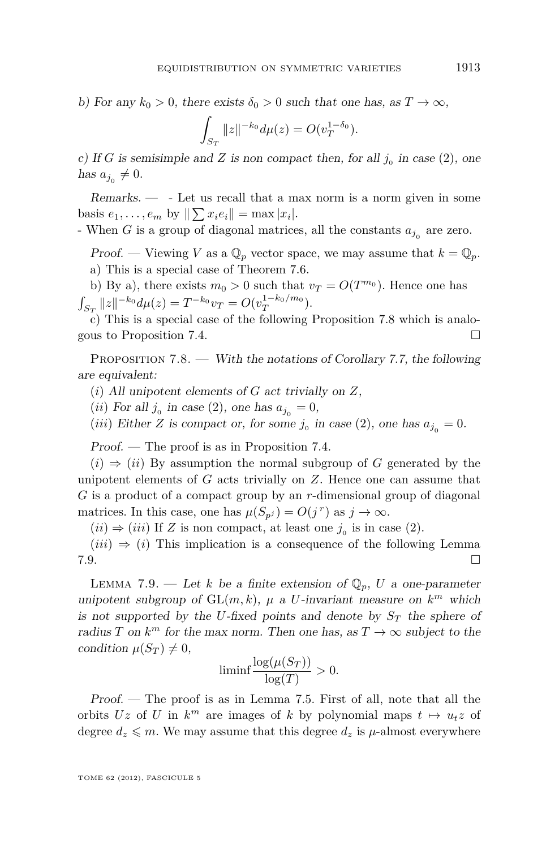b) For any  $k_0 > 0$ , there exists  $\delta_0 > 0$  such that one has, as  $T \to \infty$ ,

$$
\int_{S_T} ||z||^{-k_0} d\mu(z) = O(v_T^{1-\delta_0}).
$$

c) If *G* is semisimple and *Z* is non compact then, for all  $j_0$  in case (2), one has  $a_{j_0} \neq 0$ .

 $Remarks. \_\_$ . Let us recall that a max norm is a norm given in some basis  $e_1, \ldots, e_m$  by  $\|\sum x_i e_i\| = \max |x_i|$ .

- When  $G$  is a group of diagonal matrices, all the constants  $a_{j_0}$  are zero.

Proof. — Viewing *V* as a  $\mathbb{Q}_p$  vector space, we may assume that  $k = \mathbb{Q}_p$ . a) This is a special case of Theorem [7.6.](#page-24-0)

b) By a), there exists  $m_0 > 0$  such that  $v_T = O(T^{m_0})$ . Hence one has  $\int_{S_T} ||z||^{-k_0} d\mu(z) = T^{-k_0} v_T = O(v_T^{1-k_0/m_0}).$ 

c) This is a special case of the following Proposition 7.8 which is analogous to Proposition [7.4.](#page-23-0)

Proposition 7.8. — With the notations of Corollary [7.7,](#page-24-0) the following are equivalent:

(*i*) All unipotent elements of *G* act trivially on *Z*,

 $(ii)$  For all  $j_0$  in case (2), one has  $a_{j_0} = 0$ ,

(*iii*) Either *Z* is compact or, for some  $j_0$  in case (2), one has  $a_{j_0} = 0$ .

Proof. — The proof is as in Proposition [7.4.](#page-23-0)

 $(i) \Rightarrow (ii)$  By assumption the normal subgroup of *G* generated by the unipotent elements of *G* acts trivially on *Z*. Hence one can assume that *G* is a product of a compact group by an *r*-dimensional group of diagonal matrices. In this case, one has  $\mu(S_{p^j}) = O(j^r)$  as  $j \to \infty$ .

 $(ii) \Rightarrow (iii)$  If *Z* is non compact, at least one  $j_0$  is in case (2).

 $(iii) \Rightarrow (i)$  This implication is a consequence of the following Lemma  $7.9.$ 

LEMMA 7.9. — Let *k* be a finite extension of  $\mathbb{Q}_p$ , *U* a one-parameter unipotent subgroup of  $GL(m, k)$ ,  $\mu$  a *U*-invariant measure on  $k^m$  which is not supported by the *U*-fixed points and denote by  $S_T$  the sphere of radius *T* on  $k^m$  for the max norm. Then one has, as  $T \to \infty$  subject to the condition  $\mu(S_T) \neq 0$ ,

$$
\liminf \frac{\log(\mu(S_T))}{\log(T)} > 0.
$$

Proof. — The proof is as in Lemma [7.5.](#page-23-0) First of all, note that all the orbits *Uz* of *U* in  $k^m$  are images of *k* by polynomial maps  $t \mapsto u_t z$  of degree  $d_z \leq m$ . We may assume that this degree  $d_z$  is  $\mu$ -almost everywhere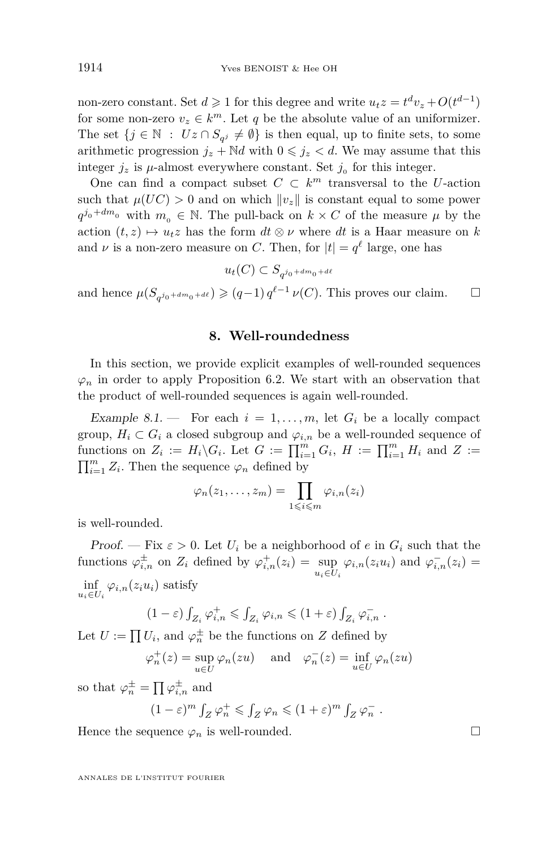<span id="page-26-0"></span>non-zero constant. Set  $d \ge 1$  for this degree and write  $u_t z = t^d v_z + O(t^{d-1})$ for some non-zero  $v_z \in k^m$ . Let *q* be the absolute value of an uniformizer. The set  $\{j \in \mathbb{N} : Uz \cap S_{q^j} \neq \emptyset\}$  is then equal, up to finite sets, to some arithmetic progression  $j_z + \mathbb{N}d$  with  $0 \leq j_z < d$ . We may assume that this integer  $j_z$  is  $\mu$ -almost everywhere constant. Set  $j_0$  for this integer.

One can find a compact subset  $C \subset k^m$  transversal to the *U*-action such that  $\mu(UC) > 0$  and on which  $||v_z||$  is constant equal to some power  $q^{j_0 + dm_0}$  with  $m_0 \in \mathbb{N}$ . The pull-back on  $k \times C$  of the measure  $\mu$  by the action  $(t, z) \mapsto u_t z$  has the form  $dt \otimes \nu$  where  $dt$  is a Haar measure on *k* and  $\nu$  is a non-zero measure on *C*. Then, for  $|t| = q^{\ell}$  large, one has

 $u_t(C) \subset S_{q^{j_0 + dm_0 + d\ell}}$ 

and hence  $\mu(S_{q^{j_0 + dm_0 + d\ell}}) \geq (q-1) q^{\ell-1} \nu(C)$ . This proves our claim.  $\square$ 

#### **8. Well-roundedness**

In this section, we provide explicit examples of well-rounded sequences  $\varphi_n$  in order to apply Proposition [6.2.](#page-19-0) We start with an observation that the product of well-rounded sequences is again well-rounded.

Example 8.1. – For each  $i = 1, \ldots, m$ , let  $G_i$  be a locally compact group,  $H_i \subset G_i$  a closed subgroup and  $\varphi_{i,n}$  be a well-rounded sequence of functions on  $Z_i := H_i \backslash G_i$ . Let  $G := \prod_{i=1}^m G_i$ ,  $H := \prod_{i=1}^m H_i$  and  $Z :=$  $\prod_{i=1}^{m} Z_i$ . Then the sequence  $\varphi_n$  defined by

$$
\varphi_n(z_1,\ldots,z_m)=\prod_{1\leqslant i\leqslant m}\varphi_{i,n}(z_i)
$$

is well-rounded.

Proof. — Fix  $\varepsilon > 0$ . Let  $U_i$  be a neighborhood of  $e$  in  $G_i$  such that the functions  $\varphi_{i,n}^{\pm}$  on  $Z_i$  defined by  $\varphi_{i,n}^+(z_i) = \sup_{u_i \in U_i} \varphi_{i,n}(z_i u_i)$  and  $\varphi_{i,n}^-(z_i) =$  $\inf_{u_i \in U_i} \varphi_{i,n}(z_i u_i)$  satisfy

 $(1 - \varepsilon) \int_{Z_i} \varphi_{i,n}^+ \leqslant \int_{Z_i} \varphi_{i,n} \leqslant (1 + \varepsilon) \int_{Z_i} \varphi_{i,n}^-$ 

Let  $U := \prod U_i$ , and  $\varphi_n^{\pm}$  be the functions on *Z* defined by

$$
\varphi_n^+(z) = \sup_{u \in U} \varphi_n(zu) \quad \text{and} \quad \varphi_n^-(z) = \inf_{u \in U} \varphi_n(zu)
$$

so that  $\varphi_n^{\pm} = \prod \varphi_{i,n}^{\pm}$  and

$$
(1-\varepsilon)^m \int_Z \varphi_n^+ \leqslant \int_Z \varphi_n \leqslant (1+\varepsilon)^m \int_Z \varphi_n^-.
$$

Hence the sequence  $\varphi_n$  is well-rounded.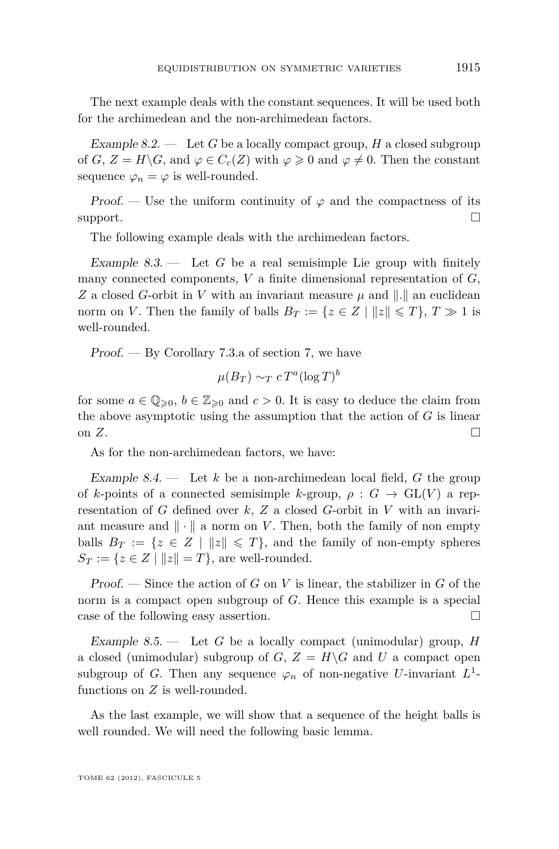<span id="page-27-0"></span>The next example deals with the constant sequences. It will be used both for the archimedean and the non-archimedean factors.

Example 8.2. — Let *G* be a locally compact group, *H* a closed subgroup of *G*,  $Z = H\backslash G$ , and  $\varphi \in C_c(Z)$  with  $\varphi \geq 0$  and  $\varphi \neq 0$ . Then the constant sequence  $\varphi_n = \varphi$  is well-rounded.

Proof. — Use the uniform continuity of  $\varphi$  and the compactness of its support.  $\Box$ 

The following example deals with the archimedean factors.

Example  $8.3.$  — Let *G* be a real semisimple Lie group with finitely many connected components, *V* a finite dimensional representation of *G*, *Z* a closed *G*-orbit in *V* with an invariant measure  $\mu$  and  $\|\cdot\|$  an euclidean norm on *V*. Then the family of balls  $B_T := \{z \in Z \mid ||z|| \leq T\}, T \gg 1$  is well-rounded.

Proof. — By Corollary [7.3.](#page-22-0)a of section [7,](#page-20-0) we have

$$
\mu(B_T) \sim_T c \, T^a (\log T)^b
$$

for some  $a \in \mathbb{Q}_{\geqslant 0}, b \in \mathbb{Z}_{\geqslant 0}$  and  $c > 0$ . It is easy to deduce the claim from the above asymptotic using the assumption that the action of *G* is linear on  $Z$ .

As for the non-archimedean factors, we have:

Example 8.4. — Let *k* be a non-archimedean local field, *G* the group of *k*-points of a connected semisimple *k*-group,  $\rho : G \to GL(V)$  a representation of *G* defined over *k*, *Z* a closed *G*-orbit in *V* with an invariant measure and  $\|\cdot\|$  a norm on *V*. Then, both the family of non empty balls  $B_T := \{z \in Z \mid ||z|| \leq T\}$ , and the family of non-empty spheres  $S_T := \{z \in Z \mid ||z|| = T\}$ , are well-rounded.

Proof. — Since the action of *G* on *V* is linear, the stabilizer in *G* of the norm is a compact open subgroup of *G*. Hence this example is a special case of the following easy assertion.

Example 8.5. — Let *G* be a locally compact (unimodular) group, *H* a closed (unimodular) subgroup of  $G$ ,  $Z = H\backslash G$  and  $U$  a compact open subgroup of *G*. Then any sequence  $\varphi_n$  of non-negative *U*-invariant  $L^1$ functions on *Z* is well-rounded.

As the last example, we will show that a sequence of the height balls is well rounded. We will need the following basic lemma.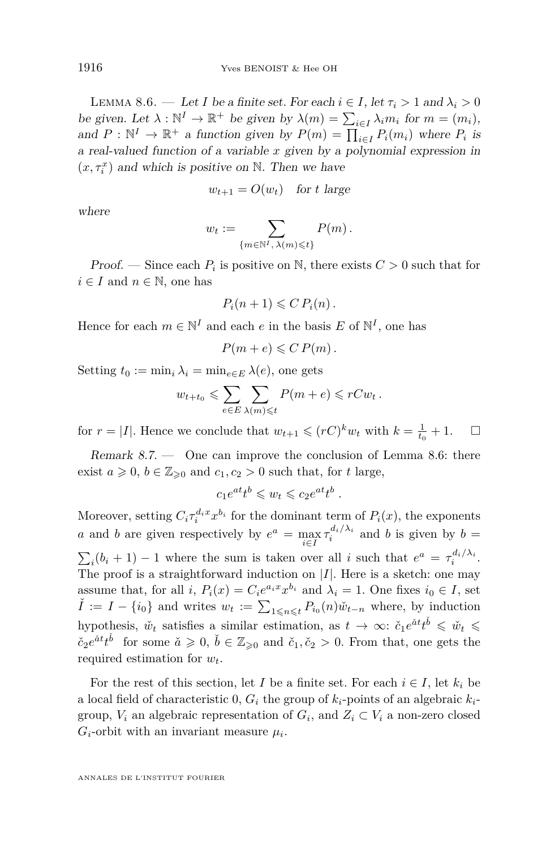<span id="page-28-0"></span>LEMMA 8.6. — Let *I* be a finite set. For each  $i \in I$ , let  $\tau_i > 1$  and  $\lambda_i > 0$ be given. Let  $\lambda : \mathbb{N}^I \to \mathbb{R}^+$  be given by  $\lambda(m) = \sum_{i \in I} \lambda_i m_i$  for  $m = (m_i)$ , and  $P : \mathbb{N}^I \to \mathbb{R}^+$  a function given by  $P(m) = \prod_{i \in I} P_i(m_i)$  where  $P_i$  is a real-valued function of a variable *x* given by a polynomial expression in  $(x, \tau_i^x)$  and which is positive on N. Then we have

$$
w_{t+1} = O(w_t) \quad \text{for } t \text{ large}
$$

where

$$
w_t := \sum_{\{m \in \mathbb{N}^I, \lambda(m) \leq t\}} P(m).
$$

*Proof.* — Since each  $P_i$  is positive on  $\mathbb{N}$ , there exists  $C > 0$  such that for  $i \in I$  and  $n \in \mathbb{N}$ , one has

$$
P_i(n+1) \leqslant C P_i(n).
$$

Hence for each  $m \in \mathbb{N}^I$  and each  $e$  in the basis  $E$  of  $\mathbb{N}^I$ , one has

$$
P(m+e) \leqslant C P(m).
$$

Setting  $t_0 := \min_i \lambda_i = \min_{e \in E} \lambda(e)$ , one gets

$$
w_{t+t_0} \leqslant \sum_{e \in E} \sum_{\lambda(m) \leqslant t} P(m+e) \leqslant rCw_t.
$$

for  $r = |I|$ . Hence we conclude that  $w_{t+1} \leqslant (rC)^k w_t$  with  $k = \frac{1}{t_0} + 1$ .  $\Box$ 

Remark 8.7. — One can improve the conclusion of Lemma 8.6: there exist  $a \ge 0$ ,  $b \in \mathbb{Z}_{\ge 0}$  and  $c_1, c_2 > 0$  such that, for *t* large,

$$
c_1e^{at}t^b\leqslant w_t\leqslant c_2e^{at}t^b.
$$

Moreover, setting  $C_i \tau_i^{d_i x} x^{b_i}$  for the dominant term of  $P_i(x)$ , the exponents *a* and *b* are given respectively by  $e^a = \max_{i \in I} \tau_i^{d_i/\lambda_i}$  and *b* is given by *b* =  $\sum_i (b_i + 1) - 1$  where the sum is taken over all *i* such that  $e^a = \tau_i^{d_i/\lambda_i}$ . The proof is a straightforward induction on |*I*|. Here is a sketch: one may assume that, for all *i*,  $P_i(x) = C_i e^{a_i x} x^{b_i}$  and  $\lambda_i = 1$ . One fixes  $i_0 \in I$ , set  $\check{I}$  :=  $I - \{i_0\}$  and writes  $w_t := \sum_{1 \leq n \leq t} P_{i_0}(n) \check{w}_{t-n}$  where, by induction hypothesis,  $\check{w}_t$  satisfies a similar estimation, as  $t \to \infty$ :  $\check{c}_1 e^{\check{a}t} t^{\check{b}} \leq \check{w}_t \leq$  $\check{c}_2 e^{at} t^{\check{b}}$  for some  $\check{a} \geqslant 0, \check{b} \in \mathbb{Z}_{\geqslant 0}$  and  $\check{c}_1, \check{c}_2 > 0$ . From that, one gets the required estimation for *wt*.

For the rest of this section, let *I* be a finite set. For each  $i \in I$ , let  $k_i$  be a local field of characteristic 0,  $G_i$  the group of  $k_i$ -points of an algebraic  $k_i$ group,  $V_i$  an algebraic representation of  $G_i$ , and  $Z_i \subset V_i$  a non-zero closed  $G_i$ -orbit with an invariant measure  $\mu_i$ .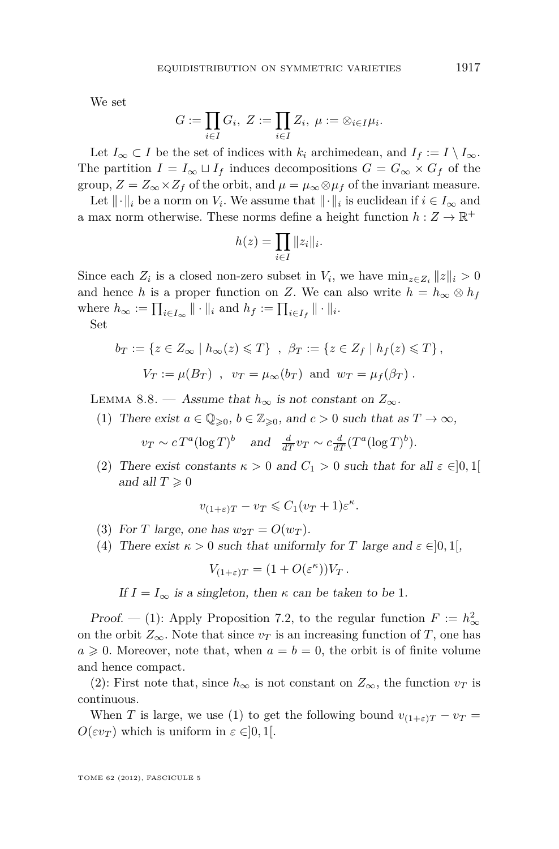<span id="page-29-0"></span>We set

$$
G:=\prod_{i\in I}G_i, \ Z:=\prod_{i\in I}Z_i, \ \mu:=\otimes_{i\in I}\mu_i.
$$

Let  $I_\infty \subset I$  be the set of indices with  $k_i$  archimedean, and  $I_f := I \setminus I_\infty$ . The partition  $I = I_{\infty} \sqcup I_f$  induces decompositions  $G = G_{\infty} \times G_f$  of the group,  $Z = Z_{\infty} \times Z_f$  of the orbit, and  $\mu = \mu_{\infty} \otimes \mu_f$  of the invariant measure.

Let  $\|\cdot\|_i$  be a norm on *V<sub>i</sub>*. We assume that  $\|\cdot\|_i$  is euclidean if  $i \in I_\infty$  and a max norm otherwise. These norms define a height function  $h: Z \to \mathbb{R}^+$ 

$$
h(z) = \prod_{i \in I} ||z_i||_i.
$$

Since each  $Z_i$  is a closed non-zero subset in  $V_i$ , we have  $\min_{z \in Z_i} ||z||_i > 0$ and hence *h* is a proper function on *Z*. We can also write  $h = h_{\infty} \otimes h_f$ where  $h_{\infty} := \prod_{i \in I_{\infty}} || \cdot ||_i$  and  $h_f := \prod_{i \in I_f} || \cdot ||_i$ . Se

$$
_{\rm Set}
$$

$$
b_T := \{ z \in Z_\infty \mid h_\infty(z) \leq T \}, \quad \beta_T := \{ z \in Z_f \mid h_f(z) \leq T \},
$$
  

$$
V_T := \mu(B_T) \quad , \quad v_T = \mu_\infty(b_T) \text{ and } w_T = \mu_f(\beta_T) \ .
$$

LEMMA 8.8. — Assume that  $h_{\infty}$  is not constant on  $Z_{\infty}$ .

(1) There exist  $a \in \mathbb{Q}_{\geqslant 0}$ ,  $b \in \mathbb{Z}_{\geqslant 0}$ , and  $c > 0$  such that as  $T \to \infty$ ,

$$
v_T \sim c T^a (\log T)^b
$$
 and  $\frac{d}{dT} v_T \sim c \frac{d}{dT} (T^a (\log T)^b)$ .

(2) There exist constants  $\kappa > 0$  and  $C_1 > 0$  such that for all  $\varepsilon \in ]0,1[$ and all  $T \geqslant 0$ 

$$
v_{(1+\varepsilon)T} - v_T \leqslant C_1 (v_T + 1)\varepsilon^{\kappa}.
$$

- (3) For *T* large, one has  $w_{2T} = O(w_T)$ .
- (4) There exist  $\kappa > 0$  such that uniformly for *T* large and  $\varepsilon \in ]0,1[$ ,

$$
V_{(1+\varepsilon)T} = (1+O(\varepsilon^{\kappa}))V_T.
$$

If  $I = I_{\infty}$  is a singleton, then  $\kappa$  can be taken to be 1.

Proof. — (1): Apply Proposition [7.2,](#page-21-0) to the regular function  $F := h_{\infty}^2$ on the orbit  $Z_{\infty}$ . Note that since  $v_T$  is an increasing function of *T*, one has  $a \geq 0$ . Moreover, note that, when  $a = b = 0$ , the orbit is of finite volume and hence compact.

(2): First note that, since  $h_{\infty}$  is not constant on  $Z_{\infty}$ , the function  $v_T$  is continuous.

When *T* is large, we use (1) to get the following bound  $v_{(1+\varepsilon)T} - v_T =$ *O*(*εv*<sub>*T*</sub>) which is uniform in  $ε ∈ [0, 1]$ .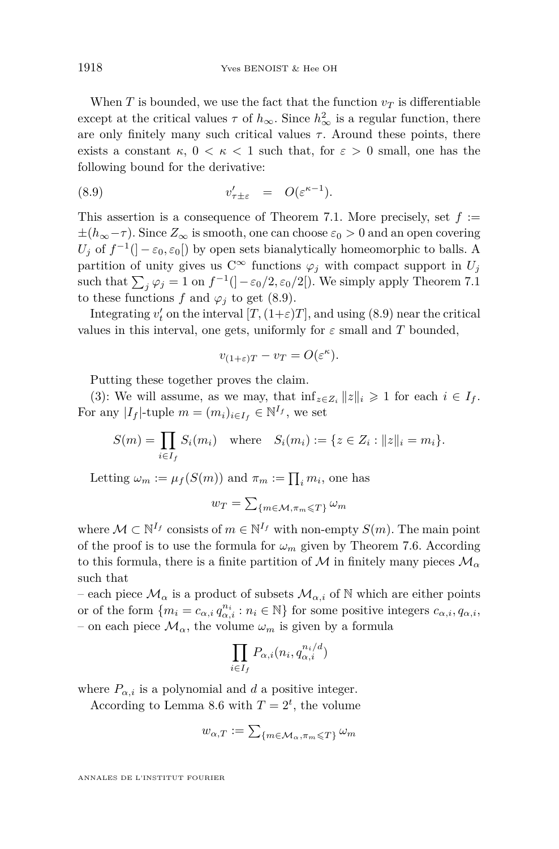When *T* is bounded, we use the fact that the function  $v_T$  is differentiable except at the critical values  $\tau$  of  $h_{\infty}$ . Since  $h_{\infty}^2$  is a regular function, there are only finitely many such critical values  $\tau$ . Around these points, there exists a constant  $\kappa$ ,  $0 < \kappa < 1$  such that, for  $\varepsilon > 0$  small, one has the following bound for the derivative:

(8.9) 
$$
v'_{\tau \pm \varepsilon} = O(\varepsilon^{\kappa - 1}).
$$

This assertion is a consequence of Theorem [7.1.](#page-20-0) More precisely, set *f* := ±(*h*∞−*τ* ). Since *Z*<sup>∞</sup> is smooth, one can choose *ε*<sup>0</sup> *>* 0 and an open covering  $U_j$  of  $f^{-1}$ ( $]-\varepsilon_0, \varepsilon_0$ ) by open sets bianalytically homeomorphic to balls. A partition of unity gives us  $C^{\infty}$  functions  $\varphi_j$  with compact support in  $U_j$ such that  $\sum_{j} \varphi_j = 1$  on  $f^{-1}(\frac{1}{\varepsilon_0/2}, \varepsilon_0/2)$ . We simply apply Theorem [7.1](#page-20-0) to these functions  $f$  and  $\varphi_i$  to get (8.9).

Integrating  $v'_t$  on the interval  $[T, (1+\varepsilon)T]$ , and using (8.9) near the critical values in this interval, one gets, uniformly for  $\varepsilon$  small and  $T$  bounded,

$$
v_{(1+\varepsilon)T} - v_T = O(\varepsilon^{\kappa}).
$$

Putting these together proves the claim.

(3): We will assume, as we may, that  $\inf_{z \in Z_i} ||z||_i \geq 1$  for each  $i \in I_f$ . For any  $|I_f|$ -tuple  $m = (m_i)_{i \in I_f} \in \mathbb{N}^{I_f}$ , we set

$$
S(m) = \prod_{i \in I_f} S_i(m_i) \quad \text{where} \quad S_i(m_i) := \{ z \in Z_i : ||z||_i = m_i \}.
$$

Letting  $\omega_m := \mu_f(S(m))$  and  $\pi_m := \prod_i m_i$ , one has

$$
w_T = \sum\nolimits_{\{m \in \mathcal{M}, \pi_m \leqslant T\}} \omega_m
$$

where  $\mathcal{M} \subset \mathbb{N}^{I_f}$  consists of  $m \in \mathbb{N}^{I_f}$  with non-empty  $S(m)$ . The main point of the proof is to use the formula for  $\omega_m$  given by Theorem [7.6.](#page-24-0) According to this formula, there is a finite partition of M in finitely many pieces  $\mathcal{M}_{\alpha}$ such that

– each piece  $\mathcal{M}_{\alpha}$  is a product of subsets  $\mathcal{M}_{\alpha,i}$  of N which are either points or of the form  $\{m_i = c_{\alpha,i} q_{\alpha,i}^{n_i} : n_i \in \mathbb{N}\}\)$  for some positive integers  $c_{\alpha,i}, q_{\alpha,i}$ , – on each piece  $\mathcal{M}_{\alpha}$ , the volume  $\omega_m$  is given by a formula

$$
\prod_{i \in I_f} P_{\alpha,i}(n_i, q_{\alpha,i}^{n_i/d})
$$

where  $P_{\alpha,i}$  is a polynomial and *d* a positive integer.

According to Lemma [8.6](#page-28-0) with  $T = 2^t$ , the volume

$$
w_{\alpha,T} := \sum\nolimits_{\{m \in \mathcal{M}_\alpha, \pi_m \leq T\}} \omega_m
$$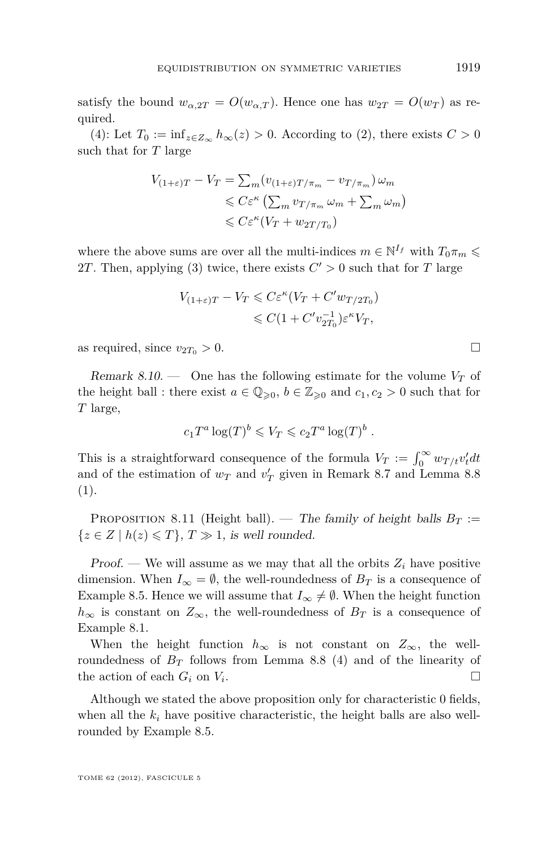<span id="page-31-0"></span>satisfy the bound  $w_{\alpha,2T} = O(w_{\alpha,T})$ . Hence one has  $w_{2T} = O(w_T)$  as required.

(4): Let  $T_0 := \inf_{z \in Z_\infty} h_\infty(z) > 0$ . According to (2), there exists  $C > 0$ such that for *T* large

$$
V_{(1+\varepsilon)T} - V_T = \sum_m (v_{(1+\varepsilon)T/\pi_m} - v_{T/\pi_m}) \omega_m
$$
  
\$\leqslant C\varepsilon^{\kappa} \left( \sum\_m v\_{T/\pi\_m} \omega\_m + \sum\_m \omega\_m \right)\$  
\$\leqslant C\varepsilon^{\kappa} (V\_T + w\_{2T/T\_0})

where the above sums are over all the multi-indices  $m \in \mathbb{N}^{I_f}$  with  $T_0 \pi_m \leq$ 2*T*. Then, applying (3) twice, there exists  $C' > 0$  such that for *T* large

$$
V_{(1+\varepsilon)T} - V_T \leq C\varepsilon^{\kappa} (V_T + C'w_{T/2T_0})
$$
  

$$
\leq C(1 + C'v_{2T_0}^{-1})\varepsilon^{\kappa} V_T,
$$

as required, since  $v_{2T_0} > 0$ .

Remark 8.10. — One has the following estimate for the volume  $V_T$  of the height ball : there exist  $a \in \mathbb{Q}_{\geqslant 0}$ ,  $b \in \mathbb{Z}_{\geqslant 0}$  and  $c_1, c_2 > 0$  such that for *T* large,

$$
c_1T^a\log(T)^b\leqslant V_T\leqslant c_2T^a\log(T)^b.
$$

This is a straightforward consequence of the formula  $V_T := \int_0^\infty w_{T/t} v'_t dt$ and of the estimation of  $w_T$  and  $v'_T$  given in Remark [8.7](#page-28-0) and Lemma [8.8](#page-29-0) (1).

**PROPOSITION 8.11** (Height ball). — The family of height balls  $B_T :=$  $\{z \in Z \mid h(z) \leq T\}, T \gg 1$ , is well rounded.

Proof. — We will assume as we may that all the orbits  $Z_i$  have positive dimension. When  $I_{\infty} = \emptyset$ , the well-roundedness of  $B_T$  is a consequence of Example [8.5.](#page-27-0) Hence we will assume that  $I_{\infty} \neq \emptyset$ . When the height function  $h_{\infty}$  is constant on  $Z_{\infty}$ , the well-roundedness of  $B_T$  is a consequence of Example [8.1.](#page-26-0)

When the height function  $h_{\infty}$  is not constant on  $Z_{\infty}$ , the wellroundedness of  $B_T$  follows from Lemma [8.8](#page-29-0) (4) and of the linearity of the action of each  $G_i$  on  $V_i$ . .

Although we stated the above proposition only for characteristic 0 fields, when all the  $k_i$  have positive characteristic, the height balls are also wellrounded by Example [8.5.](#page-27-0)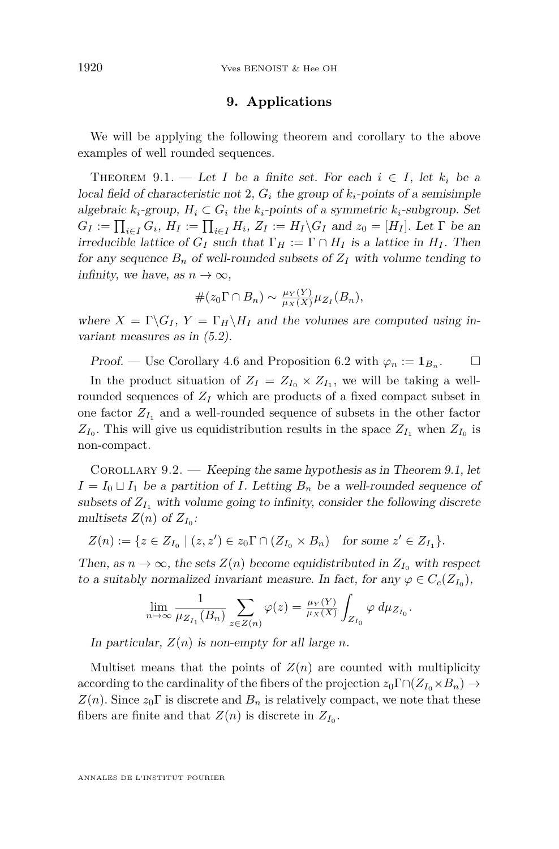#### **9. Applications**

<span id="page-32-0"></span>We will be applying the following theorem and corollary to the above examples of well rounded sequences.

THEOREM 9.1. — Let *I* be a finite set. For each  $i \in I$ , let  $k_i$  be a local field of characteristic not 2,  $G_i$  the group of  $k_i$ -points of a semisimple algebraic  $k_i$ -group,  $H_i \subset G_i$  the  $k_i$ -points of a symmetric  $k_i$ -subgroup. Set  $G_I := \prod_{i \in I} G_i$ ,  $H_I := \prod_{i \in I} H_i$ ,  $Z_I := H_I \backslash G_I$  and  $z_0 = [H_I]$ . Let  $\Gamma$  be an irreducible lattice of  $G_I$  such that  $\Gamma_H := \Gamma \cap H_I$  is a lattice in  $H_I$ . Then for any sequence  $B_n$  of well-rounded subsets of  $Z_I$  with volume tending to infinity, we have, as  $n \to \infty$ ,

$$
#(z_0 \Gamma \cap B_n) \sim \frac{\mu_Y(Y)}{\mu_X(X)} \mu_{Z_I}(B_n),
$$

where  $X = \Gamma \backslash G_I$ ,  $Y = \Gamma_H \backslash H_I$  and the volumes are computed using invariant measures as in [\(5.2\)](#page-17-0).

Proof. — Use Corollary [4.6](#page-17-0) and Proposition [6.2](#page-19-0) with  $\varphi_n := \mathbf{1}_{B_n}$ .  $\Box$ 

In the product situation of  $Z_I = Z_{I_0} \times Z_{I_1}$ , we will be taking a wellrounded sequences of  $Z_I$  which are products of a fixed compact subset in one factor  $Z_{I_1}$  and a well-rounded sequence of subsets in the other factor  $Z_{I_0}$ . This will give us equidistribution results in the space  $Z_{I_1}$  when  $Z_{I_0}$  is non-compact.

COROLLARY 9.2. — Keeping the same hypothesis as in Theorem 9.1, let  $I = I_0 \sqcup I_1$  be a partition of *I*. Letting  $B_n$  be a well-rounded sequence of subsets of  $Z_{I_1}$  with volume going to infinity, consider the following discrete multisets  $Z(n)$  of  $Z_{I_0}$ :

$$
Z(n) := \{ z \in Z_{I_0} \mid (z, z') \in z_0 \Gamma \cap (Z_{I_0} \times B_n) \text{ for some } z' \in Z_{I_1} \}.
$$

Then, as  $n \to \infty$ , the sets  $Z(n)$  become equidistributed in  $Z_{I_0}$  with respect to a suitably normalized invariant measure. In fact, for any  $\varphi \in C_c(Z_{I_0}),$ 

$$
\lim_{n \to \infty} \frac{1}{\mu_{Z_{I_1}}(B_n)} \sum_{z \in Z(n)} \varphi(z) = \frac{\mu_Y(Y)}{\mu_X(X)} \int_{Z_{I_0}} \varphi \, d\mu_{Z_{I_0}}.
$$

In particular,  $Z(n)$  is non-empty for all large *n*.

Multiset means that the points of  $Z(n)$  are counted with multiplicity according to the cardinality of the fibers of the projection  $z_0 \Gamma \cap (Z_{I_0} \times B_n) \to$  $Z(n)$ . Since  $z_0 \Gamma$  is discrete and  $B_n$  is relatively compact, we note that these fibers are finite and that  $Z(n)$  is discrete in  $Z_{I_0}$ .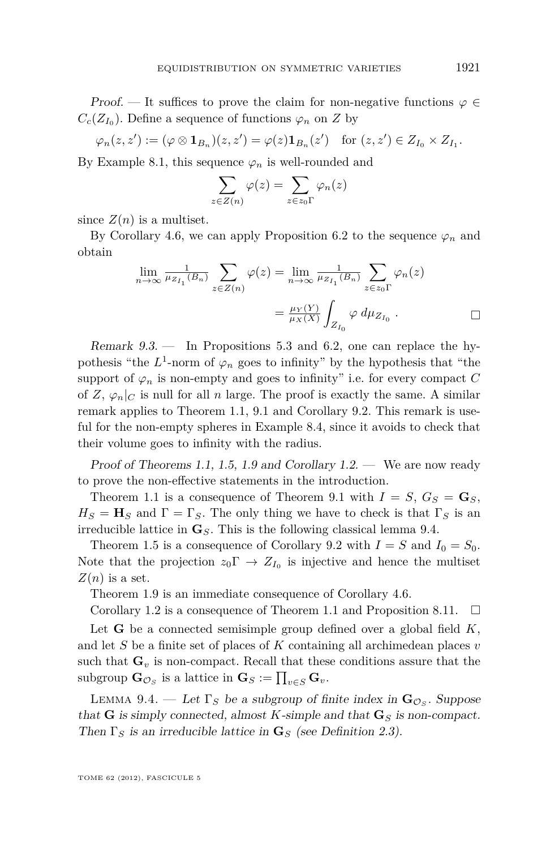<span id="page-33-0"></span>Proof. — It suffices to prove the claim for non-negative functions  $\varphi \in$  $C_c(Z_{I_0})$ . Define a sequence of functions  $\varphi_n$  on *Z* by

$$
\varphi_n(z,z') := (\varphi \otimes \mathbf{1}_{B_n})(z,z') = \varphi(z)\mathbf{1}_{B_n}(z') \quad \text{for } (z,z') \in Z_{I_0} \times Z_{I_1}.
$$

By Example [8.1,](#page-26-0) this sequence  $\varphi_n$  is well-rounded and

$$
\sum_{z \in Z(n)} \varphi(z) = \sum_{z \in z_0 \Gamma} \varphi_n(z)
$$

since  $Z(n)$  is a multiset.

By Corollary [4.6,](#page-17-0) we can apply Proposition [6.2](#page-19-0) to the sequence  $\varphi_n$  and obtain

$$
\lim_{n \to \infty} \frac{1}{\mu_{Z_{I_1}}(B_n)} \sum_{z \in Z(n)} \varphi(z) = \lim_{n \to \infty} \frac{1}{\mu_{Z_{I_1}}(B_n)} \sum_{z \in z_0 \Gamma} \varphi_n(z)
$$

$$
= \frac{\mu_Y(Y)}{\mu_X(X)} \int_{Z_{I_0}} \varphi \, d\mu_{Z_{I_0}}.
$$

Remark 9.3. — In Propositions [5.3](#page-17-0) and [6.2,](#page-19-0) one can replace the hypothesis "the  $L^1$ -norm of  $\varphi_n$  goes to infinity" by the hypothesis that "the support of  $\varphi_n$  is non-empty and goes to infinity" i.e. for every compact *C* of *Z*,  $\varphi_n|_C$  is null for all *n* large. The proof is exactly the same. A similar remark applies to Theorem [1.1,](#page-5-0) [9.1](#page-32-0) and Corollary [9.2.](#page-32-0) This remark is useful for the non-empty spheres in Example [8.4,](#page-27-0) since it avoids to check that their volume goes to infinity with the radius.

Proof of Theorems [1.1,](#page-5-0) [1.5,](#page-6-0) [1.9](#page-7-0) and Corollary  $1.2$ . — We are now ready to prove the non-effective statements in the introduction.

Theorem [1.1](#page-5-0) is a consequence of Theorem [9.1](#page-32-0) with  $I = S$ ,  $G_S = G_S$ ,  $H_S = H_S$  and  $\Gamma = \Gamma_S$ . The only thing we have to check is that  $\Gamma_S$  is an irreducible lattice in  $\mathbf{G}_S$ . This is the following classical lemma 9.4.

Theorem [1.5](#page-6-0) is a consequence of Corollary [9.2](#page-32-0) with  $I = S$  and  $I_0 = S_0$ . Note that the projection  $z_0 \Gamma \to Z_{I_0}$  is injective and hence the multiset  $Z(n)$  is a set.

Theorem [1.9](#page-7-0) is an immediate consequence of Corollary [4.6.](#page-17-0)

Corollary [1.2](#page-5-0) is a consequence of Theorem [1.1](#page-5-0) and Proposition [8.11.](#page-31-0)  $\Box$ 

Let **G** be a connected semisimple group defined over a global field *K*, and let *S* be a finite set of places of *K* containing all archimedean places *v* such that  $\mathbf{G}_v$  is non-compact. Recall that these conditions assure that the  $\text{subgroup } \mathbf{G}_{\mathcal{O}_S} \text{ is a lattice in } \mathbf{G}_S := \prod_{v \in S} \mathbf{G}_v.$ 

LEMMA 9.4. — Let  $\Gamma_S$  be a subgroup of finite index in  $\mathbf{G}_{\mathcal{O}_S}$ . Suppose that **G** is simply connected, almost *K*-simple and that  $\mathbf{G}_S$  is non-compact. Then  $\Gamma_S$  is an irreducible lattice in  $\mathbf{G}_S$  (see Definition [2.3\)](#page-11-0).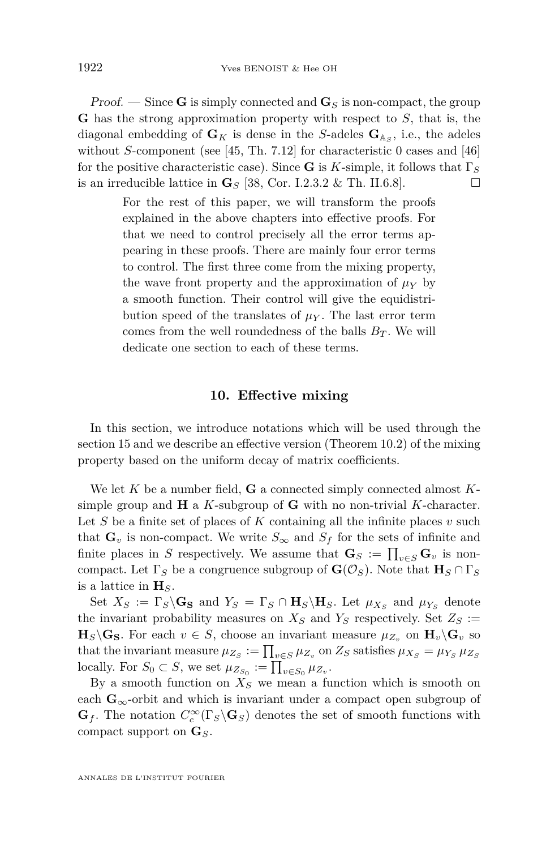<span id="page-34-0"></span>**Proof.** — Since **G** is simply connected and  $\mathbf{G}_S$  is non-compact, the group **G** has the strong approximation property with respect to *S*, that is, the diagonal embedding of  $\mathbf{G}_K$  is dense in the *S*-adeles  $\mathbf{G}_{\mathbb{A}_S}$ , i.e., the adeles without *S*-component (see [\[45,](#page-53-0) Th. 7.12] for characteristic 0 cases and [\[46\]](#page-54-0) for the positive characteristic case). Since **G** is *K*-simple, it follows that Γ*<sup>S</sup>* is an irreducible lattice in  $\mathbf{G}_S$  [\[38,](#page-53-0) Cor. I.2.3.2 & Th. II.6.8].

> For the rest of this paper, we will transform the proofs explained in the above chapters into effective proofs. For that we need to control precisely all the error terms appearing in these proofs. There are mainly four error terms to control. The first three come from the mixing property, the wave front property and the approximation of  $\mu_Y$  by a smooth function. Their control will give the equidistribution speed of the translates of  $\mu_Y$ . The last error term comes from the well roundedness of the balls  $B_T$ . We will dedicate one section to each of these terms.

#### **10. Effective mixing**

In this section, we introduce notations which will be used through the section [15](#page-46-0) and we describe an effective version (Theorem [10.2\)](#page-35-0) of the mixing property based on the uniform decay of matrix coefficients.

We let *K* be a number field, **G** a connected simply connected almost *K*simple group and **H** a *K*-subgroup of **G** with no non-trivial *K*-character. Let *S* be a finite set of places of *K* containing all the infinite places *v* such that  $\mathbf{G}_v$  is non-compact. We write  $S_\infty$  and  $S_f$  for the sets of infinite and finite places in *S* respectively. We assume that  $\mathbf{G}_S := \prod_{v \in S} \mathbf{G}_v$  is noncompact. Let  $\Gamma_S$  be a congruence subgroup of  $\mathbf{G}(\mathcal{O}_S)$ . Note that  $\mathbf{H}_S \cap \Gamma_S$ is a lattice in  $\mathbf{H}_S$ .

Set  $X_S := \Gamma_S \backslash \mathbf{G_S}$  and  $Y_S = \Gamma_S \cap \mathbf{H}_S \backslash \mathbf{H}_S$ . Let  $\mu_{X_S}$  and  $\mu_{Y_S}$  denote the invariant probability measures on  $X_S$  and  $Y_S$  respectively. Set  $Z_S :=$  $\mathbf{H}_S \backslash \mathbf{G}_S$ . For each  $v \in S$ , choose an invariant measure  $\mu_{Z_v}$  on  $\mathbf{H}_v \backslash \mathbf{G}_v$  so that the invariant measure  $\mu_{Z_S} := \prod_{v \in S} \mu_{Z_v}$  on  $Z_S$  satisfies  $\mu_{X_S} = \mu_{Y_S} \mu_{Z_S}$ locally. For  $S_0 \subset S$ , we set  $\mu_{Z_{S_0}} := \prod_{v \in S_0} \mu_{Z_v}$ .

By a smooth function on  $X<sub>S</sub>$  we mean a function which is smooth on each  $\mathbf{G}_{\infty}$ -orbit and which is invariant under a compact open subgroup of  $\mathbf{G}_f$ . The notation  $C_c^{\infty}(\Gamma_S \backslash \mathbf{G}_S)$  denotes the set of smooth functions with compact support on **G***S*.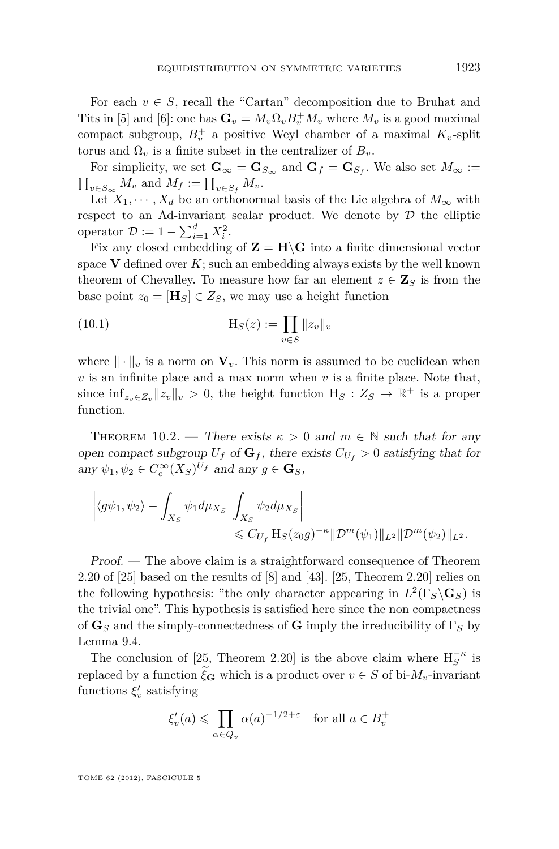<span id="page-35-0"></span>For each  $v \in S$ , recall the "Cartan" decomposition due to Bruhat and Tits in [\[5\]](#page-52-0) and [\[6\]](#page-52-0): one has  $\mathbf{G}_v = M_v \Omega_v B_v^+ M_v$  where  $M_v$  is a good maximal compact subgroup,  $B_v^+$  a positive Weyl chamber of a maximal  $K_v$ -split torus and  $\Omega$ <sup>*v*</sup> is a finite subset in the centralizer of  $B$ <sup>*n*</sup>.

For simplicity, we set  $\mathbf{G}_{\infty} = \mathbf{G}_{S_{\infty}}$  and  $\mathbf{G}_{f} = \mathbf{G}_{S_{f}}$ . We also set  $M_{\infty} :=$  $\prod_{v \in S_{\infty}} M_v$  and  $M_f := \prod_{v \in S_f} M_v$ .

Let  $X_1, \dots, X_d$  be an orthonormal basis of the Lie algebra of  $M_\infty$  with respect to an Ad-invariant scalar product. We denote by  $D$  the elliptic operator  $\mathcal{D} := 1 - \sum_{i=1}^{d} X_i^2$ .

Fix any closed embedding of  $\mathbf{Z} = \mathbf{H} \setminus \mathbf{G}$  into a finite dimensional vector space  $V$  defined over  $K$ ; such an embedding always exists by the well known theorem of Chevalley. To measure how far an element  $z \in \mathbb{Z}_S$  is from the base point  $z_0 = [\mathbf{H}_S] \in Z_S$ , we may use a height function

(10.1) 
$$
H_S(z) := \prod_{v \in S} ||z_v||_v
$$

where  $\|\cdot\|_v$  is a norm on  $\mathbf{V}_v$ . This norm is assumed to be euclidean when  $v$  is an infinite place and a max norm when  $v$  is a finite place. Note that, since  $\inf_{z_v \in Z_v} ||z_v||_v > 0$ , the height function  $H_S : Z_S \to \mathbb{R}^+$  is a proper function.

THEOREM 10.2. — There exists  $\kappa > 0$  and  $m \in \mathbb{N}$  such that for any open compact subgroup  $U_f$  of  $\mathbf{G}_f$ , there exists  $C_{U_f} > 0$  satisfying that for  $\omega$ <sub>*z*</sub>  $\omega$ <sub>*z*</sub>  $\omega$ <sub>*c*</sub><sup> $\in$ </sup>  $C_c^{\infty}(X_S)^{U_f}$  and any  $g \in \mathbf{G}_S$ ,

$$
\left| \langle g\psi_1, \psi_2 \rangle - \int_{X_S} \psi_1 d\mu_{X_S} \int_{X_S} \psi_2 d\mu_{X_S} \right|
$$
  
\$\leqslant C\_{U\_f} \mathcal{H}\_S(z\_0 g)^{-\kappa} \| \mathcal{D}^m(\psi\_1) \|\_{L^2} \| \mathcal{D}^m(\psi\_2) \|\_{L^2}\$.

Proof. — The above claim is a straightforward consequence of Theorem 2.20 of [\[25\]](#page-53-0) based on the results of [\[8\]](#page-52-0) and [\[43\]](#page-53-0). [\[25,](#page-53-0) Theorem 2.20] relies on the following hypothesis: "the only character appearing in  $L^2(\Gamma_S \backslash \mathbf{G}_S)$  is the trivial one". This hypothesis is satisfied here since the non compactness of  $\mathbf{G}_S$  and the simply-connectedness of  $\mathbf{G}$  imply the irreducibility of  $\Gamma_S$  by Lemma [9.4.](#page-33-0)

The conclusion of [\[25,](#page-53-0) Theorem 2.20] is the above claim where  $H_S^{-\kappa}$  is replaced by a function  $\xi_{\mathbf{G}}$  which is a product over  $v \in S$  of bi- $M_v$ -invariant functions  $\xi_v'$  satisfying

$$
\xi'_v(a) \leqslant \prod_{\alpha \in Q_v} \alpha(a)^{-1/2 + \varepsilon} \quad \text{for all } a \in B_v^+
$$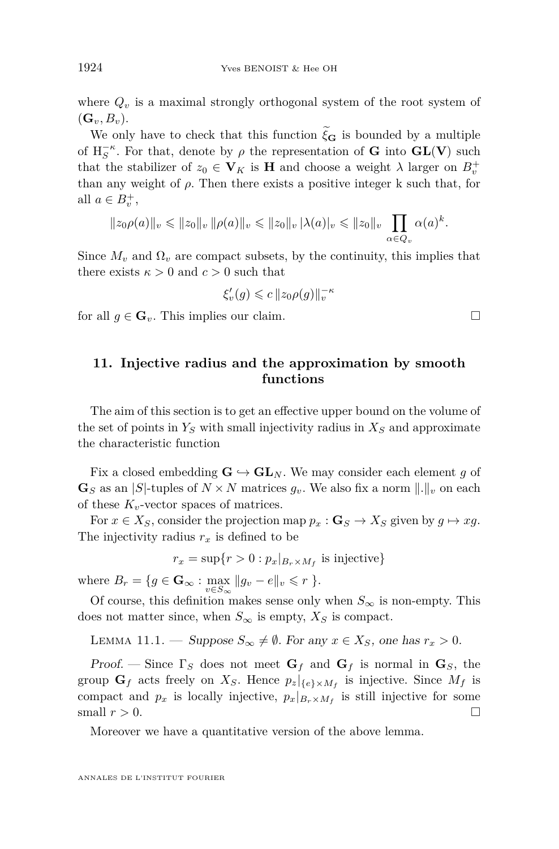<span id="page-36-0"></span>where  $Q_v$  is a maximal strongly orthogonal system of the root system of  $(G_v, B_v)$ .

We only have to check that this function  $\xi_{\mathbf{G}}$  is bounded by a multiple of  $H_S^{-\kappa}$ . For that, denote by  $\rho$  the representation of **G** into  $GL(V)$  such that the stabilizer of  $z_0 \in V_K$  is **H** and choose a weight  $\lambda$  larger on  $B_v^+$ than any weight of  $\rho$ . Then there exists a positive integer k such that, for all  $a \in B_v^+$ ,

$$
||z_0 \rho(a)||_v \le ||z_0||_v ||\rho(a)||_v \le ||z_0||_v |\lambda(a)|_v \le ||z_0||_v \prod_{\alpha \in Q_v} \alpha(a)^k.
$$

Since  $M_v$  and  $\Omega_v$  are compact subsets, by the continuity, this implies that there exists  $\kappa > 0$  and  $c > 0$  such that

$$
\xi'_v(g) \leqslant c \|z_0 \rho(g)\|_v^{-\kappa}
$$

for all  $g \in \mathbf{G}_v$ . This implies our claim.

#### **11. Injective radius and the approximation by smooth functions**

The aim of this section is to get an effective upper bound on the volume of the set of points in  $Y<sub>S</sub>$  with small injectivity radius in  $X<sub>S</sub>$  and approximate the characteristic function

Fix a closed embedding  $\mathbf{G} \hookrightarrow \mathbf{GL}_N$ . We may consider each element g of  $\mathbf{G}_S$  as an |*S*|-tuples of  $N \times N$  matrices  $g_v$ . We also fix a norm  $\|.\|_v$  on each of these *Kv*-vector spaces of matrices.

For  $x \in X_S$ , consider the projection map  $p_x : \mathbf{G}_S \to X_S$  given by  $g \mapsto xg$ . The injectivity radius  $r_x$  is defined to be

$$
r_x = \sup\{r > 0: p_x|_{B_r \times M_f} \text{ is injective}\}
$$

where  $B_r = \{ g \in \mathbf{G}_{\infty} : \max_{v \in S_{\infty}} ||g_v - e||_v \leqslant r \}.$ 

Of course, this definition makes sense only when  $S_{\infty}$  is non-empty. This does not matter since, when  $S_{\infty}$  is empty,  $X_S$  is compact.

LEMMA 11.1. — Suppose  $S_{\infty} \neq \emptyset$ . For any  $x \in X_S$ , one has  $r_x > 0$ .

Proof. — Since  $\Gamma_S$  does not meet  $\mathbf{G}_f$  and  $\mathbf{G}_f$  is normal in  $\mathbf{G}_S$ , the group  $\mathbf{G}_f$  acts freely on  $X_S$ . Hence  $p_z|_{\{e\} \times M_f}$  is injective. Since  $M_f$  is compact and  $p_x$  is locally injective,  $p_x|_{B_r \times M_f}$  is still injective for some small  $r > 0$ .

Moreover we have a quantitative version of the above lemma.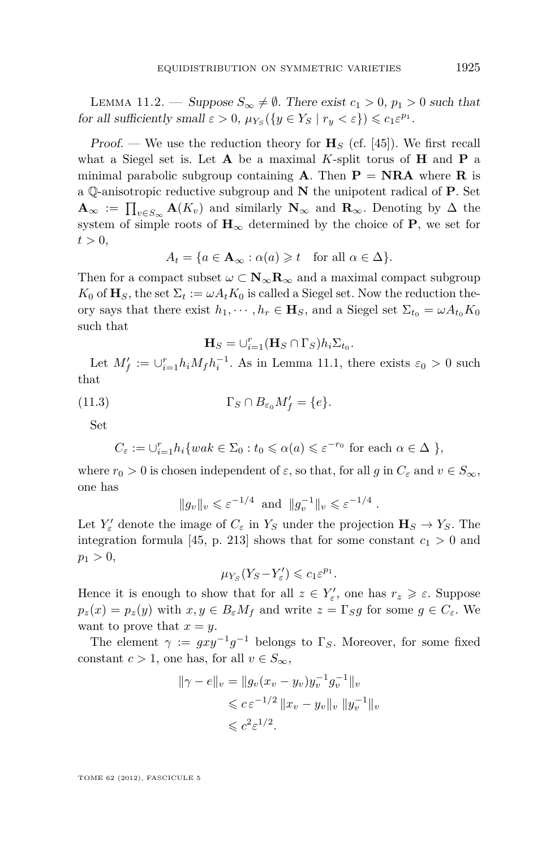<span id="page-37-0"></span>LEMMA 11.2. — Suppose  $S_{\infty} \neq \emptyset$ . There exist  $c_1 > 0$ ,  $p_1 > 0$  such that for all sufficiently small  $\varepsilon > 0$ ,  $\mu_{Y_S}(\lbrace y \in Y_S \mid r_y < \varepsilon \rbrace) \leq c_1 \varepsilon^{p_1}$ .

Proof. — We use the reduction theory for  $\mathbf{H}_{S}$  (cf. [\[45\]](#page-53-0)). We first recall what a Siegel set is. Let **A** be a maximal *K*-split torus of **H** and **P** a minimal parabolic subgroup containing  $\bf{A}$ . Then  $\bf{P} = \bf{NRA}$  where  $\bf{R}$  is a Q-anisotropic reductive subgroup and **N** the unipotent radical of **P**. Set  $\mathbf{A}_{\infty}$  :=  $\prod_{v \in S_{\infty}} \mathbf{A}(K_v)$  and similarly  $\mathbf{N}_{\infty}$  and  $\mathbf{R}_{\infty}$ . Denoting by  $\Delta$  the system of simple roots of  $H_{\infty}$  determined by the choice of **P**, we set for  $t > 0$ ,

$$
A_t = \{ a \in \mathbf{A}_{\infty} : \alpha(a) \geq t \quad \text{for all } \alpha \in \Delta \}.
$$

Then for a compact subset  $\omega \subset \mathbf{N}_{\infty} \mathbf{R}_{\infty}$  and a maximal compact subgroup  $K_0$  of  $\mathbf{H}_S$ , the set  $\Sigma_t := \omega A_t K_0$  is called a Siegel set. Now the reduction theory says that there exist  $h_1, \dots, h_r \in \mathbf{H}_S$ , and a Siegel set  $\Sigma_{t_0} = \omega A_{t_0} K_0$ such that

$$
\mathbf{H}_S = \bigcup_{i=1}^r (\mathbf{H}_S \cap \Gamma_S) h_i \Sigma_{t_0}.
$$

Let  $M'_f := \bigcup_{i=1}^r h_i M_f h_i^{-1}$ . As in Lemma [11.1,](#page-36-0) there exists  $\varepsilon_0 > 0$  such that

(11.3) 
$$
\Gamma_S \cap B_{\varepsilon_0} M'_f = \{e\}.
$$

Set

$$
C_{\varepsilon} := \bigcup_{i=1}^{r} h_i \{ wak \in \Sigma_0 : t_0 \leq \alpha(a) \leq \varepsilon^{-r_0} \text{ for each } \alpha \in \Delta \} ,
$$

where  $r_0 > 0$  is chosen independent of  $\varepsilon$ , so that, for all  $g$  in  $C_{\varepsilon}$  and  $v \in S_{\infty}$ , one has

$$
||g_v||_v \leqslant \varepsilon^{-1/4} \text{ and } ||g_v^{-1}||_v \leqslant \varepsilon^{-1/4} .
$$

Let  $Y'_{\varepsilon}$  denote the image of  $C_{\varepsilon}$  in  $Y_S$  under the projection  $\mathbf{H}_S \to Y_S$ . The integration formula [\[45,](#page-53-0) p. 213] shows that for some constant  $c_1 > 0$  and  $p_1 > 0$ ,

$$
\mu_{Y_S}(Y_S-Y'_\varepsilon)\leqslant c_1\varepsilon^{p_1}.
$$

Hence it is enough to show that for all  $z \in Y'_\varepsilon$ , one has  $r_z \geqslant \varepsilon$ . Suppose  $p_z(x) = p_z(y)$  with  $x, y \in B_\varepsilon M_f$  and write  $z = \Gamma_S g$  for some  $g \in C_\varepsilon$ . We want to prove that  $x = y$ .

The element  $\gamma := gxy^{-1}g^{-1}$  belongs to  $\Gamma_S$ . Moreover, for some fixed constant  $c > 1$ , one has, for all  $v \in S_{\infty}$ ,

$$
\|\gamma - e\|_{v} = \|g_{v}(x_{v} - y_{v})y_{v}^{-1}g_{v}^{-1}\|_{v}
$$
  
\$\leqslant c \varepsilon^{-1/2} \|x\_{v} - y\_{v}\|\_{v} \|y\_{v}^{-1}\|\_{v}\$  
\$\leqslant c^{2}\varepsilon^{1/2}.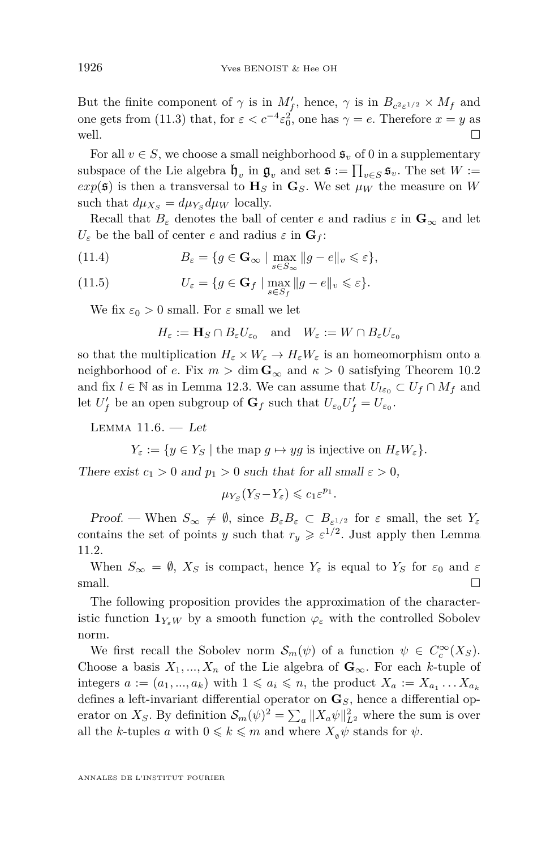<span id="page-38-0"></span>But the finite component of  $\gamma$  is in  $M'_f$ , hence,  $\gamma$  is in  $B_{c^2\varepsilon^{1/2}} \times M_f$  and one gets from [\(11.3\)](#page-37-0) that, for  $\varepsilon < c^{-4} \varepsilon_0^2$ , one has  $\gamma = e$ . Therefore  $x = y$  as well.  $\Box$ 

For all  $v \in S$ , we choose a small neighborhood  $\mathfrak{s}_v$  of 0 in a supplementary subspace of the Lie algebra  $\mathfrak{h}_v$  in  $\mathfrak{g}_v$  and set  $\mathfrak{s} := \prod_{v \in S} \mathfrak{s}_v$ . The set  $W :=$  $exp(5)$  is then a transversal to  $H<sub>S</sub>$  in  $G<sub>S</sub>$ . We set  $\mu<sub>W</sub>$  the measure on *W* such that  $d\mu_{X_s} = d\mu_{Y_s} d\mu_W$  locally.

Recall that  $B_{\varepsilon}$  denotes the ball of center *e* and radius  $\varepsilon$  in  $\mathbf{G}_{\infty}$  and let  $U_{\varepsilon}$  be the ball of center *e* and radius  $\varepsilon$  in  $\mathbf{G}_f$ :

(11.4) 
$$
B_{\varepsilon} = \{ g \in \mathbf{G}_{\infty} \mid \max_{s \in S_{\infty}} \| g - e \|_{v} \leqslant \varepsilon \},
$$

(11.5) 
$$
U_{\varepsilon} = \{ g \in \mathbf{G}_f \mid \max_{s \in S_f} \| g - e \|_v \leqslant \varepsilon \}.
$$

We fix  $\varepsilon_0 > 0$  small. For  $\varepsilon$  small we let

$$
H_{\varepsilon} := \mathbf{H}_S \cap B_{\varepsilon} U_{\varepsilon_0} \quad \text{and} \quad W_{\varepsilon} := W \cap B_{\varepsilon} U_{\varepsilon_0}
$$

so that the multiplication  $H_{\varepsilon} \times W_{\varepsilon} \to H_{\varepsilon}W_{\varepsilon}$  is an homeomorphism onto a neighborhood of *e*. Fix  $m > \dim G_{\infty}$  and  $\kappa > 0$  satisfying Theorem [10.2](#page-35-0) and fix  $l \in \mathbb{N}$  as in Lemma [12.3.](#page-41-0) We can assume that  $U_{l\varepsilon_0} \subset U_f \cap M_f$  and let  $U'_f$  be an open subgroup of  $\mathbf{G}_f$  such that  $U_{\varepsilon_0}U'_f = U_{\varepsilon_0}$ .

LEMMA  $11.6. - Let$ 

 $Y_{\varepsilon} := \{ y \in Y_S \mid \text{the map } g \mapsto yg \text{ is injective on } H_{\varepsilon} W_{\varepsilon} \}.$ 

There exist  $c_1 > 0$  and  $p_1 > 0$  such that for all small  $\varepsilon > 0$ ,

$$
\mu_{Y_S}(Y_S - Y_\varepsilon) \leqslant c_1 \varepsilon^{p_1}.
$$

Proof. — When  $S_{\infty} \neq \emptyset$ , since  $B_{\varepsilon}B_{\varepsilon} \subset B_{\varepsilon^{1/2}}$  for  $\varepsilon$  small, the set  $Y_{\varepsilon}$ contains the set of points *y* such that  $r_y \geqslant \varepsilon^{1/2}$ . Just apply then Lemma [11.2.](#page-37-0)

When  $S_{\infty} = \emptyset$ ,  $X_S$  is compact, hence  $Y_{\varepsilon}$  is equal to  $Y_S$  for  $\varepsilon_0$  and  $\varepsilon$ small.  $\Box$ 

The following proposition provides the approximation of the characteristic function  $\mathbf{1}_{Y_{\varepsilon}W}$  by a smooth function  $\varphi_{\varepsilon}$  with the controlled Sobolev norm.

We first recall the Sobolev norm  $\mathcal{S}_m(\psi)$  of a function  $\psi \in C_c^{\infty}(X_S)$ . Choose a basis  $X_1, ..., X_n$  of the Lie algebra of  $\mathbf{G}_{\infty}$ . For each *k*-tuple of integers  $a := (a_1, ..., a_k)$  with  $1 \leq a_i \leq n$ , the product  $X_a := X_{a_1} \dots X_{a_k}$ defines a left-invariant differential operator on **G***S*, hence a differential operator on *X<sub>S</sub>*. By definition  $\mathcal{S}_m(\psi)^2 = \sum_a ||X_a \psi||_{L^2}^2$  where the sum is over all the *k*-tuples *a* with  $0 \leq k \leq m$  and where  $X_{\alpha} \psi$  stands for  $\psi$ .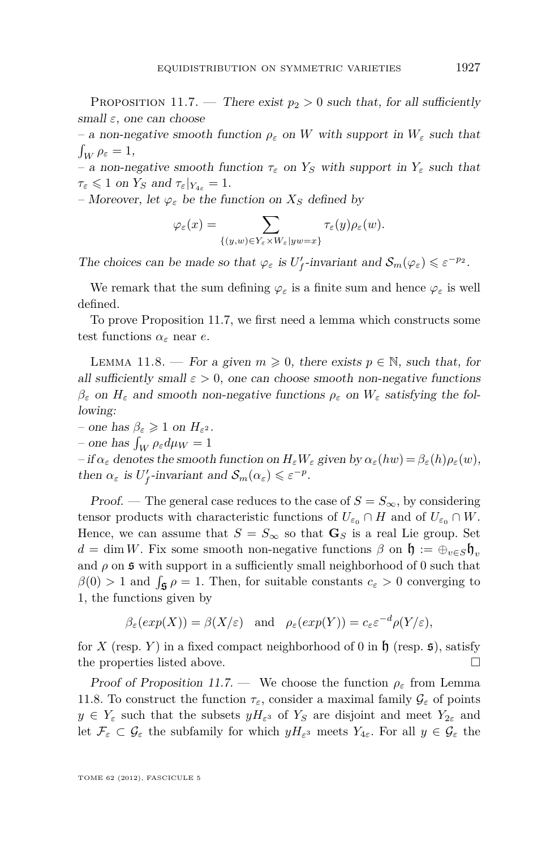<span id="page-39-0"></span>PROPOSITION 11.7. — There exist  $p_2 > 0$  such that, for all sufficiently small *ε*, one can choose

– a non-negative smooth function *ρ<sup>ε</sup>* on *W* with support in *W<sup>ε</sup>* such that  $\int_W \rho_\varepsilon = 1,$ 

– a non-negative smooth function *τ<sup>ε</sup>* on *Y<sup>S</sup>* with support in *Y<sup>ε</sup>* such that  $\tau_{\varepsilon} \leqslant 1$  on  $Y_S$  and  $\tau_{\varepsilon}|_{Y_{4\varepsilon}} = 1$ .

– Moreover, let  $\varphi_{\varepsilon}$  be the function on  $X_{\mathcal{S}}$  defined by

$$
\varphi_{\varepsilon}(x) = \sum_{\{(y,w)\in Y_{\varepsilon}\times W_{\varepsilon}|yw=x\}} \tau_{\varepsilon}(y)\rho_{\varepsilon}(w).
$$

The choices can be made so that  $\varphi_{\varepsilon}$  is  $U'_f$ -invariant and  $\mathcal{S}_m(\varphi_{\varepsilon}) \leq \varepsilon^{-p_2}$ .

We remark that the sum defining  $\varphi_{\varepsilon}$  is a finite sum and hence  $\varphi_{\varepsilon}$  is well defined.

To prove Proposition 11.7, we first need a lemma which constructs some test functions  $\alpha_{\varepsilon}$  near *e*.

LEMMA 11.8. — For a given  $m \geq 0$ , there exists  $p \in \mathbb{N}$ , such that, for all sufficiently small  $\varepsilon > 0$ , one can choose smooth non-negative functions  $β_ε$  on  $H_ε$  and smooth non-negative functions  $ρ_ε$  on  $W_ε$  satisfying the following:

 $-$  one has  $\beta_{\varepsilon} \geq 1$  on  $H_{\varepsilon^2}$ .  $-$  one has  $\int_W \rho_{\varepsilon} d\mu_W = 1$ 

 $-i$  *f*  $\alpha_{\varepsilon}$  denotes the smooth function on  $H_{\varepsilon}W_{\varepsilon}$  given by  $\alpha_{\varepsilon}(hw) = \beta_{\varepsilon}(h)\rho_{\varepsilon}(w)$ , then  $\alpha_{\varepsilon}$  is  $U_f'$ -invariant and  $\mathcal{S}_m(\alpha_{\varepsilon}) \leqslant \varepsilon^{-p}$ .

Proof. — The general case reduces to the case of  $S = S_{\infty}$ , by considering tensor products with characteristic functions of  $U_{\varepsilon_0} \cap H$  and of  $U_{\varepsilon_0} \cap W$ . Hence, we can assume that  $S = S_{\infty}$  so that  $\mathbf{G}_S$  is a real Lie group. Set  $d = \dim W$ . Fix some smooth non-negative functions  $\beta$  on  $\mathfrak{h} := \bigoplus_{v \in S} \mathfrak{h}_v$ and  $\rho$  on  $\mathfrak s$  with support in a sufficiently small neighborhood of 0 such that  $\beta(0) > 1$  and  $\int_{\mathfrak{F}} \rho = 1$ . Then, for suitable constants  $c_{\varepsilon} > 0$  converging to 1, the functions given by

$$
\beta_{\varepsilon}(exp(X)) = \beta(X/\varepsilon)
$$
 and  $\rho_{\varepsilon}(exp(Y)) = c_{\varepsilon} \varepsilon^{-d} \rho(Y/\varepsilon)$ ,

for *X* (resp. *Y*) in a fixed compact neighborhood of 0 in  $\mathfrak{h}$  (resp. **5**), satisfy the properties listed above.  $\Box$ 

Proof of Proposition 11.7. — We choose the function  $\rho_{\varepsilon}$  from Lemma 11.8. To construct the function  $\tau_{\varepsilon}$ , consider a maximal family  $\mathcal{G}_{\varepsilon}$  of points  $y \in Y_{\varepsilon}$  such that the subsets  $yH_{\varepsilon}$ <sup>3</sup> of  $Y_S$  are disjoint and meet  $Y_{2\varepsilon}$  and let  $\mathcal{F}_{\varepsilon} \subset \mathcal{G}_{\varepsilon}$  the subfamily for which  $yH_{\varepsilon}$ <sup>3</sup> meets  $Y_{4\varepsilon}$ . For all  $y \in \mathcal{G}_{\varepsilon}$  the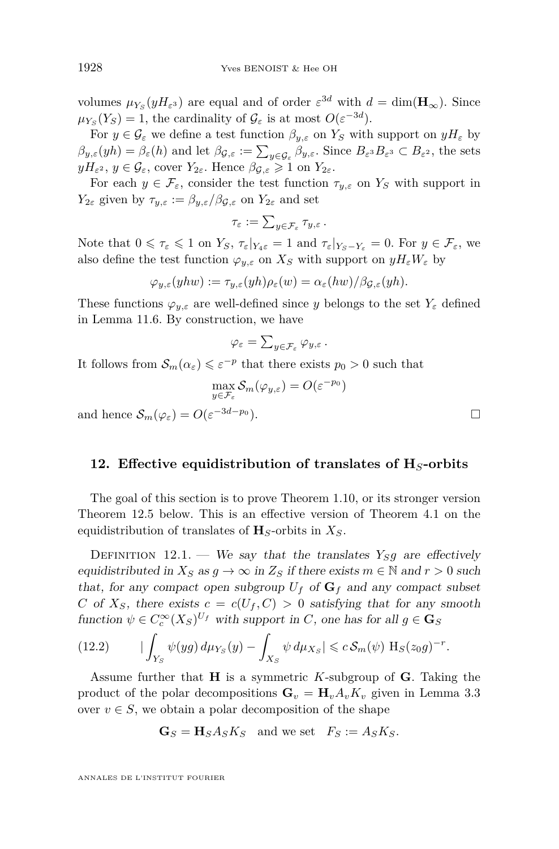volumes  $\mu_{Y_s}(yH_{\varepsilon^3})$  are equal and of order  $\varepsilon^{3d}$  with  $d = \dim(\mathbf{H}_{\infty})$ . Since  $\mu_{Y_S}(Y_S) = 1$ , the cardinality of  $\mathcal{G}_{\varepsilon}$  is at most  $O(\varepsilon^{-3d})$ .

For  $y \in \mathcal{G}_{\varepsilon}$  we define a test function  $\beta_{y,\varepsilon}$  on  $Y_S$  with support on  $yH_{\varepsilon}$  by  $\beta_{y,\varepsilon}(yh) = \beta_{\varepsilon}(h)$  and let  $\beta_{\mathcal{G},\varepsilon} := \sum_{y \in \mathcal{G}_{\varepsilon}} \beta_{y,\varepsilon}$ . Since  $B_{\varepsilon^3}B_{\varepsilon^3} \subset B_{\varepsilon^2}$ , the sets  $yH_{\varepsilon^2}$ ,  $y \in \mathcal{G}_{\varepsilon}$ , cover  $Y_{2\varepsilon}$ . Hence  $\beta_{\mathcal{G},\varepsilon} \geq 1$  on  $Y_{2\varepsilon}$ .

For each  $y \in \mathcal{F}_{\varepsilon}$ , consider the test function  $\tau_{y,\varepsilon}$  on  $Y_S$  with support in *Y*<sub>2*ε*</sub> given by  $\tau_{y,\varepsilon} := \beta_{y,\varepsilon}/\beta_{\mathcal{G},\varepsilon}$  on  $Y_{2\varepsilon}$  and set

$$
\tau_{\varepsilon}:=\textstyle\sum_{y\in\mathcal{F}_{\varepsilon}}\tau_{y,\varepsilon}\,.
$$

Note that  $0 \le \tau_{\varepsilon} \le 1$  on  $Y_S$ ,  $\tau_{\varepsilon}|_{Y_A \varepsilon} = 1$  and  $\tau_{\varepsilon}|_{Y_S - Y_{\varepsilon}} = 0$ . For  $y \in \mathcal{F}_{\varepsilon}$ , we also define the test function  $\varphi_{y,\varepsilon}$  on  $X_S$  with support on  $yH_{\varepsilon}W_{\varepsilon}$  by

$$
\varphi_{y,\varepsilon}(yhw) := \tau_{y,\varepsilon}(yh)\rho_{\varepsilon}(w) = \alpha_{\varepsilon}(hw)/\beta_{\mathcal{G},\varepsilon}(yh).
$$

These functions  $\varphi_{y,\varepsilon}$  are well-defined since *y* belongs to the set  $Y_{\varepsilon}$  defined in Lemma [11.6.](#page-38-0) By construction, we have

$$
\varphi_{\varepsilon} = \sum_{y \in \mathcal{F}_{\varepsilon}} \varphi_{y,\varepsilon} \, .
$$

It follows from  $\mathcal{S}_m(\alpha_\varepsilon) \leqslant \varepsilon^{-p}$  that there exists  $p_0 > 0$  such that

$$
\max_{y \in \mathcal{F}_{\varepsilon}} \mathcal{S}_m(\varphi_{y,\varepsilon}) = O(\varepsilon^{-p_0})
$$

and hence  $S_m(\varphi_\varepsilon) = O(\varepsilon^{-3d-p_0})$ .

#### **12. Effective equidistribution of translates of H***S***-orbits**

The goal of this section is to prove Theorem [1.10,](#page-8-0) or its stronger version Theorem [12.5](#page-41-0) below. This is an effective version of Theorem [4.1](#page-14-0) on the equidistribution of translates of **H***S*-orbits in *XS*.

DEFINITION 12.1. — We say that the translates  $Y_S g$  are effectively equidistributed in  $X_S$  as  $g \to \infty$  in  $Z_S$  if there exists  $m \in \mathbb{N}$  and  $r > 0$  such that, for any compact open subgroup  $U_f$  of  $G_f$  and any compact subset *C* of  $X_s$ , there exists  $c = c(U_f, C) > 0$  satisfying that for any smooth function  $\psi \in C_c^{\infty}(X_S)^{U_f}$  with support in *C*, one has for all  $g \in \mathbf{G}_S$ 

$$
(12.2) \qquad \left| \int_{Y_S} \psi(yg) \, d\mu_{Y_S}(y) - \int_{X_S} \psi \, d\mu_{X_S} \right| \leqslant c \, \mathcal{S}_m(\psi) \, \mathcal{H}_S(z_0 g)^{-r}.
$$

Assume further that **H** is a symmetric *K*-subgroup of **G**. Taking the product of the polar decompositions  $\mathbf{G}_v = \mathbf{H}_v A_v K_v$  given in Lemma [3.3](#page-12-0) over  $v \in S$ , we obtain a polar decomposition of the shape

$$
\mathbf{G}_S = \mathbf{H}_S A_S K_S \quad \text{and we set} \quad F_S := A_S K_S.
$$

<span id="page-40-0"></span>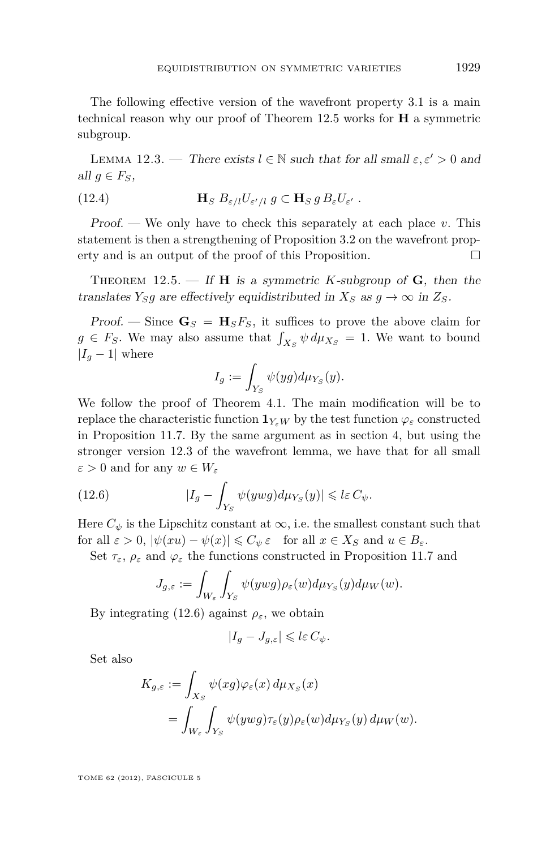<span id="page-41-0"></span>The following effective version of the wavefront property [3.1](#page-12-0) is a main technical reason why our proof of Theorem 12.5 works for **H** a symmetric subgroup.

LEMMA 12.3. — There exists  $l \in \mathbb{N}$  such that for all small  $\varepsilon, \varepsilon' > 0$  and all  $q \in F_S$ ,

(12.4) 
$$
\mathbf{H}_{S} B_{\varepsilon/l} U_{\varepsilon'/l} g \subset \mathbf{H}_{S} g B_{\varepsilon} U_{\varepsilon' } .
$$

Proof. — We only have to check this separately at each place *v*. This statement is then a strengthening of Proposition [3.2](#page-12-0) on the wavefront property and is an output of the proof of this Proposition.

THEOREM  $12.5.$  — If **H** is a symmetric *K*-subgroup of **G**, then the translates *Y*<sub>*S*</sub><sup>*g*</sup> are effectively equidistributed in  $X_S$  as  $g \to \infty$  in  $Z_S$ .

Proof. — Since  $\mathbf{G}_S = \mathbf{H}_S F_S$ , it suffices to prove the above claim for  $g \in F_S$ . We may also assume that  $\int_{X_S} \psi \, d\mu_{X_S} = 1$ . We want to bound  $|I_q - 1|$  where

$$
I_g:=\int_{Y_S}\psi(yg)d\mu_{Y_S}(y).
$$

We follow the proof of Theorem [4.1.](#page-14-0) The main modification will be to replace the characteristic function  $\mathbf{1}_{Y_sW}$  by the test function  $\varphi_\varepsilon$  constructed in Proposition [11.7.](#page-39-0) By the same argument as in section [4,](#page-14-0) but using the stronger version 12.3 of the wavefront lemma, we have that for all small  $\varepsilon > 0$  and for any  $w \in W_{\varepsilon}$ 

(12.6) 
$$
|I_g - \int_{Y_S} \psi(ywg) d\mu_{Y_S}(y)| \leqslant l\varepsilon C_{\psi}.
$$

Here  $C_{\psi}$  is the Lipschitz constant at  $\infty$ , i.e. the smallest constant such that for all  $\varepsilon > 0$ ,  $|\psi(xu) - \psi(x)| \leq C_{\psi} \varepsilon$  for all  $x \in X_S$  and  $u \in B_{\varepsilon}$ .

Set  $\tau_{\varepsilon}, \rho_{\varepsilon}$  and  $\varphi_{\varepsilon}$  the functions constructed in Proposition [11.7](#page-39-0) and

$$
J_{g,\varepsilon} := \int_{W_{\varepsilon}} \int_{Y_S} \psi(ywg) \rho_{\varepsilon}(w) d\mu_{Y_S}(y) d\mu_W(w).
$$

By integrating (12.6) against  $\rho_{\varepsilon}$ , we obtain

$$
|I_g - J_{g,\varepsilon}| \leqslant l\varepsilon C_{\psi}.
$$

Set also

$$
K_{g,\varepsilon} := \int_{X_S} \psi(xg)\varphi_{\varepsilon}(x) d\mu_{X_S}(x)
$$
  
= 
$$
\int_{W_{\varepsilon}} \int_{Y_S} \psi(ywg)\tau_{\varepsilon}(y)\rho_{\varepsilon}(w) d\mu_{Y_S}(y) d\mu_W(w).
$$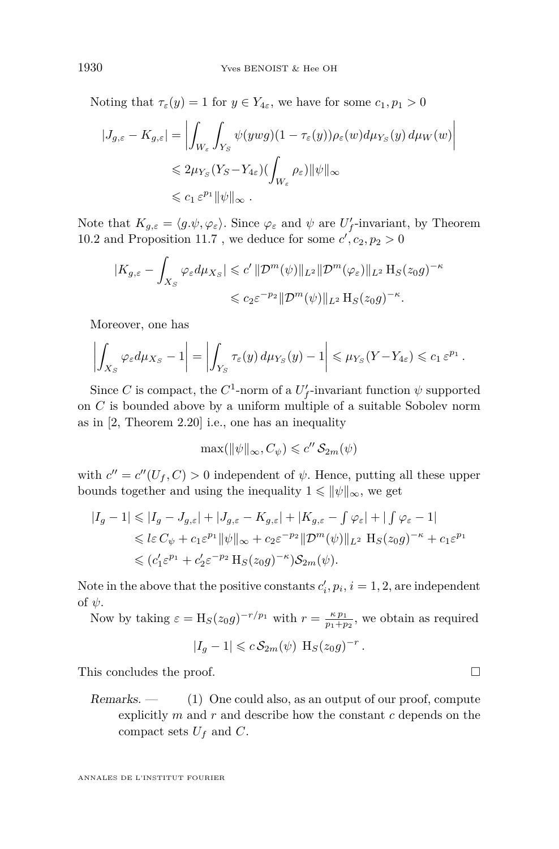Noting that  $\tau_{\varepsilon}(y) = 1$  for  $y \in Y_{4\varepsilon}$ , we have for some  $c_1, p_1 > 0$ 

$$
\begin{aligned} |J_{g,\varepsilon} - K_{g,\varepsilon}| &= \left| \int_{W_{\varepsilon}} \int_{Y_S} \psi(ywg)(1 - \tau_{\varepsilon}(y)) \rho_{\varepsilon}(w) d\mu_{Y_S}(y) d\mu_W(w) \right| \\ &\leq 2\mu_{Y_S}(Y_S - Y_{4\varepsilon})(\int_{W_{\varepsilon}} \rho_{\varepsilon}) ||\psi||_{\infty} \\ &\leq c_1 \, \varepsilon^{p_1} ||\psi||_{\infty} \, . \end{aligned}
$$

Note that  $K_{g,\varepsilon} = \langle g.\psi, \varphi_{\varepsilon} \rangle$ . Since  $\varphi_{\varepsilon}$  and  $\psi$  are  $U'_f$ -invariant, by Theorem [10.2](#page-35-0) and Proposition [11.7](#page-39-0) , we deduce for some  $c', c_2, p_2 > 0$ 

$$
|K_{g,\varepsilon} - \int_{X_S} \varphi_{\varepsilon} d\mu_{X_S}| \leqslant c' \|\mathcal{D}^m(\psi)\|_{L^2} \|\mathcal{D}^m(\varphi_{\varepsilon})\|_{L^2} \operatorname{H}_S(z_0 g)^{-\kappa}
$$
  

$$
\leqslant c_2 \varepsilon^{-p_2} \|\mathcal{D}^m(\psi)\|_{L^2} \operatorname{H}_S(z_0 g)^{-\kappa}.
$$

Moreover, one has

$$
\left|\int_{X_S} \varphi_{\varepsilon} d\mu_{X_S} - 1\right| = \left|\int_{Y_S} \tau_{\varepsilon}(y) d\mu_{Y_S}(y) - 1\right| \leqslant \mu_{Y_S}(Y - Y_{4\varepsilon}) \leqslant c_1 \varepsilon^{p_1}.
$$

Since *C* is compact, the  $C^1$ -norm of a  $U'_f$ -invariant function  $\psi$  supported on *C* is bounded above by a uniform multiple of a suitable Sobolev norm as in [\[2,](#page-52-0) Theorem 2.20] i.e., one has an inequality

$$
\max(\|\psi\|_{\infty}, C_{\psi}) \leq c'' \mathcal{S}_{2m}(\psi)
$$

with  $c'' = c''(U_f, C) > 0$  independent of  $\psi$ . Hence, putting all these upper bounds together and using the inequality  $1 \leq \|\psi\|_{\infty}$ , we get

$$
\begin{split} |I_g-1|&\leqslant |I_g-J_{g,\varepsilon}|+|J_{g,\varepsilon}-K_{g,\varepsilon}|+|K_{g,\varepsilon}-\int\varphi_\varepsilon|+|\int\varphi_\varepsilon-1|\\ &\leqslant l\varepsilon\,C_\psi+c_1\varepsilon^{p_1}\|\psi\|_\infty+c_2\varepsilon^{-p_2}\|\mathcal{D}^m(\psi)\|_{L^2}\ \mathcal{H}_S(z_0g)^{-\kappa}+c_1\varepsilon^{p_1}\\ &\leqslant (c_1'\varepsilon^{p_1}+c_2'\varepsilon^{-p_2}\,\mathcal{H}_S(z_0g)^{-\kappa})\mathcal{S}_{2m}(\psi). \end{split}
$$

Note in the above that the positive constants  $c'_i, p_i, i = 1, 2$ , are independent of *ψ*.

Now by taking  $\varepsilon = H_S(z_0 g)^{-r/p_1}$  with  $r = \frac{\kappa p_1}{p_1 + p_2}$ , we obtain as required

$$
|I_g - 1| \leqslant c S_{2m}(\psi) \ \mathcal{H}_S(z_0 g)^{-r} .
$$

This concludes the proof.

Remarks. — (1) One could also, as an output of our proof, compute explicitly *m* and *r* and describe how the constant *c* depends on the compact sets  $U_f$  and  $C$ .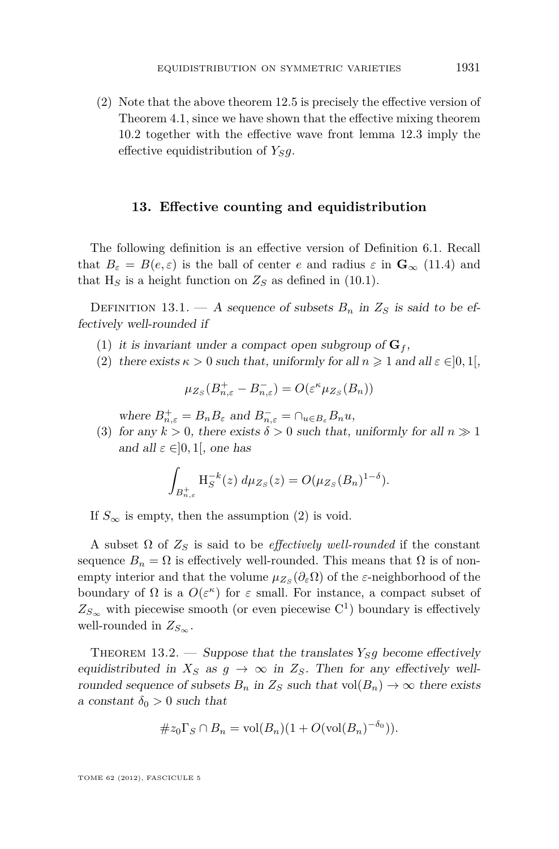<span id="page-43-0"></span>(2) Note that the above theorem [12.5](#page-41-0) is precisely the effective version of Theorem [4.1,](#page-14-0) since we have shown that the effective mixing theorem [10.2](#page-35-0) together with the effective wave front lemma [12.3](#page-41-0) imply the effective equidistribution of  $Y_{S}q$ .

#### **13. Effective counting and equidistribution**

The following definition is an effective version of Definition [6.1.](#page-18-0) Recall that  $B_{\varepsilon} = B(e, \varepsilon)$  is the ball of center *e* and radius  $\varepsilon$  in  $\mathbf{G}_{\infty}$  [\(11.4\)](#page-38-0) and that  $H<sub>S</sub>$  is a height function on  $Z<sub>S</sub>$  as defined in [\(10.1\)](#page-35-0).

DEFINITION 13.1. — A sequence of subsets  $B_n$  in  $Z_s$  is said to be effectively well-rounded if

- (1) it is invariant under a compact open subgroup of  $\mathbf{G}_f$ ,
- (2) there exists  $\kappa > 0$  such that, uniformly for all  $n \geq 1$  and all  $\varepsilon \in ]0,1[$ ,

$$
\mu_{Z_S}(B_{n,\varepsilon}^+ - B_{n,\varepsilon}^-) = O(\varepsilon^{\kappa} \mu_{Z_S}(B_n))
$$

where  $B_{n,\varepsilon}^+ = B_n B_\varepsilon$  and  $B_{n,\varepsilon}^- = \bigcap_{u \in B_\varepsilon} B_n u$ ,

(3) for any  $k > 0$ , there exists  $\delta > 0$  such that, uniformly for all  $n \gg 1$ and all  $\varepsilon \in ]0,1[$ , one has

$$
\int_{B_{n,\varepsilon}^+} H_S^{-k}(z) \, d\mu_{Z_S}(z) = O(\mu_{Z_S}(B_n)^{1-\delta}).
$$

If  $S_{\infty}$  is empty, then the assumption (2) is void.

A subset  $\Omega$  of  $Z_S$  is said to be *effectively well-rounded* if the constant sequence  $B_n = \Omega$  is effectively well-rounded. This means that  $\Omega$  is of nonempty interior and that the volume  $\mu_{Z_S}(\partial_{\varepsilon}\Omega)$  of the *ε*-neighborhood of the boundary of  $\Omega$  is a  $O(\varepsilon^{\kappa})$  for  $\varepsilon$  small. For instance, a compact subset of  $Z_{S_{\infty}}$  with piecewise smooth (or even piecewise C<sup>1</sup>) boundary is effectively well-rounded in  $Z_{S_{\infty}}$ .

THEOREM 13.2. — Suppose that the translates  $Y_{S}q$  become effectively equidistributed in  $X_S$  as  $g \to \infty$  in  $Z_S$ . Then for any effectively wellrounded sequence of subsets  $B_n$  in  $Z_s$  such that  $vol(B_n) \to \infty$  there exists a constant  $\delta_0 > 0$  such that

$$
\#z_0\Gamma_S\cap B_n=\text{vol}(B_n)(1+O(\text{vol}(B_n)^{-\delta_0})).
$$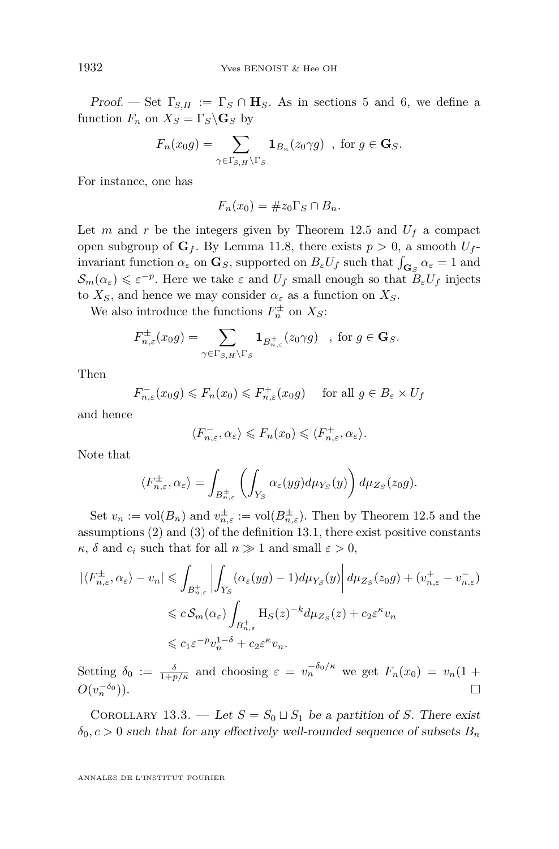<span id="page-44-0"></span>Proof. — Set  $\Gamma_{S,H} := \Gamma_S \cap \mathbf{H}_S$ . As in sections [5](#page-17-0) and [6,](#page-18-0) we define a function  $F_n$  on  $X_s = \Gamma_s \backslash \mathbf{G}_s$  by

$$
F_n(x_0g) = \sum_{\gamma \in \Gamma_{S,H} \backslash \Gamma_S} \mathbf{1}_{B_n}(z_0 \gamma g) , \text{ for } g \in \mathbf{G}_S.
$$

For instance, one has

$$
F_n(x_0) = \#z_0 \Gamma_S \cap B_n.
$$

Let *m* and *r* be the integers given by Theorem [12.5](#page-41-0) and  $U_f$  a compact open subgroup of  $G_f$ . By Lemma [11.8,](#page-39-0) there exists  $p > 0$ , a smooth  $U_f$ invariant function  $\alpha_{\varepsilon}$  on  $\mathbf{G}_S$ , supported on  $B_{\varepsilon}U_f$  such that  $\int_{\mathbf{G}_S}\alpha_{\varepsilon}=1$  and  $\mathcal{S}_m(\alpha_\varepsilon) \leqslant \varepsilon^{-p}$ . Here we take  $\varepsilon$  and  $U_f$  small enough so that  $B_\varepsilon U_f$  injects to  $X_S$ , and hence we may consider  $\alpha_{\varepsilon}$  as a function on  $X_S$ .

We also introduce the functions  $F_n^{\pm}$  on  $X_s$ :

$$
F_{n,\varepsilon}^{\pm}(x_0g)=\sum_{\gamma\in\Gamma_{S,H}\backslash\Gamma_S} {\bf 1}_{B_{n,\varepsilon}^{\pm}}(z_0\gamma g)\quad, \text{ for } g\in {\bf G}_S.
$$

Then

$$
F_{n,\varepsilon}^-(x_0g) \le F_n(x_0) \le F_{n,\varepsilon}^+(x_0g) \quad \text{ for all } g \in B_\varepsilon \times U_f
$$

and hence

$$
\langle F_{n,\varepsilon}^-, \alpha_\varepsilon \rangle \leqslant F_n(x_0) \leqslant \langle F_{n,\varepsilon}^+, \alpha_\varepsilon \rangle.
$$

Note that

$$
\langle F_{n,\varepsilon}^{\pm}, \alpha_{\varepsilon} \rangle = \int_{B_{n,\varepsilon}^{\pm}} \left( \int_{Y_S} \alpha_{\varepsilon}(yg) d\mu_{Y_S}(y) \right) d\mu_{Z_S}(z_0 g).
$$

Set  $v_n := \text{vol}(B_n)$  and  $v_{n,\varepsilon}^{\pm} := \text{vol}(B_{n,\varepsilon}^{\pm})$ . Then by Theorem [12.5](#page-41-0) and the assumptions (2) and (3) of the definition [13.1,](#page-43-0) there exist positive constants *κ*, *δ* and *c<sub><i>i*</sub> such that for all  $n \gg 1$  and small  $\varepsilon > 0$ ,

$$
\left| \langle F_{n,\varepsilon}^{\pm}, \alpha_{\varepsilon} \rangle - v_n \right| \leq \int_{B_{n,\varepsilon}^+} \left| \int_{Y_S} (\alpha_{\varepsilon}(yg) - 1) d\mu_{Y_S}(y) \right| d\mu_{Z_S}(z_0 g) + (v_{n,\varepsilon}^+ - v_{n,\varepsilon}^-) \leq C S_m(\alpha_{\varepsilon}) \int_{B_{n,\varepsilon}^+} H_S(z)^{-k} d\mu_{Z_S}(z) + c_2 \varepsilon^{\kappa} v_n \leq C_1 \varepsilon^{-p} v_n^{1-\delta} + c_2 \varepsilon^{\kappa} v_n.
$$

Setting  $\delta_0 := \frac{\delta}{1+p/k}$  and choosing  $\varepsilon = v_n^{-\delta_0/\kappa}$  we get  $F_n(x_0) = v_n(1+p)$  $O(v_n^{-\delta_0})$  $\Box$ ).

COROLLARY 13.3. — Let  $S = S_0 \sqcup S_1$  be a partition of *S*. There exist  $\delta_0$ ,  $c > 0$  such that for any effectively well-rounded sequence of subsets  $B_n$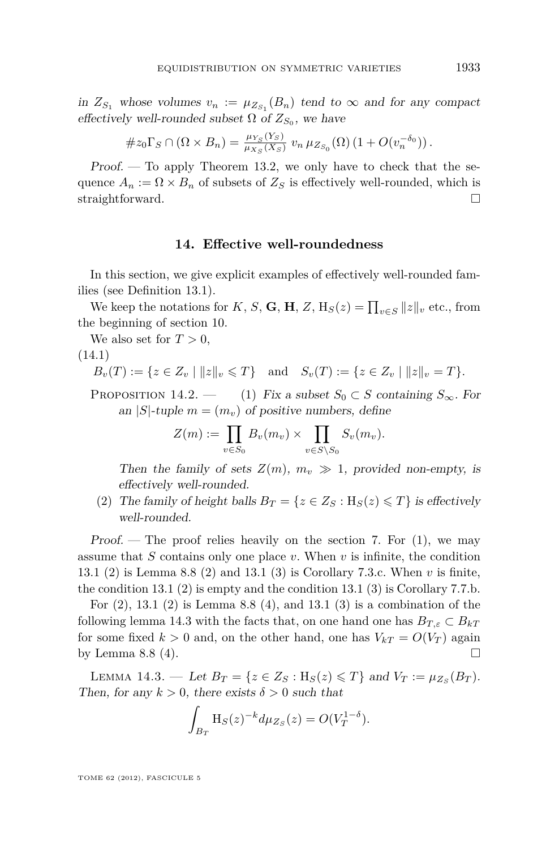<span id="page-45-0"></span>in  $Z_{S_1}$  whose volumes  $v_n := \mu_{Z_{S_1}}(B_n)$  tend to  $\infty$  and for any compact effectively well-rounded subset  $\Omega$  of  $Z_{S_0}$ , we have

$$
#z_0\Gamma_S\cap(\Omega\times B_n)=\frac{\mu_{Y_S}(Y_S)}{\mu_{X_S}(X_S)}\,v_n\,\mu_{Z_{S_0}}(\Omega)\,(1+O(v_n^{-\delta_0}))\,.
$$

Proof. — To apply Theorem [13.2,](#page-43-0) we only have to check that the sequence  $A_n := \Omega \times B_n$  of subsets of  $Z_S$  is effectively well-rounded, which is straightforward.

#### **14. Effective well-roundedness**

In this section, we give explicit examples of effectively well-rounded families (see Definition [13.1\)](#page-43-0).

We keep the notations for *K*, *S*, **G**, **H**, *Z*,  $H_S(z) = \prod_{v \in S} ||z||_v$  etc., from the beginning of section [10.](#page-34-0)

We also set for  $T > 0$ ,

#### (14.1)

$$
B_v(T) := \{ z \in Z_v \mid ||z||_v \leq T \} \text{ and } S_v(T) := \{ z \in Z_v \mid ||z||_v = T \}.
$$

PROPOSITION 14.2. — (1) Fix a subset  $S_0 \subset S$  containing  $S_{\infty}$ . For an |*S*|-tuple  $m = (m_v)$  of positive numbers, define

$$
Z(m) := \prod_{v \in S_0} B_v(m_v) \times \prod_{v \in S \setminus S_0} S_v(m_v).
$$

Then the family of sets  $Z(m)$ ,  $m_v \gg 1$ , provided non-empty, is effectively well-rounded.

(2) The family of height balls  $B_T = \{z \in Z_S : H_S(z) \leq T\}$  is effectively well-rounded.

Proof. — The proof relies heavily on the section [7.](#page-20-0) For  $(1)$ , we may assume that *S* contains only one place *v*. When *v* is infinite, the condition [13.1](#page-43-0) [\(2\)](#page-43-0) is Lemma [8.8](#page-29-0) (2) and [13.1](#page-43-0) [\(3\)](#page-43-0) is Corollary [7.3.](#page-22-0)c. When *v* is finite, the condition [13.1](#page-43-0) [\(2\)](#page-43-0) is empty and the condition [13.1](#page-43-0) [\(3\)](#page-43-0) is Corollary [7.7.](#page-24-0)b.

For  $(2)$ , [13.1](#page-43-0)  $(2)$  is Lemma [8.8](#page-29-0)  $(4)$ , and 13.1  $(3)$  is a combination of the following lemma 14.3 with the facts that, on one hand one has  $B_{T,\varepsilon} \subset B_{kT}$ for some fixed  $k > 0$  and, on the other hand, one has  $V_{kT} = O(V_T)$  again by Lemma [8.8](#page-29-0) (4).

LEMMA 14.3. — Let  $B_T = \{z \in Z_S : H_S(z) \leq T\}$  and  $V_T := \mu_{Z_S}(B_T)$ . Then, for any  $k > 0$ , there exists  $\delta > 0$  such that

$$
\int_{B_T} H_S(z)^{-k} d\mu_{Z_S}(z) = O(V_T^{1-\delta}).
$$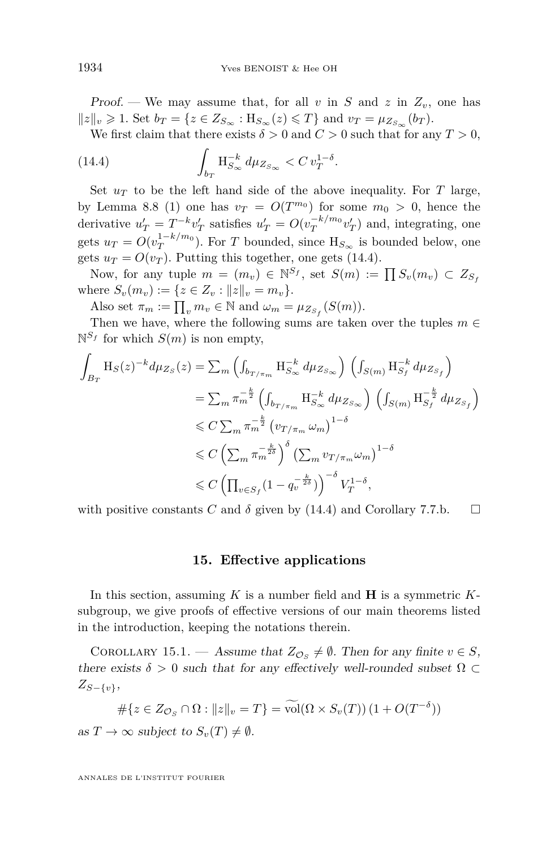<span id="page-46-0"></span>Proof. — We may assume that, for all *v* in *S* and *z* in  $Z_v$ , one has  $||z||_v \ge 1$ . Set  $b_T = \{z \in Z_{S_{\infty}} : H_{S_{\infty}}(z) \le T\}$  and  $v_T = \mu_{Z_{S_{\infty}}}(b_T)$ .

We first claim that there exists  $\delta > 0$  and  $C > 0$  such that for any  $T > 0$ ,

(14.4) 
$$
\int_{b_T} H_{S_{\infty}}^{-k} d\mu_{Z_{S_{\infty}}} < C v_T^{1-\delta}.
$$

Set  $u_T$  to be the left hand side of the above inequality. For *T* large, by Lemma [8.8](#page-29-0) (1) one has  $v_T = O(T^{m_0})$  for some  $m_0 > 0$ , hence the derivative  $u'_T = T^{-k}v'_T$  satisfies  $u'_T = O(v_T^{-k/m_0}v'_T)$  and, integrating, one gets  $u_T = O(v_T^{1-k/m_0})$ . For *T* bounded, since  $H_{S_{\infty}}$  is bounded below, one gets  $u_T = O(v_T)$ . Putting this together, one gets (14.4).

Now, for any tuple  $m = (m_v) \in \mathbb{N}^{S_f}$ , set  $S(m) := \prod S_v(m_v) \subset Z_{S_f}$ where  $S_v(m_v) := \{z \in Z_v : ||z||_v = m_v\}.$ 

Also set  $\pi_m := \prod_v m_v \in \mathbb{N}$  and  $\omega_m = \mu_{Z_{S_f}}(S(m))$ .

Then we have, where the following sums are taken over the tuples  $m \in$  $\mathbb{N}^{S_f}$  for which  $S(m)$  is non empty,

$$
\int_{B_T} \mathbf{H}_S(z)^{-k} d\mu_{Z_S}(z) = \sum_m \left( \int_{b_{T/\pi_m}} \mathbf{H}_{S_{\infty}}^{-k} d\mu_{Z_{S_{\infty}}} \right) \left( \int_{S(m)} \mathbf{H}_{S_f}^{-k} d\mu_{Z_{S_f}} \right)
$$
\n
$$
= \sum_m \pi_m^{-\frac{k}{2}} \left( \int_{b_{T/\pi_m}} \mathbf{H}_{S_{\infty}}^{-k} d\mu_{Z_{S_{\infty}}} \right) \left( \int_{S(m)} \mathbf{H}_{S_f}^{-k} d\mu_{Z_{S_f}} \right)
$$
\n
$$
\leq C \sum_m \pi_m^{-\frac{k}{2}} \left( v_{T/\pi_m} \omega_m \right)^{1-\delta}
$$
\n
$$
\leq C \left( \sum_m \pi_m^{-\frac{k}{2\delta}} \right)^{\delta} \left( \sum_m v_{T/\pi_m} \omega_m \right)^{1-\delta}
$$
\n
$$
\leq C \left( \prod_{v \in S_f} (1 - q_v^{-\frac{k}{2\delta}}) \right)^{-\delta} V_T^{1-\delta},
$$

with positive constants *C* and  $\delta$  given by (14.4) and Corollary [7.7.](#page-24-0)b.  $\Box$ 

#### **15. Effective applications**

In this section, assuming *K* is a number field and **H** is a symmetric *K*subgroup, we give proofs of effective versions of our main theorems listed in the introduction, keeping the notations therein.

COROLLARY 15.1. — Assume that  $Z_{\mathcal{O}_S} \neq \emptyset$ . Then for any finite  $v \in S$ , there exists  $\delta > 0$  such that for any effectively well-rounded subset  $\Omega \subset$ *ZS*−{*v*},

$$
\#\{z \in Z_{\mathcal{O}_S} \cap \Omega : ||z||_v = T\} = \widetilde{\mathrm{vol}}(\Omega \times S_v(T)) \left(1 + O(T^{-\delta})\right)
$$

as  $T \to \infty$  subject to  $S_v(T) \neq \emptyset$ .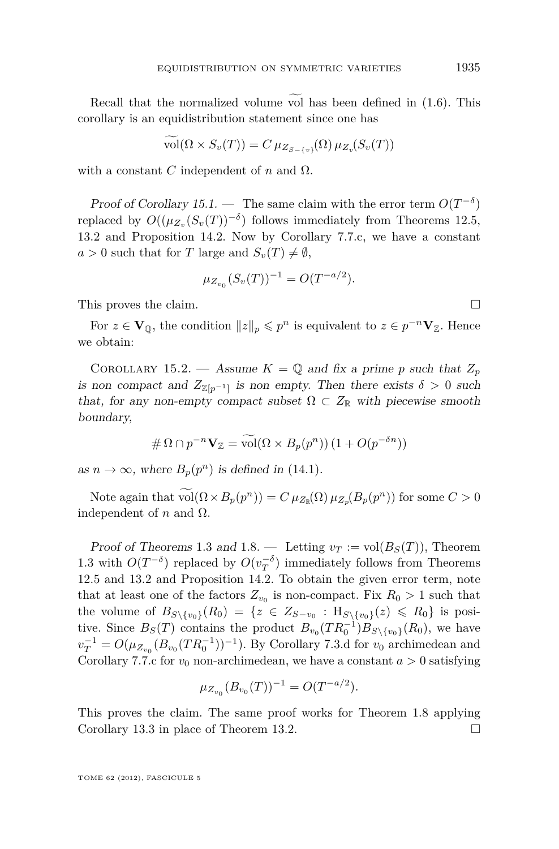Recall that the normalized volume vol has been defined in  $(1.6)$ . This corollary is an equidistribution statement since one has

$$
\text{vol}(\Omega \times S_v(T)) = C \,\mu_{Z_{S-\{v\}}}(\Omega) \,\mu_{Z_v}(S_v(T))
$$

with a constant *C* independent of *n* and  $\Omega$ .

Proof of Corollary [15.1.](#page-46-0) — The same claim with the error term  $O(T^{-\delta})$ replaced by  $O((\mu_{Z_v}(S_v(T))^{-\delta})$  follows immediately from Theorems [12.5,](#page-41-0) [13.2](#page-43-0) and Proposition [14.2.](#page-0-0) Now by Corollary [7.7.](#page-24-0)c, we have a constant  $a > 0$  such that for *T* large and  $S_v(T) \neq \emptyset$ ,

$$
\mu_{Z_{v_0}}(S_v(T))^{-1} = O(T^{-a/2}).
$$

This proves the claim.

For  $z \in V_{\mathbb{Q}}$ , the condition  $||z||_p \leqslant p^n$  is equivalent to  $z \in p^{-n}V_{\mathbb{Z}}$ . Hence we obtain:

COROLLARY 15.2. — Assume  $K = \mathbb{Q}$  and fix a prime p such that  $Z_p$ is non compact and  $Z_{\mathbb{Z}[p^{-1}]}$  is non empty. Then there exists  $\delta > 0$  such that, for any non-empty compact subset  $\Omega \subset Z_{\mathbb{R}}$  with piecewise smooth boundary,

$$
\#\Omega \cap p^{-n} \mathbf{V}_{\mathbb{Z}} = \widetilde{\text{vol}}(\Omega \times B_p(p^n)) \left(1 + O(p^{-\delta n})\right)
$$

as  $n \to \infty$ , where  $B_p(p^n)$  is defined in [\(14.1\)](#page-45-0).

Note again that  $vol(\Omega \times B_p(p^n)) = C \mu_{Z_{\mathbb{R}}}(\Omega) \mu_{Z_p}(B_p(p^n))$  for some  $C > 0$ independent of *n* and  $Ω$ .

Proof of Theorems [1](#page-7-0).3 and 1.8. — Letting  $v_T := vol(B_S(T))$ , Theorem [1.3](#page-6-0) with  $O(T^{-\delta})$  replaced by  $O(v_T^{-\delta})$  immediately follows from Theorems [12.5](#page-41-0) and [13.2](#page-43-0) and Proposition [14.2.](#page-0-0) To obtain the given error term, note that at least one of the factors  $Z_{v_0}$  is non-compact. Fix  $R_0 > 1$  such that the volume of  $B_{S\setminus\{v_0\}}(R_0) = \{z \in Z_{S-v_0} : H_{S\setminus\{v_0\}}(z) \le R_0\}$  is positive. Since  $B_S(T)$  contains the product  $B_{v_0}(TR_0^{-1})B_{S\setminus\{v_0\}}(R_0)$ , we have  $v_T^{-1} = O(\mu_{Z_{v_0}}(B_{v_0}(TR_0^{-1}))^{-1})$ *.* By Corollary [7.3.](#page-22-0)d for *v*<sub>0</sub> archimedean and Corollary [7.7.](#page-24-0)c for  $v_0$  non-archimedean, we have a constant  $a > 0$  satisfying

$$
\mu_{Z_{v_0}}(B_{v_0}(T))^{-1} = O(T^{-a/2}).
$$

This proves the claim. The same proof works for Theorem [1.8](#page-7-0) applying Corollary [13.3](#page-44-0) in place of Theorem [13.2.](#page-43-0)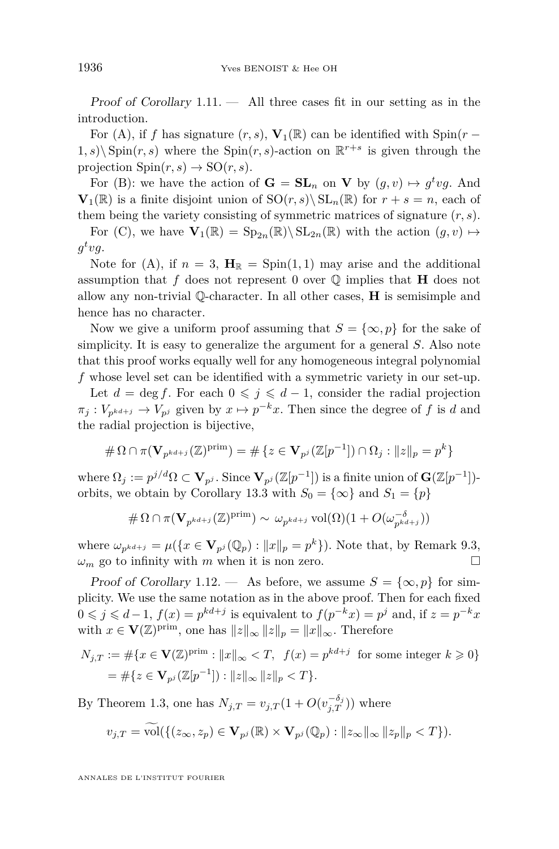Proof of Corollary 1*.*[11](#page-8-0). — All three cases fit in our setting as in the introduction.

For (A), if *f* has signature  $(r, s)$ ,  $V_1(\mathbb{R})$  can be identified with Spin( $r$  −  $(1, s)$  Spin $(r, s)$  where the Spin $(r, s)$ -action on  $\mathbb{R}^{r+s}$  is given through the projection  $\text{Spin}(r,s) \to \text{SO}(r,s)$ .

For (B): we have the action of  $G = SL_n$  on **V** by  $(g, v) \mapsto g^t v g$ . And  $\mathbf{V}_1(\mathbb{R})$  is a finite disjoint union of  $\text{SO}(r, s) \setminus \text{SL}_n(\mathbb{R})$  for  $r + s = n$ , each of them being the variety consisting of symmetric matrices of signature (*r, s*).

For (C), we have  $\mathbf{V}_1(\mathbb{R}) = \text{Sp}_{2n}(\mathbb{R})\backslash \text{SL}_{2n}(\mathbb{R})$  with the action  $(g, v) \mapsto$  $g^t v g$ .

Note for (A), if  $n = 3$ ,  $\mathbf{H}_{\mathbb{R}} = \text{Spin}(1,1)$  may arise and the additional assumption that  $f$  does not represent 0 over  $\mathbb Q$  implies that **H** does not allow any non-trivial Q-character. In all other cases, **H** is semisimple and hence has no character.

Now we give a uniform proof assuming that  $S = \{\infty, p\}$  for the sake of simplicity. It is easy to generalize the argument for a general *S*. Also note that this proof works equally well for any homogeneous integral polynomial *f* whose level set can be identified with a symmetric variety in our set-up.

Let  $d = \deg f$ . For each  $0 \leq j \leq d-1$ , consider the radial projection  $\pi_j: V_{p^{k d+j}} \to V_{p^j}$  given by  $x \mapsto p^{-k}x$ . Then since the degree of *f* is *d* and the radial projection is bijective,

$$
\#\Omega \cap \pi(\mathbf{V}_{p^{kd+j}}(\mathbb{Z})^{\mathrm{prim}}) = \#\{z \in \mathbf{V}_{p^j}(\mathbb{Z}[p^{-1}]) \cap \Omega_j : ||z||_p = p^k\}
$$

 $\text{where } \Omega_j := p^{j/d} \Omega \subset \mathbf{V}_{p^j}.$  Since  $\mathbf{V}_{p^j}(\mathbb{Z}[p^{-1}])$  is a finite union of  $\mathbf{G}(\mathbb{Z}[p^{-1}])$ -orbits, we obtain by Corollary [13.3](#page-44-0) with  $S_0 = \{\infty\}$  and  $S_1 = \{p\}$ 

$$
\#\Omega \cap \pi(\mathbf{V}_{p^{kd+j}}(\mathbb{Z})^{\mathrm{prim}}) \sim \omega_{p^{kd+j}} \operatorname{vol}(\Omega) (1 + O(\omega_{p^{kd+j}}^{-\delta}))
$$

where  $\omega_{p^{kd+j}} = \mu(\lbrace x \in V_{p^j}(\mathbb{Q}_p) : ||x||_p = p^k \rbrace)$ . Note that, by Remark [9.3,](#page-33-0)  $\omega_m$  go to infinity with *m* when it is non zero.

Proof of Corollary 1.[12](#page-9-0). — As before, we assume  $S = \{\infty, p\}$  for simplicity. We use the same notation as in the above proof. Then for each fixed  $0 \leqslant j \leqslant d-1$ ,  $f(x) = p^{kd+j}$  is equivalent to  $f(p^{-k}x) = p^j$  and, if  $z = p^{-k}x$ with  $x \in \mathbf{V}(\mathbb{Z})^{\text{prim}}$ , one has  $||z||_{\infty} ||z||_p = ||x||_{\infty}$ . Therefore

$$
N_{j,T} := #\{x \in \mathbf{V}(\mathbb{Z})^{\text{prim}} : ||x||_{\infty} < T, \ f(x) = p^{kd+j} \text{ for some integer } k \geq 0\}
$$
\n
$$
= #\{z \in \mathbf{V}_{p^j}(\mathbb{Z}[p^{-1}]): ||z||_{\infty} ||z||_p < T\}.
$$

By Theorem [1.3,](#page-6-0) one has  $N_{j,T} = v_{j,T} (1 + O(v_{j,T}^{-\delta_j}))$  where

$$
v_{j,T} = \widetilde{\text{vol}}(\{(z_{\infty}, z_p) \in \mathbf{V}_{p^j}(\mathbb{R}) \times \mathbf{V}_{p^j}(\mathbb{Q}_p) : ||z_{\infty}||_{\infty} ||z_p||_p < T \}).
$$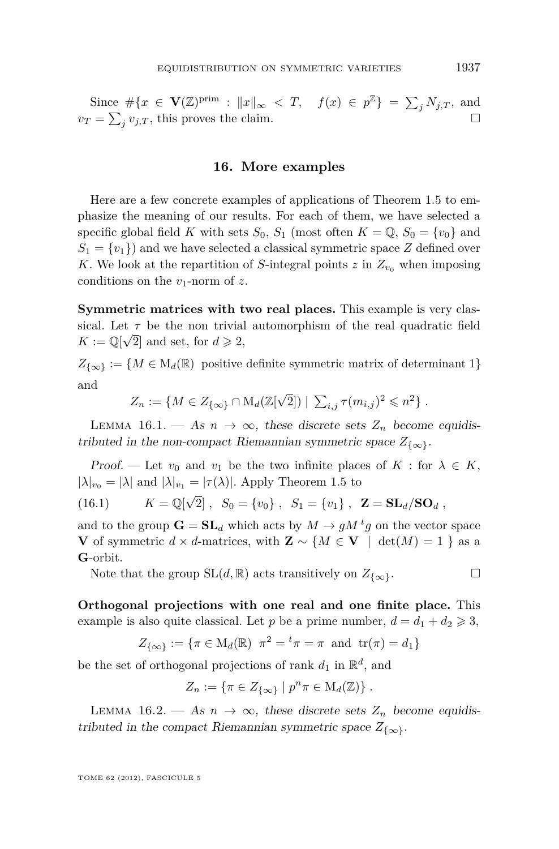<span id="page-49-0"></span>Since  $\#\{x \in \mathbf{V}(\mathbb{Z})^{\text{prim}} : ||x||_{\infty} < T, \quad f(x) \in p^{\mathbb{Z}}\} = \sum_{j} N_{j,T}$ , and  $v_T = \sum_j v_{j,T}$ , this proves the claim.

#### **16. More examples**

Here are a few concrete examples of applications of Theorem [1.5](#page-6-0) to emphasize the meaning of our results. For each of them, we have selected a specific global field *K* with sets  $S_0$ ,  $S_1$  (most often  $K = \mathbb{Q}$ ,  $S_0 = \{v_0\}$  and  $S_1 = \{v_1\}$  and we have selected a classical symmetric space *Z* defined over *K*. We look at the repartition of *S*-integral points *z* in  $Z_{v_0}$  when imposing conditions on the *v*1-norm of *z*.

**Symmetric matrices with two real places.** This example is very classical. Let  $\tau$  be the non trivial automorphism of the real quadratic field  $K := \mathbb{Q}[\sqrt{2}]$  and set, for  $d \geq 2$ ,

 $Z_{\{\infty\}} := \{M \in M_d(\mathbb{R}) \text{ positive definite symmetric matrix of determinant } 1\}$ and

$$
Z_n := \{ M \in Z_{\{\infty\}} \cap M_d(\mathbb{Z}[\sqrt{2}]) \mid \sum_{i,j} \tau(m_{i,j})^2 \leq n^2 \} .
$$

LEMMA 16.1. — As  $n \to \infty$ , these discrete sets  $Z_n$  become equidistributed in the non-compact Riemannian symmetric space  $Z_{\{\infty\}}$ .

Proof. — Let  $v_0$  and  $v_1$  be the two infinite places of  $K$ : for  $\lambda \in K$ ,  $|\lambda|_{v_0} = |\lambda|$  and  $|\lambda|_{v_1} = |\tau(\lambda)|$ . Apply Theorem [1.5](#page-6-0) to

(16.1) 
$$
K = \mathbb{Q}[\sqrt{2}], S_0 = \{v_0\}, S_1 = \{v_1\}, \mathbf{Z} = \mathbf{SL}_d/\mathbf{SO}_d
$$
,

and to the group  $\mathbf{G} = \mathbf{SL}_d$  which acts by  $M \to gM^tg$  on the vector space **V** of symmetric *d* × *d*-matrices, with **Z** ∼ {*M* ∈ **V** | det(*M*) = 1 } as a **G**-orbit.

Note that the group  $SL(d, \mathbb{R})$  acts transitively on  $Z_{\{\infty\}}$ .

**Orthogonal projections with one real and one finite place.** This example is also quite classical. Let *p* be a prime number,  $d = d_1 + d_2 \geqslant 3$ ,

$$
Z_{\{\infty\}} := \{\pi \in M_d(\mathbb{R}) \mid \pi^2 = {}^t\pi = \pi \text{ and } tr(\pi) = d_1\}
$$

be the set of orthogonal projections of rank  $d_1$  in  $\mathbb{R}^d$ , and

$$
Z_n := \{ \pi \in Z_{\{\infty\}} \mid p^n \pi \in M_d(\mathbb{Z}) \} .
$$

LEMMA 16.2. — As  $n \to \infty$ , these discrete sets  $Z_n$  become equidistributed in the compact Riemannian symmetric space  $Z_{\{\infty\}}$ .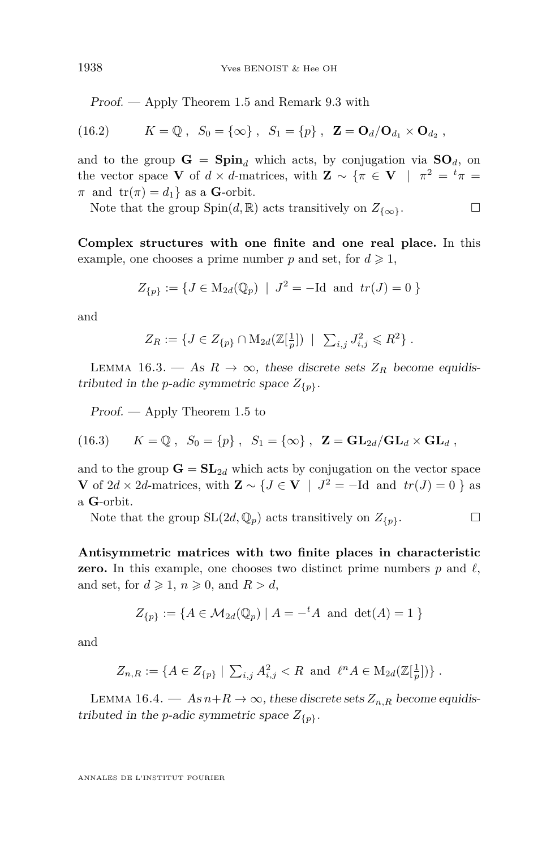Proof. — Apply Theorem [1.5](#page-6-0) and Remark [9.3](#page-33-0) with

(16.2) 
$$
K = \mathbb{Q}, S_0 = \{\infty\}, S_1 = \{p\}, \mathbf{Z} = \mathbf{O}_d/\mathbf{O}_{d_1} \times \mathbf{O}_{d_2}
$$

and to the group  $G = \text{Spin}_d$  which acts, by conjugation via  $SO_d$ , on the vector space **V** of  $d \times d$ -matrices, with **Z** ~ { $\pi \in \mathbf{V}$  |  $\pi^2 = {}^t\pi$  =  $\pi$  and  $tr(\pi) = d_1$  as a **G**-orbit.

Note that the group  $Spin(d, \mathbb{R})$  acts transitively on  $Z_{\{\infty\}}$ .

**Complex structures with one finite and one real place.** In this example, one chooses a prime number p and set, for  $d \geq 1$ ,

$$
Z_{\{p\}} := \{ J \in M_{2d}(\mathbb{Q}_p) \mid J^2 = -Id \text{ and } tr(J) = 0 \}
$$

and

$$
Z_R := \{ J \in Z_{\{p\}} \cap M_{2d}(\mathbb{Z}[\frac{1}{p}]) \mid \sum_{i,j} J_{i,j}^2 \leq R^2 \} .
$$

LEMMA 16.3. — As  $R \to \infty$ , these discrete sets  $Z_R$  become equidistributed in the *p*-adic symmetric space  $Z_{\{p\}}$ .

Proof. — Apply Theorem [1.5](#page-6-0) to

(16.3) 
$$
K = \mathbb{Q}, S_0 = \{p\}, S_1 = \{\infty\}, \mathbf{Z} = \mathbf{GL}_{2d}/\mathbf{GL}_d \times \mathbf{GL}_d
$$

and to the group  $\mathbf{G} = \mathbf{SL}_{2d}$  which acts by conjugation on the vector space **V** of 2*d* × 2*d*-matrices, with **Z** ∼ {*J* ∈ **V** | *J*<sup>2</sup> = −Id and *tr*(*J*) = 0 } as a **G**-orbit.

Note that the group  $SL(2d, \mathbb{Q}_p)$  acts transitively on  $Z_{\{p\}}$ .

**Antisymmetric matrices with two finite places in characteristic zero.** In this example, one chooses two distinct prime numbers  $p$  and  $\ell$ , and set, for  $d \geq 1$ ,  $n \geq 0$ , and  $R > d$ ,

$$
Z_{\{p\}} := \{ A \in \mathcal{M}_{2d}(\mathbb{Q}_p) \mid A = -^t A \text{ and } \det(A) = 1 \}
$$

and

$$
Z_{n,R} := \{ A \in Z_{\{p\}} \mid \sum_{i,j} A_{i,j}^2 < R \text{ and } \ell^n A \in M_{2d}(\mathbb{Z}[\frac{1}{p}]) \} .
$$

LEMMA 16.4. — As  $n+R \to \infty$ , these discrete sets  $Z_{n,R}$  become equidistributed in the *p*-adic symmetric space  $Z_{\{p\}}$ .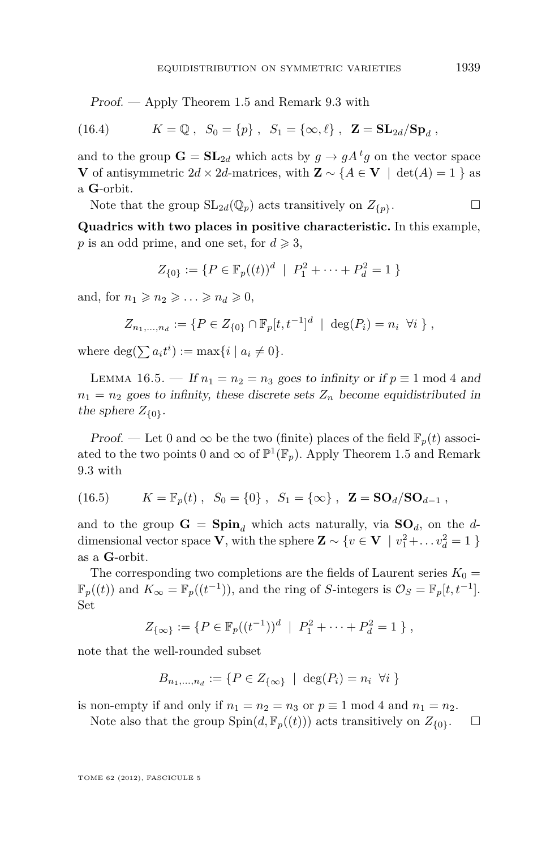Proof. — Apply Theorem [1.5](#page-6-0) and Remark [9.3](#page-33-0) with

(16.4) 
$$
K = \mathbb{Q}, S_0 = \{p\}, S_1 = \{\infty, \ell\}, \mathbf{Z} = \mathbf{SL}_{2d}/\mathbf{Sp}_d
$$

and to the group  $\mathbf{G} = \mathbf{SL}_{2d}$  which acts by  $g \to gA^tg$  on the vector space **V** of antisymmetric  $2d \times 2d$ -matrices, with  $\mathbf{Z} \sim \{A \in \mathbf{V} \mid \det(A) = 1\}$  as a **G**-orbit.

Note that the group  $SL_{2d}(\mathbb{Q}_p)$  acts transitively on  $Z_{\{p\}}$ .

**Quadrics with two places in positive characteristic.** In this example, *p* is an odd prime, and one set, for  $d \ge 3$ ,

$$
Z_{\{0\}} := \{ P \in \mathbb{F}_p((t))^d \mid P_1^2 + \dots + P_d^2 = 1 \}
$$

and, for  $n_1 \geqslant n_2 \geqslant \ldots \geqslant n_d \geqslant 0$ ,

$$
Z_{n_1,\ldots,n_d} := \{ P \in Z_{\{0\}} \cap \mathbb{F}_p[t,t^{-1}]^d \mid \deg(P_i) = n_i \ \forall i \} ,
$$

where  $\deg(\sum a_i t^i) := \max\{i \mid a_i \neq 0\}.$ 

LEMMA 16.5. — If  $n_1 = n_2 = n_3$  goes to infinity or if  $p \equiv 1 \mod 4$  and  $n_1 = n_2$  goes to infinity, these discrete sets  $Z_n$  become equidistributed in the sphere  $Z_{\{0\}}$ .

Proof. — Let 0 and  $\infty$  be the two (finite) places of the field  $\mathbb{F}_p(t)$  associated to the two points 0 and  $\infty$  of  $\mathbb{P}^1(\mathbb{F}_p)$ . Apply Theorem [1.5](#page-6-0) and Remark [9.3](#page-33-0) with

(16.5) 
$$
K = \mathbb{F}_p(t)
$$
,  $S_0 = \{0\}$ ,  $S_1 = \{\infty\}$ ,  $\mathbf{Z} = \mathbf{SO}_d/\mathbf{SO}_{d-1}$ ,

and to the group  $G = \text{Spin}_d$  which acts naturally, via  $SO_d$ , on the *d*dimensional vector space **V**, with the sphere  $\mathbf{Z} \sim \{v \in \mathbf{V} \mid v_1^2 + \dots v_d^2 = 1\}$ as a **G**-orbit.

The corresponding two completions are the fields of Laurent series  $K_0 =$  $\mathbb{F}_p((t))$  and  $K_\infty = \mathbb{F}_p((t^{-1}))$ , and the ring of *S*-integers is  $\mathcal{O}_S = \mathbb{F}_p[t, t^{-1}]$ . Set

$$
Z_{\{\infty\}} := \{ P \in \mathbb{F}_p((t^{-1}))^d \mid P_1^2 + \cdots + P_d^2 = 1 \},
$$

note that the well-rounded subset

$$
B_{n_1,\ldots,n_d} := \{ P \in Z_{\{\infty\}} \mid \deg(P_i) = n_i \ \forall i \}
$$

is non-empty if and only if  $n_1 = n_2 = n_3$  or  $p \equiv 1 \mod 4$  and  $n_1 = n_2$ .

Note also that the group  $\text{Spin}(d, \mathbb{F}_p((t)))$  acts transitively on  $Z_{\{0\}}$ .  $\Box$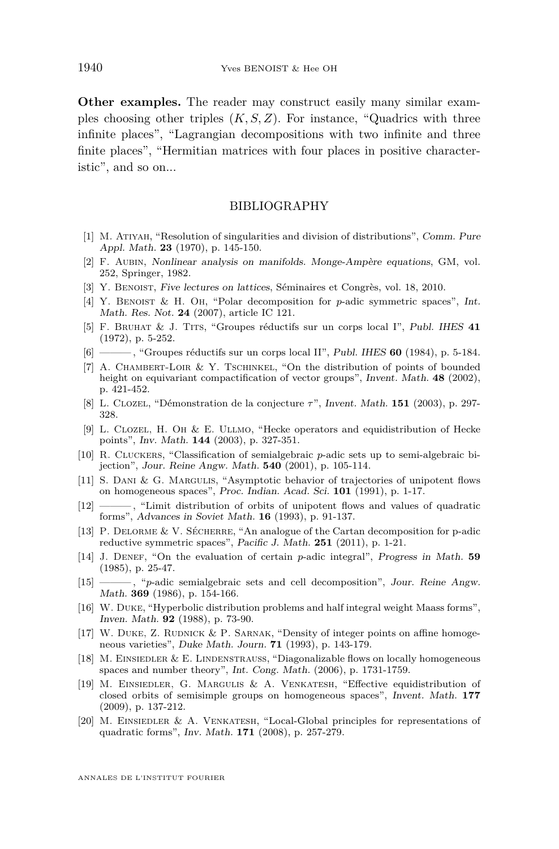<span id="page-52-0"></span>**Other examples.** The reader may construct easily many similar examples choosing other triples (*K, S, Z*). For instance, "Quadrics with three infinite places", "Lagrangian decompositions with two infinite and three finite places", "Hermitian matrices with four places in positive characteristic", and so on...

#### BIBLIOGRAPHY

- [1] M. Atiyah, "Resolution of singularities and division of distributions", Comm. Pure Appl. Math. **23** (1970), p. 145-150.
- [2] F. Aubin, Nonlinear analysis on manifolds. Monge-Ampère equations, GM, vol. 252, Springer, 1982.
- [3] Y. BENOIST, Five lectures on lattices, Séminaires et Congrès, vol. 18, 2010.
- [4] Y. Benoist & H. Oh, "Polar decomposition for *p*-adic symmetric spaces", Int. Math. Res. Not. **24** (2007), article IC 121.
- [5] F. Bruhat & J. Tits, "Groupes réductifs sur un corps local I", Publ. IHES **41** (1972), p. 5-252.
- [6] ——— , "Groupes réductifs sur un corps local II", Publ. IHES **60** (1984), p. 5-184.
- [7] A. CHAMBERT-LOIR & Y. TSCHINKEL, "On the distribution of points of bounded height on equivariant compactification of vector groups", Invent. Math. **48** (2002), p. 421-452.
- [8] L. Clozel, "Démonstration de la conjecture *τ*", Invent. Math. **151** (2003), p. 297- 328.
- [9] L. Clozel, H. Oh & E. Ullmo, "Hecke operators and equidistribution of Hecke points", Inv. Math. **144** (2003), p. 327-351.
- [10] R. Cluckers, "Classification of semialgebraic *p*-adic sets up to semi-algebraic bijection", Jour. Reine Angw. Math. **540** (2001), p. 105-114.
- [11] S. DANI & G. MARGULIS, "Asymptotic behavior of trajectories of unipotent flows on homogeneous spaces", Proc. Indian. Acad. Sci. **101** (1991), p. 1-17.
- [12] ——— , "Limit distribution of orbits of unipotent flows and values of quadratic forms", Advances in Soviet Math. **16** (1993), p. 91-137.
- [13] P. Delorme & V. Sécherre, "An analogue of the Cartan decomposition for p-adic reductive symmetric spaces", Pacific J. Math. **251** (2011), p. 1-21.
- [14] J. Denef, "On the evaluation of certain *p*-adic integral", Progress in Math. **59** (1985), p. 25-47.
- [15] padic semialgebraic sets and cell decomposition", Jour. Reine Angw. Math. **369** (1986), p. 154-166.
- [16] W. Duke, "Hyperbolic distribution problems and half integral weight Maass forms", Inven. Math. **92** (1988), p. 73-90.
- [17] W. DUKE, Z. RUDNICK & P. SARNAK, "Density of integer points on affine homogeneous varieties", Duke Math. Journ. **71** (1993), p. 143-179.
- [18] M. Einsiedler & E. Lindenstrauss, "Diagonalizable flows on locally homogeneous spaces and number theory", Int. Cong. Math. (2006), p. 1731-1759.
- [19] M. Einsiedler, G. Margulis & A. Venkatesh, "Effective equidistribution of closed orbits of semisimple groups on homogeneous spaces", Invent. Math. **177** (2009), p. 137-212.
- [20] M. Einsiedler & A. Venkatesh, "Local-Global principles for representations of quadratic forms", Inv. Math. **171** (2008), p. 257-279.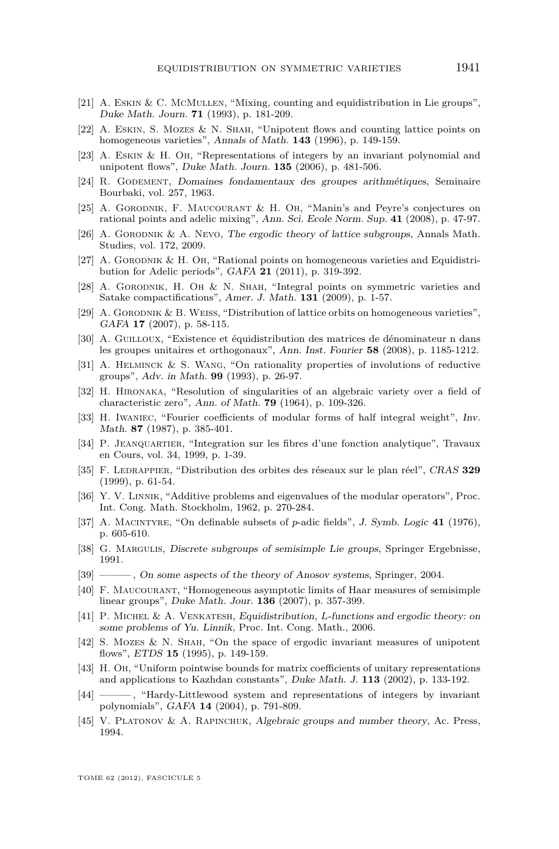- <span id="page-53-0"></span>[21] A. Eskin & C. McMullen, "Mixing, counting and equidistribution in Lie groups", Duke Math. Journ. **71** (1993), p. 181-209.
- [22] A. Eskin, S. Mozes & N. Shah, "Unipotent flows and counting lattice points on homogeneous varieties", Annals of Math. **143** (1996), p. 149-159.
- [23] A. Eskin & H. Oh, "Representations of integers by an invariant polynomial and unipotent flows", Duke Math. Journ. **135** (2006), p. 481-506.
- [24] R. Godement, Domaines fondamentaux des groupes arithmétiques, Seminaire Bourbaki, vol. 257, 1963.
- [25] A. Gorodnik, F. Maucourant & H. Oh, "Manin's and Peyre's conjectures on rational points and adelic mixing", Ann. Sci. Ecole Norm. Sup. **41** (2008), p. 47-97.
- [26] A. Gorodnik & A. Nevo, The ergodic theory of lattice subgroups, Annals Math. Studies, vol. 172, 2009.
- [27] A. GORODNIK & H. OH, "Rational points on homogeneous varieties and Equidistribution for Adelic periods", GAFA **21** (2011), p. 319-392.
- [28] A. GORODNIK, H. OH & N. SHAH, "Integral points on symmetric varieties and Satake compactifications", Amer. J. Math. **131** (2009), p. 1-57.
- [29] A. Gorodnik & B. Weiss, "Distribution of lattice orbits on homogeneous varieties", GAFA **17** (2007), p. 58-115.
- [30] A. GUILLOUX, "Existence et équidistribution des matrices de dénominateur n dans les groupes unitaires et orthogonaux", Ann. Inst. Fourier **58** (2008), p. 1185-1212.
- [31] A. Helminck & S. Wang, "On rationality properties of involutions of reductive groups", Adv. in Math. **99** (1993), p. 26-97.
- [32] H. Hironaka, "Resolution of singularities of an algebraic variety over a field of characteristic zero", Ann. of Math. **79** (1964), p. 109-326.
- [33] H. Iwaniec, "Fourier coefficients of modular forms of half integral weight", Inv. Math. **87** (1987), p. 385-401.
- [34] P. Jeanquartier, "Integration sur les fibres d'une fonction analytique", Travaux en Cours, vol. 34, 1999, p. 1-39.
- [35] F. Ledrappier, "Distribution des orbites des réseaux sur le plan réel", CRAS **329** (1999), p. 61-54.
- [36] Y. V. LINNIK, "Additive problems and eigenvalues of the modular operators", Proc. Int. Cong. Math. Stockholm, 1962, p. 270-284.
- [37] A. Macintyre, "On definable subsets of *p*-adic fields", J. Symb. Logic **41** (1976), p. 605-610.
- [38] G. MARGULIS, Discrete subgroups of semisimple Lie groups, Springer Ergebnisse, 1991.
- [39] ———, On some aspects of the theory of Anosov systems, Springer, 2004.
- [40] F. Maucourant, "Homogeneous asymptotic limits of Haar measures of semisimple linear groups", Duke Math. Jour. **136** (2007), p. 357-399.
- [41] P. Michel & A. Venkatesh, Equidistribution, *L*-functions and ergodic theory: on some problems of Yu. Linnik, Proc. Int. Cong. Math., 2006.
- [42] S. Mozes & N. Shah, "On the space of ergodic invariant measures of unipotent flows", ETDS **15** (1995), p. 149-159.
- [43] H. Oh, "Uniform pointwise bounds for matrix coefficients of unitary representations and applications to Kazhdan constants", Duke Math. J. **113** (2002), p. 133-192.
- [44] ——— , "Hardy-Littlewood system and representations of integers by invariant polynomials", GAFA **14** (2004), p. 791-809.
- [45] V. Platonov & A. Rapinchuk, Algebraic groups and number theory, Ac. Press, 1994.